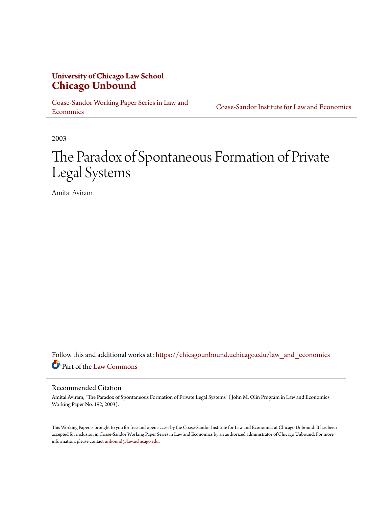# **University of Chicago Law School [Chicago Unbound](https://chicagounbound.uchicago.edu?utm_source=chicagounbound.uchicago.edu%2Flaw_and_economics%2F553&utm_medium=PDF&utm_campaign=PDFCoverPages)**

[Coase-Sandor Working Paper Series in Law and](https://chicagounbound.uchicago.edu/law_and_economics?utm_source=chicagounbound.uchicago.edu%2Flaw_and_economics%2F553&utm_medium=PDF&utm_campaign=PDFCoverPages) [Economics](https://chicagounbound.uchicago.edu/law_and_economics?utm_source=chicagounbound.uchicago.edu%2Flaw_and_economics%2F553&utm_medium=PDF&utm_campaign=PDFCoverPages)

[Coase-Sandor Institute for Law and Economics](https://chicagounbound.uchicago.edu/coase_sandor_institute?utm_source=chicagounbound.uchicago.edu%2Flaw_and_economics%2F553&utm_medium=PDF&utm_campaign=PDFCoverPages)

2003

# The Paradox of Spontaneous Formation of Private Legal Systems

Amitai Aviram

Follow this and additional works at: [https://chicagounbound.uchicago.edu/law\\_and\\_economics](https://chicagounbound.uchicago.edu/law_and_economics?utm_source=chicagounbound.uchicago.edu%2Flaw_and_economics%2F553&utm_medium=PDF&utm_campaign=PDFCoverPages) Part of the [Law Commons](http://network.bepress.com/hgg/discipline/578?utm_source=chicagounbound.uchicago.edu%2Flaw_and_economics%2F553&utm_medium=PDF&utm_campaign=PDFCoverPages)

#### Recommended Citation

Amitai Aviram, "The Paradox of Spontaneous Formation of Private Legal Systems" ( John M. Olin Program in Law and Economics Working Paper No. 192, 2003).

This Working Paper is brought to you for free and open access by the Coase-Sandor Institute for Law and Economics at Chicago Unbound. It has been accepted for inclusion in Coase-Sandor Working Paper Series in Law and Economics by an authorized administrator of Chicago Unbound. For more information, please contact [unbound@law.uchicago.edu.](mailto:unbound@law.uchicago.edu)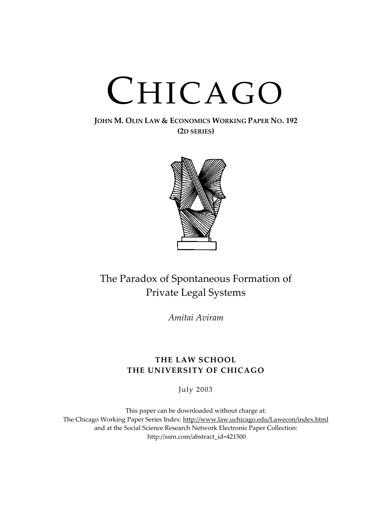# CHICAGO

### **JOHN M. OLIN LAW & ECONOMICS WORKING PAPER NO. 192 (2D SERIES)**



# The Paradox of Spontaneous Formation of Private Legal Systems

*Amitai Aviram*

## **THE LAW SCHOOL THE UNIVERSITY OF CHICAGO**

July 2003

This paper can be downloaded without charge at: The Chicago Working Paper Series Index: http://www.law.uchicago.edu/Lawecon/index.html and at the Social Science Research Network Electronic Paper Collection: http://ssrn.c[om/abstract\\_id=421500](http://www.law.uchicago.edu/Publications/Working/index.html)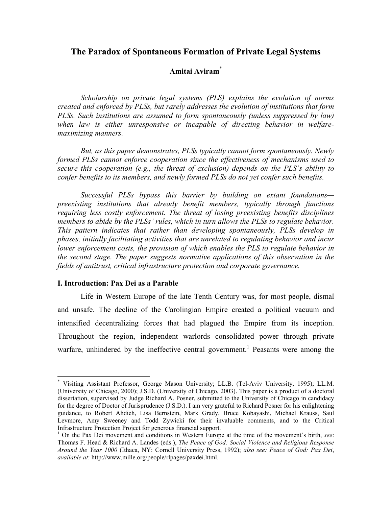## **The Paradox of Spontaneous Formation of Private Legal Systems**

#### **Amitai Aviram**[\\*](#page-2-0)

*Scholarship on private legal systems (PLS) explains the evolution of norms created and enforced by PLSs, but rarely addresses the evolution of institutions that form PLSs. Such institutions are assumed to form spontaneously (unless suppressed by law) when law is either unresponsive or incapable of directing behavior in welfaremaximizing manners.* 

*But, as this paper demonstrates, PLSs typically cannot form spontaneously. Newly formed PLSs cannot enforce cooperation since the effectiveness of mechanisms used to secure this cooperation (e.g., the threat of exclusion) depends on the PLS's ability to confer benefits to its members, and newly formed PLSs do not yet confer such benefits.* 

*Successful PLSs bypass this barrier by building on extant foundations preexisting institutions that already benefit members, typically through functions requiring less costly enforcement. The threat of losing preexisting benefits disciplines members to abide by the PLSs' rules, which in turn allows the PLSs to regulate behavior. This pattern indicates that rather than developing spontaneously, PLSs develop in phases, initially facilitating activities that are unrelated to regulating behavior and incur lower enforcement costs, the provision of which enables the PLS to regulate behavior in the second stage. The paper suggests normative applications of this observation in the fields of antitrust, critical infrastructure protection and corporate governance.* 

#### **I. Introduction: Pax Dei as a Parable**

 $\overline{a}$ 

Life in Western Europe of the late Tenth Century was, for most people, dismal and unsafe. The decline of the Carolingian Empire created a political vacuum and intensified decentralizing forces that had plagued the Empire from its inception. Throughout the region, independent warlords consolidated power through private warfare, unhindered by the ineffective central government.<sup>[1](#page-2-1)</sup> Peasants were among the

<span id="page-2-0"></span><sup>\*</sup> Visiting Assistant Professor, George Mason University; LL.B. (Tel-Aviv University, 1995); LL.M. (University of Chicago, 2000); J.S.D. (University of Chicago, 2003). This paper is a product of a doctoral dissertation, supervised by Judge Richard A. Posner, submitted to the University of Chicago in candidacy for the degree of Doctor of Jurisprudence (J.S.D.). I am very grateful to Richard Posner for his enlightening guidance, to Robert Ahdieh, Lisa Bernstein, Mark Grady, Bruce Kobayashi, Michael Krauss, Saul Levmore, Amy Sweeney and Todd Zywicki for their invaluable comments, and to the Critical Infrastructure Protection Project for generous financial support.

<span id="page-2-1"></span><sup>&</sup>lt;sup>1</sup> On the Pax Dei movement and conditions in Western Europe at the time of the movement's birth, see: Thomas F. Head & Richard A. Landes (eds.), *The Peace of God: Social Violence and Religious Response Around the Year 1000* (Ithaca, NY: Cornell University Press, 1992); *also see: Peace of God: Pax Dei*, *available at*: http://www.mille.org/people/rlpages/paxdei.html.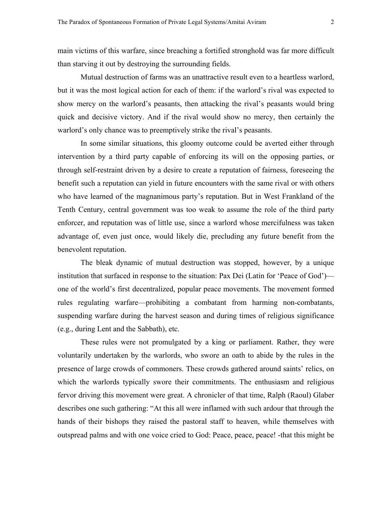main victims of this warfare, since breaching a fortified stronghold was far more difficult than starving it out by destroying the surrounding fields.

Mutual destruction of farms was an unattractive result even to a heartless warlord, but it was the most logical action for each of them: if the warlord's rival was expected to show mercy on the warlord's peasants, then attacking the rival's peasants would bring quick and decisive victory. And if the rival would show no mercy, then certainly the warlord's only chance was to preemptively strike the rival's peasants.

In some similar situations, this gloomy outcome could be averted either through intervention by a third party capable of enforcing its will on the opposing parties, or through self-restraint driven by a desire to create a reputation of fairness, foreseeing the benefit such a reputation can yield in future encounters with the same rival or with others who have learned of the magnanimous party's reputation. But in West Frankland of the Tenth Century, central government was too weak to assume the role of the third party enforcer, and reputation was of little use, since a warlord whose mercifulness was taken advantage of, even just once, would likely die, precluding any future benefit from the benevolent reputation.

The bleak dynamic of mutual destruction was stopped, however, by a unique institution that surfaced in response to the situation: Pax Dei (Latin for 'Peace of God') one of the world's first decentralized, popular peace movements. The movement formed rules regulating warfare—prohibiting a combatant from harming non-combatants, suspending warfare during the harvest season and during times of religious significance (e.g., during Lent and the Sabbath), etc.

These rules were not promulgated by a king or parliament. Rather, they were voluntarily undertaken by the warlords, who swore an oath to abide by the rules in the presence of large crowds of commoners. These crowds gathered around saints' relics, on which the warlords typically swore their commitments. The enthusiasm and religious fervor driving this movement were great. A chronicler of that time, Ralph (Raoul) Glaber describes one such gathering: "At this all were inflamed with such ardour that through the hands of their bishops they raised the pastoral staff to heaven, while themselves with outspread palms and with one voice cried to God: Peace, peace, peace! -that this might be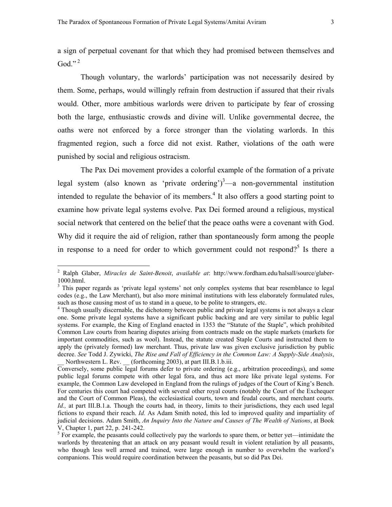a sign of perpetual covenant for that which they had promised between themselves and God<sup> $"$ [2](#page-4-0)</sup>

Though voluntary, the warlords' participation was not necessarily desired by them. Some, perhaps, would willingly refrain from destruction if assured that their rivals would. Other, more ambitious warlords were driven to participate by fear of crossing both the large, enthusiastic crowds and divine will. Unlike governmental decree, the oaths were not enforced by a force stronger than the violating warlords. In this fragmented region, such a force did not exist. Rather, violations of the oath were punished by social and religious ostracism.

The Pax Dei movement provides a colorful example of the formation of a private legal system (also known as 'private ordering')<sup>[3](#page-4-1)</sup>—a non-governmental institution intended to regulate the behavior of its members.<sup>4</sup> It also offers a good starting point to examine how private legal systems evolve. Pax Dei formed around a religious, mystical social network that centered on the belief that the peace oaths were a covenant with God. Why did it require the aid of religion, rather than spontaneously form among the people inresponse to a need for order to which government could not respond?<sup>5</sup> Is there a

<span id="page-4-0"></span><sup>2</sup> Ralph Glaber, *Miracles de Saint-Benoit*, *available at*: http://www.fordham.edu/halsall/source/glaber-1000.html.

<span id="page-4-1"></span><sup>&</sup>lt;sup>3</sup> This paper regards as 'private legal systems' not only complex systems that bear resemblance to legal codes (e.g., the Law Merchant), but also more minimal institutions with less elaborately formulated rules, such as those causing most of us to stand in a queue, to be polite to strangers, etc.

<span id="page-4-2"></span><sup>&</sup>lt;sup>4</sup> Though usually discernable, the dichotomy between public and private legal systems is not always a clear one. Some private legal systems have a significant public backing and are very similar to public legal systems. For example, the King of England enacted in 1353 the "Statute of the Staple", which prohibited Common Law courts from hearing disputes arising from contracts made on the staple markets (markets for important commodities, such as wool). Instead, the statute created Staple Courts and instructed them to apply the (privately formed) law merchant. Thus, private law was given exclusive jurisdiction by public decree. *See* Todd J. Zywicki, *The Rise and Fall of Efficiency in the Common Law: A Supply-Side Analysis*, Northwestern L. Rev. \_\_ (forthcoming 2003), at part III.B.1.b.iii.

Conversely, some public legal forums defer to private ordering (e.g., arbitration proceedings), and some public legal forums compete with other legal fora, and thus act more like private legal systems. For example, the Common Law developed in England from the rulings of judges of the Court of King's Bench. For centuries this court had competed with several other royal courts (notably the Court of the Exchequer and the Court of Common Pleas), the ecclesiastical courts, town and feudal courts, and merchant courts. *Id.,* at part III.B.1.a. Though the courts had, in theory, limits to their jurisdictions, they each used legal fictions to expand their reach. *Id.* As Adam Smith noted, this led to improved quality and impartiality of judicial decisions. Adam Smith, *An Inquiry Into the Nature and Causes of The Wealth of Nations*, at Book V, Chapter 1, part 22, p. 241-242.

<span id="page-4-3"></span> $5$  For example, the peasants could collectively pay the warlords to spare them, or better yet—intimidate the warlords by threatening that an attack on any peasant would result in violent retaliation by all peasants, who though less well armed and trained, were large enough in number to overwhelm the warlord's companions. This would require coordination between the peasants, but so did Pax Dei.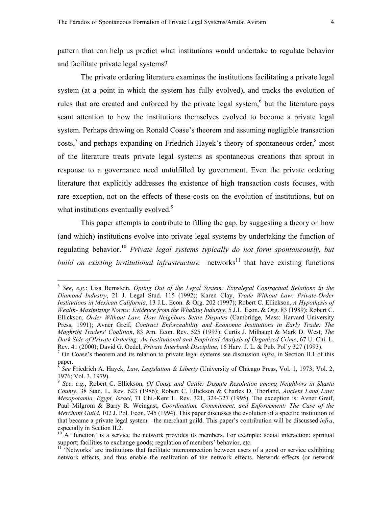<span id="page-5-5"></span>pattern that can help us predict what institutions would undertake to regulate behavior and facilitate private legal systems?

The private ordering literature examines the institutions facilitating a private legal system (at a point in which the system has fully evolved), and tracks the evolution of rules that are created and enforced by the private legal system, $6$  but the literature pays scant attention to how the institutions themselves evolved to become a private legal system. Perhaps drawing on Ronald Coase's theorem and assuming negligible transaction  $\cos$ ts,<sup>7</sup> and perhaps expanding on Friedrich Hayek's theory of spontaneous order, $\frac{8}{3}$  $\frac{8}{3}$  $\frac{8}{3}$  most of the literature treats private legal systems as spontaneous creations that sprout in response to a governance need unfulfilled by government. Even the private ordering literature that explicitly addresses the existence of high transaction costs focuses, with rare exception, not on the effects of these costs on the evolution of institutions, but on what institutions eventually evolved.<sup>[9](#page-5-3)</sup>

This paper attempts to contribute to filling the gap, by suggesting a theory on how (and which) institutions evolve into private legal systems by undertaking the function of regulating behavior.<sup>10</sup> *Private legal systems typically do not form spontaneously, but build on existing institutional infrastructure*—networks<sup>11</sup> that have existing functions

<span id="page-5-0"></span><sup>6</sup> *See*, *e.g*.: Lisa Bernstein, *Opting Out of the Legal System: Extralegal Contractual Relations in the Diamond Industry*, 21 J. Legal Stud. 115 (1992); Karen Clay, *Trade Without Law: Private-Order Institutions in Mexican California*, 13 J.L. Econ. & Org. 202 (1997); Robert C. Ellickson, *A Hypothesis of Wealth- Maximizing Norms: Evidence from the Whaling Industry*, 5 J.L. Econ. & Org. 83 (1989); Robert C. Ellickson, *Order Without Law: How Neighbors Settle Disputes* (Cambridge, Mass: Harvard University Press, 1991); Avner Greif, *Contract Enforceability and Economic Institutions in Early Trade: The Maghribi Traders' Coalition*, 83 Am. Econ. Rev. 525 (1993); Curtis J. Milhaupt & Mark D. West, *The Dark Side of Private Ordering: An Institutional and Empirical Analysis of Organized Crime*, 67 U. Chi. L. Rev. 41 (2000); David G. Oedel, *Private Interbank Discipline*, 16 Harv. J. L. & Pub. Pol'y 327 (1993). 7

<span id="page-5-1"></span><sup>&</sup>lt;sup>7</sup> On Coase's theorem and its relation to private legal systems see discussion *infra*, in Section II.1 of this paper.

<span id="page-5-2"></span><sup>8</sup> *See* Friedrich A. Hayek, *Law, Legislation & Liberty* (University of Chicago Press, Vol. 1, 1973; Vol. 2, 1976; Vol. 3, 1979).

<span id="page-5-3"></span><sup>9</sup> *See*, *e.g.*, Robert C. Ellickson, *Of Coase and Cattle: Dispute Resolution among Neighbors in Shasta County*, 38 Stan. L. Rev. 623 (1986); Robert C. Ellickson & Charles D. Thorland, *Ancient Land Law: Mesopotamia, Egypt, Israel*, 71 Chi.-Kent L. Rev. 321, 324-327 (1995). The exception is: Avner Greif, Paul Milgrom & Barry R. Weingast, *Coordination, Commitment, and Enforcement: The Case of the Merchant Guild*, 102 J. Pol. Econ. 745 (1994). This paper discusses the evolution of a specific institution of that became a private legal system—the merchant guild. This paper's contribution will be discussed *infra*, especially in Section II.2.

<span id="page-5-4"></span> $10$ <sup>10</sup> A 'function' is a service the network provides its members. For example: social interaction; spiritual support; facilities to exchange goods; regulation of members' behavior, etc.

 $11$  'Networks' are institutions that facilitate interconnection between users of a good or service exhibiting network effects, and thus enable the realization of the network effects. Network effects (or network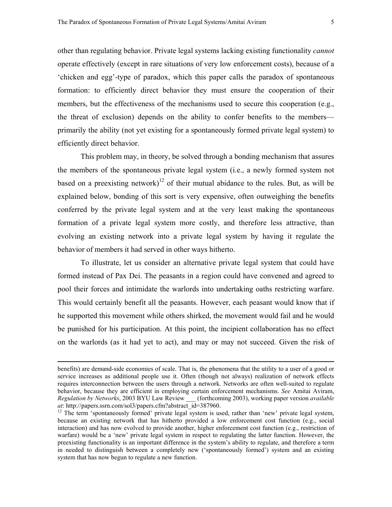other than regulating behavior. Private legal systems lacking existing functionality *cannot* operate effectively (except in rare situations of very low enforcement costs), because of a 'chicken and egg'-type of paradox, which this paper calls the paradox of spontaneous formation: to efficiently direct behavior they must ensure the cooperation of their members, but the effectiveness of the mechanisms used to secure this cooperation (e.g., the threat of exclusion) depends on the ability to confer benefits to the members primarily the ability (not yet existing for a spontaneously formed private legal system) to efficiently direct behavior.

This problem may, in theory, be solved through a bonding mechanism that assures the members of the spontaneous private legal system (i.e., a newly formed system not based on a preexisting network)<sup>12</sup> of their mutual abidance to the rules. But, as will be explained below, bonding of this sort is very expensive, often outweighing the benefits conferred by the private legal system and at the very least making the spontaneous formation of a private legal system more costly, and therefore less attractive, than evolving an existing network into a private legal system by having it regulate the behavior of members it had served in other ways hitherto.

To illustrate, let us consider an alternative private legal system that could have formed instead of Pax Dei. The peasants in a region could have convened and agreed to pool their forces and intimidate the warlords into undertaking oaths restricting warfare. This would certainly benefit all the peasants. However, each peasant would know that if he supported this movement while others shirked, the movement would fail and he would be punished for his participation. At this point, the incipient collaboration has no effect on the warlords (as it had yet to act), and may or may not succeed. Given the risk of

benefits) are demand-side economies of scale. That is, the phenomena that the utility to a user of a good or service increases as additional people use it. Often (though not always) realization of network effects requires interconnection between the users through a network. Networks are often well-suited to regulate behavior, because they are efficient in employing certain enforcement mechanisms. *See* Amitai Aviram, *Regulation by Networks*, 2003 BYU Law Review \_\_\_ (forthcoming 2003), working paper version *available at*: http://papers.ssrn.com/sol3/papers.cfm?abstract\_id=387960.<br><sup>12</sup> The term 'spontaneously formed' private legal system is used, rather than 'new' private legal system,

<span id="page-6-0"></span>because an existing network that has hitherto provided a low enforcement cost function (e.g., social interaction) and has now evolved to provide another, higher enforcement cost function (e.g., restriction of warfare) would be a 'new' private legal system in respect to regulating the latter function. However, the preexisting functionality is an important difference in the system's ability to regulate, and therefore a term in needed to distinguish between a completely new ('spontaneously formed') system and an existing system that has now begun to regulate a new function.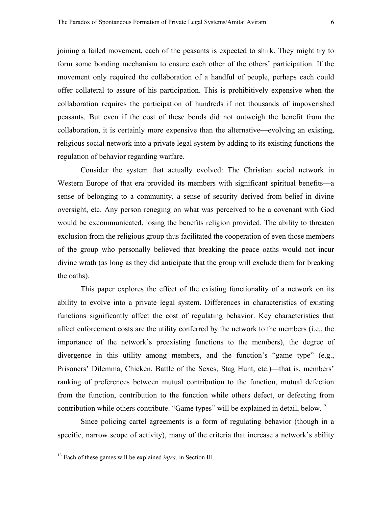joining a failed movement, each of the peasants is expected to shirk. They might try to form some bonding mechanism to ensure each other of the others' participation. If the movement only required the collaboration of a handful of people, perhaps each could offer collateral to assure of his participation. This is prohibitively expensive when the collaboration requires the participation of hundreds if not thousands of impoverished peasants. But even if the cost of these bonds did not outweigh the benefit from the collaboration, it is certainly more expensive than the alternative—evolving an existing, religious social network into a private legal system by adding to its existing functions the regulation of behavior regarding warfare.

Consider the system that actually evolved: The Christian social network in Western Europe of that era provided its members with significant spiritual benefits—a sense of belonging to a community, a sense of security derived from belief in divine oversight, etc. Any person reneging on what was perceived to be a covenant with God would be excommunicated, losing the benefits religion provided. The ability to threaten exclusion from the religious group thus facilitated the cooperation of even those members of the group who personally believed that breaking the peace oaths would not incur divine wrath (as long as they did anticipate that the group will exclude them for breaking the oaths).

This paper explores the effect of the existing functionality of a network on its ability to evolve into a private legal system. Differences in characteristics of existing functions significantly affect the cost of regulating behavior. Key characteristics that affect enforcement costs are the utility conferred by the network to the members (i.e., the importance of the network's preexisting functions to the members), the degree of divergence in this utility among members, and the function's "game type" (e.g., Prisoners' Dilemma, Chicken, Battle of the Sexes, Stag Hunt, etc.)—that is, members' ranking of preferences between mutual contribution to the function, mutual defection from the function, contribution to the function while others defect, or defecting from contribution while others contribute. "Game types" will be explained in detail, below.<sup>[13](#page-7-0)</sup>

Since policing cartel agreements is a form of regulating behavior (though in a specific, narrow scope of activity), many of the criteria that increase a network's ability

<u>.</u>

<span id="page-7-0"></span><sup>13</sup> Each of these games will be explained *infra*, in Section III.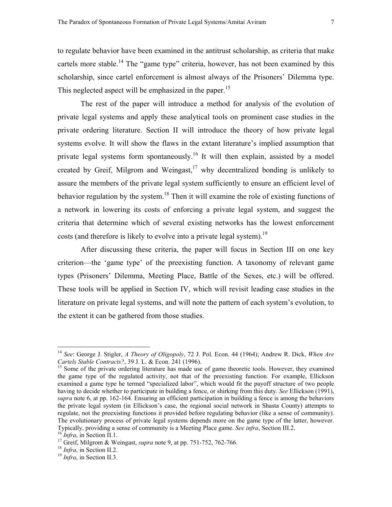to regulate behavior have been examined in the antitrust scholarship, as criteria that make cartels more stable.<sup>14</sup> The "game type" criteria, however, has not been examined by this scholarship, since cartel enforcement is almost always of the Prisoners' Dilemma type. This neglected aspect will be emphasized in the paper.<sup>[15](#page-8-1)</sup>

The rest of the paper will introduce a method for analysis of the evolution of private legal systems and apply these analytical tools on prominent case studies in the private ordering literature. Section II will introduce the theory of how private legal systems evolve. It will show the flaws in the extant literature's implied assumption that private legal systems form spontaneously.<sup>16</sup> It will then explain, assisted by a model created by Greif, Milgrom and Weingast,<sup>17</sup> why decentralized bonding is unlikely to assure the members of the private legal system sufficiently to ensure an efficient level of behavior regulation by the system.<sup>18</sup> Then it will examine the role of existing functions of a network in lowering its costs of enforcing a private legal system, and suggest the criteria that determine which of several existing networks has the lowest enforcement costs (and therefore is likely to evolve into a private legal system).<sup>[19](#page-8-5)</sup>

After discussing these criteria, the paper will focus in Section III on one key criterion—the 'game type' of the preexisting function. A taxonomy of relevant game types (Prisoners' Dilemma, Meeting Place, Battle of the Sexes, etc.) will be offered. These tools will be applied in Section IV, which will revisit leading case studies in the literature on private legal systems, and will note the pattern of each system's evolution, to the extent it can be gathered from those studies.

<span id="page-8-0"></span><sup>14</sup> *See*: George J. Stigler, *A Theory of Oligopoly*, 72 J. Pol. Econ. 44 (1964); Andrew R. Dick, *When Are Cartels Stable Contracts?*, 39 J. L. & Econ. 241 (1996).<br><sup>15</sup> Some of the private ordering literature has made use of game theoretic tools. However, they examined

<span id="page-8-1"></span>the game type of the regulated activity, not that of the preexisting function. For example, Ellickson examined a game type he termed "specialized labor", which would fit the payoff structure of two people having to decide whether to participate in building a fence, or shirking from this duty. *See* Ellickson (1991), *supra* note 6, at pp. 162-164. Ensuring an efficient participation in building a fence is among the behaviors the private legal system (in Ellickson's case, the regional social network in Shasta County) attempts to regulate, not the preexisting functions it provided before regulating behavior (like a sense of community). The evolutionary process of private legal systems depends more on the game type of the latter, however. Typically, providing a sense of community is a Meeting Place game. See infra, Section III.2.<br><sup>16</sup> *Infra*, in Section II.1.<br><sup>17</sup> Greif, Milgrom & Weingast, *supra* note 9, at pp. 751-752, 762-766.<br><sup>18</sup> *Infra*, in Section

<span id="page-8-2"></span>

<span id="page-8-3"></span>

<span id="page-8-4"></span>

<span id="page-8-5"></span>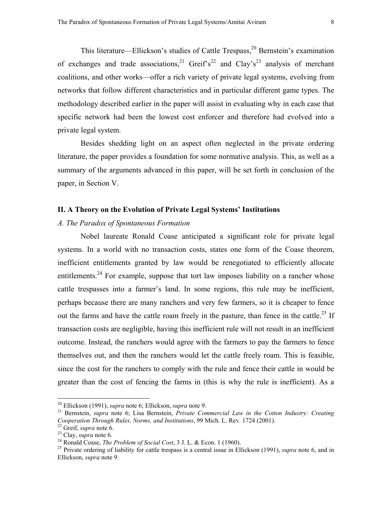This literature—Ellickson's studies of Cattle Trespass, $2^0$  Bernstein's examination of exchanges and trade associations,<sup>21</sup> Greif's<sup>22</sup> and Clay's<sup>23</sup> analysis of merchant coalitions, and other works—offer a rich variety of private legal systems, evolving from networks that follow different characteristics and in particular different game types. The methodology described earlier in the paper will assist in evaluating why in each case that specific network had been the lowest cost enforcer and therefore had evolved into a private legal system.

 Besides shedding light on an aspect often neglected in the private ordering literature, the paper provides a foundation for some normative analysis. This, as well as a summary of the arguments advanced in this paper, will be set forth in conclusion of the paper, in Section V.

#### **II. A Theory on the Evolution of Private Legal Systems' Institutions**

#### *A. The Paradox of Spontaneous Formation*

Nobel laureate Ronald Coase anticipated a significant role for private legal systems. In a world with no transaction costs, states one form of the Coase theorem, inefficient entitlements granted by law would be renegotiated to efficiently allocate entitlements.<sup>24</sup> For example, suppose that tort law imposes liability on a rancher whose cattle trespasses into a farmer's land. In some regions, this rule may be inefficient, perhaps because there are many ranchers and very few farmers, so it is cheaper to fence out the farms and have the cattle roam freely in the pasture, than fence in the cattle.<sup>25</sup> If transaction costs are negligible, having this inefficient rule will not result in an inefficient outcome. Instead, the ranchers would agree with the farmers to pay the farmers to fence themselves out, and then the ranchers would let the cattle freely roam. This is feasible, since the cost for the ranchers to comply with the rule and fence their cattle in would be greater than the cost of fencing the farms in (this is why the rule is inefficient). As a

<span id="page-9-1"></span><span id="page-9-0"></span>

<sup>&</sup>lt;sup>20</sup> Ellickson (1991), *supra* note 6; Ellickson, *supra* note 9.<br><sup>21</sup> Bernstein, *supra* note 6; Lisa Bernstein, *Private Commercial Law in the Cotton Industry: Creating Cooperation Through Rules, Norms, and Institutions,* 

<span id="page-9-2"></span>

<span id="page-9-3"></span>

<span id="page-9-5"></span><span id="page-9-4"></span>

<sup>&</sup>lt;sup>22</sup> Greif, *supra* note 6.<br><sup>23</sup> Clay, *supra* note 6.<br><sup>24</sup> Ronald Coase, *The Problem of Social Cost*, 3 J. L. & Econ. 1 (1960).<br><sup>24</sup> Private ordering of liability for cattle trespass is a central issue in Ellickson (199 Ellickson, *supra* note 9.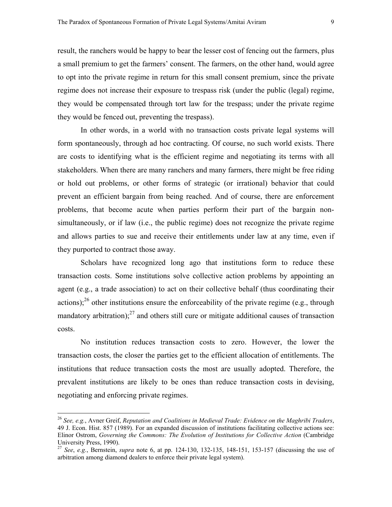result, the ranchers would be happy to bear the lesser cost of fencing out the farmers, plus a small premium to get the farmers' consent. The farmers, on the other hand, would agree to opt into the private regime in return for this small consent premium, since the private regime does not increase their exposure to trespass risk (under the public (legal) regime, they would be compensated through tort law for the trespass; under the private regime they would be fenced out, preventing the trespass).

In other words, in a world with no transaction costs private legal systems will form spontaneously, through ad hoc contracting. Of course, no such world exists. There are costs to identifying what is the efficient regime and negotiating its terms with all stakeholders. When there are many ranchers and many farmers, there might be free riding or hold out problems, or other forms of strategic (or irrational) behavior that could prevent an efficient bargain from being reached. And of course, there are enforcement problems, that become acute when parties perform their part of the bargain nonsimultaneously, or if law (i.e., the public regime) does not recognize the private regime and allows parties to sue and receive their entitlements under law at any time, even if they purported to contract those away.

Scholars have recognized long ago that institutions form to reduce these transaction costs. Some institutions solve collective action problems by appointing an agent (e.g., a trade association) to act on their collective behalf (thus coordinating their actions);<sup>26</sup> other institutions ensure the enforceability of the private regime (e.g., through mandatory arbitration); $^{27}$  and others still cure or mitigate additional causes of transaction costs.

No institution reduces transaction costs to zero. However, the lower the transaction costs, the closer the parties get to the efficient allocation of entitlements. The institutions that reduce transaction costs the most are usually adopted. Therefore, the prevalent institutions are likely to be ones than reduce transaction costs in devising, negotiating and enforcing private regimes.

<span id="page-10-0"></span><sup>26</sup> *See, e.g.*, Avner Greif, *Reputation and Coalitions in Medieval Trade: Evidence on the Maghribi Traders*, 49 J. Econ. Hist. 857 (1989). For an expanded discussion of institutions facilitating collective actions see: Elinor Ostrom, *Governing the Commons: The Evolution of Institutions for Collective Action* (Cambridge University Press, 1990).

<span id="page-10-1"></span><sup>27</sup> *See*, *e.g.*, Bernstein, *supra* note 6, at pp. 124-130, 132-135, 148-151, 153-157 (discussing the use of arbitration among diamond dealers to enforce their private legal system).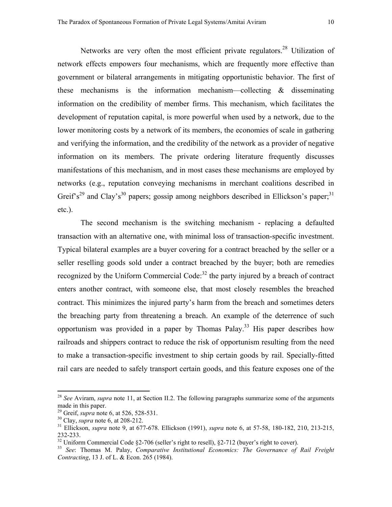Networks are very often the most efficient private regulators.<sup>28</sup> Utilization of network effects empowers four mechanisms, which are frequently more effective than government or bilateral arrangements in mitigating opportunistic behavior. The first of these mechanisms is the information mechanism—collecting & disseminating information on the credibility of member firms. This mechanism, which facilitates the development of reputation capital, is more powerful when used by a network, due to the lower monitoring costs by a network of its members, the economies of scale in gathering and verifying the information, and the credibility of the network as a provider of negative information on its members. The private ordering literature frequently discusses manifestations of this mechanism, and in most cases these mechanisms are employed by networks (e.g., reputation conveying mechanisms in merchant coalitions described in Greif's<sup>29</sup> and Clay's<sup>30</sup> papers; gossip among neighbors described in Ellickson's paper;<sup>31</sup> etc.).

The second mechanism is the switching mechanism - replacing a defaulted transaction with an alternative one, with minimal loss of transaction-specific investment. Typical bilateral examples are a buyer covering for a contract breached by the seller or a seller reselling goods sold under a contract breached by the buyer; both are remedies recognized by the Uniform Commercial Code:<sup>32</sup> the party injured by a breach of contract enters another contract, with someone else, that most closely resembles the breached contract. This minimizes the injured party's harm from the breach and sometimes deters the breaching party from threatening a breach. An example of the deterrence of such opportunism was provided in a paper by Thomas Palay.<sup>33</sup> His paper describes how railroads and shippers contract to reduce the risk of opportunism resulting from the need to make a transaction-specific investment to ship certain goods by rail. Specially-fitted rail cars are needed to safely transport certain goods, and this feature exposes one of the

<span id="page-11-0"></span><sup>28</sup> *See* Aviram, *supra* note 11, at Section II.2. The following paragraphs summarize some of the arguments made in this paper.<br><sup>29</sup> Greif, *supra* note 6, at 526, 528-531.

<span id="page-11-1"></span>

<span id="page-11-3"></span><span id="page-11-2"></span>

<sup>&</sup>lt;sup>30</sup> Clay, *supra* note 6, at 208-212.<br><sup>31</sup> Ellickson, *supra* note 9, at 677-678. Ellickson (1991), *supra* note 6, at 57-58, 180-182, 210, 213-215, 232-233.

<span id="page-11-5"></span>

<span id="page-11-4"></span><sup>&</sup>lt;sup>32</sup> Uniform Commercial Code §2-706 (seller's right to resell), §2-712 (buyer's right to cover).<br><sup>33</sup> *See*: Thomas M. Palay, *Comparative Institutional Economics: The Governance of Rail Freight Contracting*, 13 J. of L. & Econ. 265 (1984).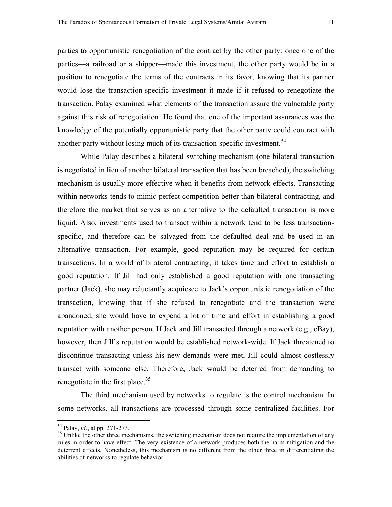parties to opportunistic renegotiation of the contract by the other party: once one of the parties—a railroad or a shipper—made this investment, the other party would be in a position to renegotiate the terms of the contracts in its favor, knowing that its partner would lose the transaction-specific investment it made if it refused to renegotiate the transaction. Palay examined what elements of the transaction assure the vulnerable party against this risk of renegotiation. He found that one of the important assurances was the knowledge of the potentially opportunistic party that the other party could contract with another party without losing much of its transaction-specific investment.<sup>[34](#page-12-0)</sup>

While Palay describes a bilateral switching mechanism (one bilateral transaction is negotiated in lieu of another bilateral transaction that has been breached), the switching mechanism is usually more effective when it benefits from network effects. Transacting within networks tends to mimic perfect competition better than bilateral contracting, and therefore the market that serves as an alternative to the defaulted transaction is more liquid. Also, investments used to transact within a network tend to be less transactionspecific, and therefore can be salvaged from the defaulted deal and be used in an alternative transaction. For example, good reputation may be required for certain transactions. In a world of bilateral contracting, it takes time and effort to establish a good reputation. If Jill had only established a good reputation with one transacting partner (Jack), she may reluctantly acquiesce to Jack's opportunistic renegotiation of the transaction, knowing that if she refused to renegotiate and the transaction were abandoned, she would have to expend a lot of time and effort in establishing a good reputation with another person. If Jack and Jill transacted through a network (e.g., eBay), however, then Jill's reputation would be established network-wide. If Jack threatened to discontinue transacting unless his new demands were met, Jill could almost costlessly transact with someone else. Therefore, Jack would be deterred from demanding to renegotiate in the first place.<sup>35</sup>

The third mechanism used by networks to regulate is the control mechanism. In some networks, all transactions are processed through some centralized facilities. For

<span id="page-12-1"></span><span id="page-12-0"></span>

 $34$  Palay, *id.*, at pp. 271-273.<br><sup>35</sup> Unlike the other three mechanisms, the switching mechanism does not require the implementation of any rules in order to have effect. The very existence of a network produces both the harm mitigation and the deterrent effects. Nonetheless, this mechanism is no different from the other three in differentiating the abilities of networks to regulate behavior.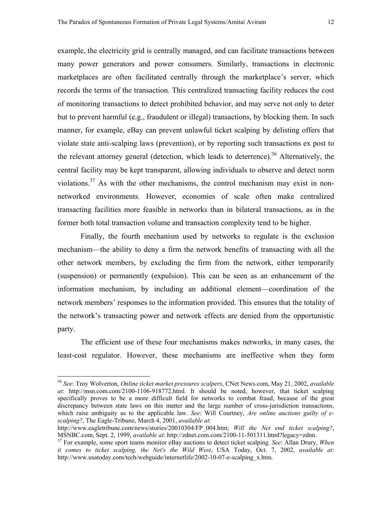example, the electricity grid is centrally managed, and can facilitate transactions between many power generators and power consumers. Similarly, transactions in electronic marketplaces are often facilitated centrally through the marketplace's server, which records the terms of the transaction. This centralized transacting facility reduces the cost of monitoring transactions to detect prohibited behavior, and may serve not only to deter but to prevent harmful (e.g., fraudulent or illegal) transactions, by blocking them. In such manner, for example, eBay can prevent unlawful ticket scalping by delisting offers that violate state anti-scalping laws (prevention), or by reporting such transactions ex post to the relevant attorney general (detection, which leads to deterrence).<sup>36</sup> Alternatively, the central facility may be kept transparent, allowing individuals to observe and detect norm violations[.37](#page-13-1) As with the other mechanisms, the control mechanism may exist in nonnetworked environments. However, economies of scale often make centralized transacting facilities more feasible in networks than in bilateral transactions, as in the former both total transaction volume and transaction complexity tend to be higher.

Finally, the fourth mechanism used by networks to regulate is the exclusion mechanism—the ability to deny a firm the network benefits of transacting with all the other network members, by excluding the firm from the network, either temporarily (suspension) or permanently (expulsion). This can be seen as an enhancement of the information mechanism, by including an additional element—coordination of the network members' responses to the information provided. This ensures that the totality of the network's transacting power and network effects are denied from the opportunistic party.

The efficient use of these four mechanisms makes networks, in many cases, the least-cost regulator. However, these mechanisms are ineffective when they form

<span id="page-13-0"></span><sup>36</sup> *See*: Troy Wolverton, *Online ticket market pressures scalpers*, CNet News.com, May 21, 2002, *available at*: http://msn.com.com/2100-1106-918772.html. It should be noted, however, that ticket scalping specifically proves to be a more difficult field for networks to combat fraud, because of the great discrepancy between state laws on this matter and the large number of cross-jurisdiction transactions, which raise ambiguity as to the applicable law. *See*: Will Courtney, *Are online auctions guilty of escalping?*, The Eagle-Tribune, March 4, 2001, *available at*:

http://www.eagletribune.com/news/stories/20010304/FP\_004.htm; *Will the Net end ticket scalping?*, MSNBC.com, Sept. 2, 1999, *available at*: http://zdnet.com.com/2100-11-501311.html?legacy=zdnn. 37 For example, some sport teams monitor eBay auctions to detect ticket scalping. *See*: Allan Drury, *When* 

<span id="page-13-1"></span>*it comes to ticket scalping, the Net's the Wild West*, USA Today, Oct. 7, 2002, *available at*: http://www.usatoday.com/tech/webguide/internetlife/2002-10-07-e-scalping\_x.htm.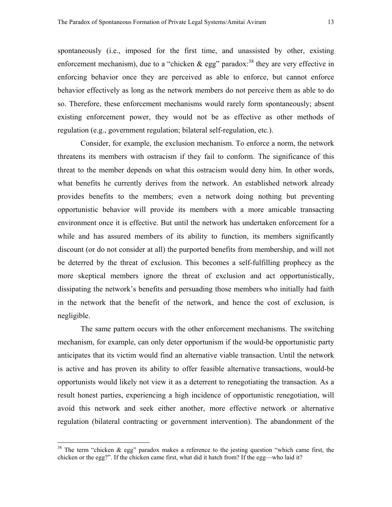spontaneously (i.e., imposed for the first time, and unassisted by other, existing enforcement mechanism), due to a "chicken  $\&$  egg" paradox:<sup>38</sup> they are very effective in enforcing behavior once they are perceived as able to enforce, but cannot enforce behavior effectively as long as the network members do not perceive them as able to do so. Therefore, these enforcement mechanisms would rarely form spontaneously; absent existing enforcement power, they would not be as effective as other methods of regulation (e.g., government regulation; bilateral self-regulation, etc.).

Consider, for example, the exclusion mechanism. To enforce a norm, the network threatens its members with ostracism if they fail to conform. The significance of this threat to the member depends on what this ostracism would deny him. In other words, what benefits he currently derives from the network. An established network already provides benefits to the members; even a network doing nothing but preventing opportunistic behavior will provide its members with a more amicable transacting environment once it is effective. But until the network has undertaken enforcement for a while and has assured members of its ability to function, its members significantly discount (or do not consider at all) the purported benefits from membership, and will not be deterred by the threat of exclusion. This becomes a self-fulfilling prophecy as the more skeptical members ignore the threat of exclusion and act opportunistically, dissipating the network's benefits and persuading those members who initially had faith in the network that the benefit of the network, and hence the cost of exclusion, is negligible.

The same pattern occurs with the other enforcement mechanisms. The switching mechanism, for example, can only deter opportunism if the would-be opportunistic party anticipates that its victim would find an alternative viable transaction. Until the network is active and has proven its ability to offer feasible alternative transactions, would-be opportunists would likely not view it as a deterrent to renegotiating the transaction. As a result honest parties, experiencing a high incidence of opportunistic renegotiation, will avoid this network and seek either another, more effective network or alternative regulation (bilateral contracting or government intervention). The abandonment of the

<span id="page-14-0"></span><sup>&</sup>lt;sup>38</sup> The term "chicken  $\&$  egg" paradox makes a reference to the jesting question "which came first, the chicken or the egg?". If the chicken came first, what did it hatch from? If the egg—who laid it?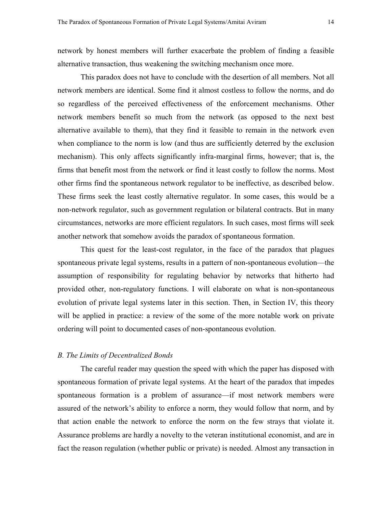network by honest members will further exacerbate the problem of finding a feasible alternative transaction, thus weakening the switching mechanism once more.

This paradox does not have to conclude with the desertion of all members. Not all network members are identical. Some find it almost costless to follow the norms, and do so regardless of the perceived effectiveness of the enforcement mechanisms. Other network members benefit so much from the network (as opposed to the next best alternative available to them), that they find it feasible to remain in the network even when compliance to the norm is low (and thus are sufficiently deterred by the exclusion mechanism). This only affects significantly infra-marginal firms, however; that is, the firms that benefit most from the network or find it least costly to follow the norms. Most other firms find the spontaneous network regulator to be ineffective, as described below. These firms seek the least costly alternative regulator. In some cases, this would be a non-network regulator, such as government regulation or bilateral contracts. But in many circumstances, networks are more efficient regulators. In such cases, most firms will seek another network that somehow avoids the paradox of spontaneous formation.

This quest for the least-cost regulator, in the face of the paradox that plagues spontaneous private legal systems, results in a pattern of non-spontaneous evolution—the assumption of responsibility for regulating behavior by networks that hitherto had provided other, non-regulatory functions. I will elaborate on what is non-spontaneous evolution of private legal systems later in this section. Then, in Section IV, this theory will be applied in practice: a review of the some of the more notable work on private ordering will point to documented cases of non-spontaneous evolution.

#### *B. The Limits of Decentralized Bonds*

The careful reader may question the speed with which the paper has disposed with spontaneous formation of private legal systems. At the heart of the paradox that impedes spontaneous formation is a problem of assurance—if most network members were assured of the network's ability to enforce a norm, they would follow that norm, and by that action enable the network to enforce the norm on the few strays that violate it. Assurance problems are hardly a novelty to the veteran institutional economist, and are in fact the reason regulation (whether public or private) is needed. Almost any transaction in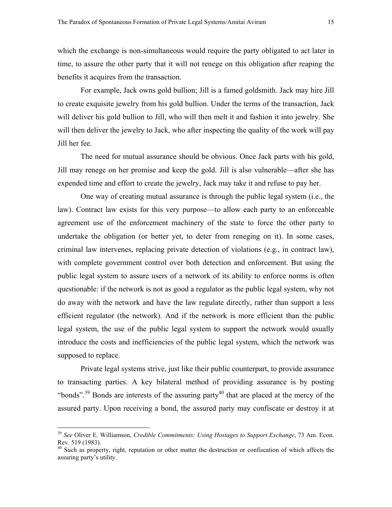which the exchange is non-simultaneous would require the party obligated to act later in time, to assure the other party that it will not renege on this obligation after reaping the benefits it acquires from the transaction.

For example, Jack owns gold bullion; Jill is a famed goldsmith. Jack may hire Jill to create exquisite jewelry from his gold bullion. Under the terms of the transaction, Jack will deliver his gold bullion to Jill, who will then melt it and fashion it into jewelry. She will then deliver the jewelry to Jack, who after inspecting the quality of the work will pay Jill her fee.

The need for mutual assurance should be obvious. Once Jack parts with his gold, Jill may renege on her promise and keep the gold. Jill is also vulnerable—after she has expended time and effort to create the jewelry, Jack may take it and refuse to pay her.

One way of creating mutual assurance is through the public legal system (i.e., the law). Contract law exists for this very purpose—to allow each party to an enforceable agreement use of the enforcement machinery of the state to force the other party to undertake the obligation (or better yet, to deter from reneging on it). In some cases, criminal law intervenes, replacing private detection of violations (e.g., in contract law), with complete government control over both detection and enforcement. But using the public legal system to assure users of a network of its ability to enforce norms is often questionable: if the network is not as good a regulator as the public legal system, why not do away with the network and have the law regulate directly, rather than support a less efficient regulator (the network). And if the network is more efficient than the public legal system, the use of the public legal system to support the network would usually introduce the costs and inefficiencies of the public legal system, which the network was supposed to replace.

Private legal systems strive, just like their public counterpart, to provide assurance to transacting parties. A key bilateral method of providing assurance is by posting "bonds".<sup>39</sup> Bonds are interests of the assuring party<sup>40</sup> that are placed at the mercy of the assured party. Upon receiving a bond, the assured party may confiscate or destroy it at

<span id="page-16-0"></span><sup>39</sup> *See* Oliver E. Williamson, *Credible Commitments: Using Hostages to Support Exchange*, 73 Am. Econ. Rev. 519 (1983).

<span id="page-16-1"></span><sup>&</sup>lt;sup>40</sup> Such as property, right, reputation or other matter the destruction or confiscation of which affects the assuring party's utility.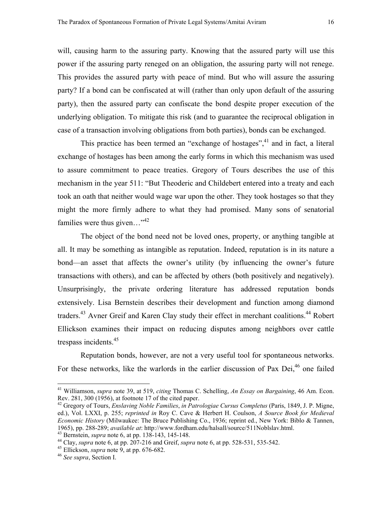will, causing harm to the assuring party. Knowing that the assured party will use this power if the assuring party reneged on an obligation, the assuring party will not renege. This provides the assured party with peace of mind. But who will assure the assuring party? If a bond can be confiscated at will (rather than only upon default of the assuring party), then the assured party can confiscate the bond despite proper execution of the underlying obligation. To mitigate this risk (and to guarantee the reciprocal obligation in case of a transaction involving obligations from both parties), bonds can be exchanged.

This practice has been termed an "exchange of hostages",  $41$  and in fact, a literal exchange of hostages has been among the early forms in which this mechanism was used to assure commitment to peace treaties. Gregory of Tours describes the use of this mechanism in the year 511: "But Theoderic and Childebert entered into a treaty and each took an oath that neither would wage war upon the other. They took hostages so that they might the more firmly adhere to what they had promised. Many sons of senatorial families were thus given..."<sup>[42](#page-17-1)</sup>

The object of the bond need not be loved ones, property, or anything tangible at all. It may be something as intangible as reputation. Indeed, reputation is in its nature a bond—an asset that affects the owner's utility (by influencing the owner's future transactions with others), and can be affected by others (both positively and negatively). Unsurprisingly, the private ordering literature has addressed reputation bonds extensively. Lisa Bernstein describes their development and function among diamond traders.<sup>43</sup> Avner Greif and Karen Clay study their effect in merchant coalitions.<sup>44</sup> Robert Ellickson examines their impact on reducing disputes among neighbors over cattle trespass incidents.<sup>45</sup>

Reputation bonds, however, are not a very useful tool for spontaneous networks. For these networks, like the warlords in the earlier discussion of Pax Dei, $46$  one failed

<span id="page-17-0"></span><sup>41</sup> Williamson, *supra* note 39, at 519, *citing* Thomas C. Schelling, *An Essay on Bargaining*, 46 Am. Econ. Rev. 281, 300 (1956), at footnote 17 of the cited paper.

<span id="page-17-1"></span><sup>42</sup> Gregory of Tours, *Enslaving Noble Families*, *in Patrologiae Cursus Completus* (Paris, 1849, J. P. Migne, ed.), Vol. LXXI, p. 255; *reprinted in* Roy C. Cave & Herbert H. Coulson, *A Source Book for Medieval Economic History* (Milwaukee: The Bruce Publishing Co., 1936; reprint ed., New York: Biblo & Tannen, 1965), pp. 288-289; *available at*: http://www.fordham.edu/halsall/source/511Noblslav.html.<br><sup>43</sup> Bernstein, *supra* note 6, at pp. 138-143, 145-148.<br><sup>44</sup> Clay, *supra* note 6, at pp. 207-216 and Greif, *supra* note 6, at

<span id="page-17-2"></span>

<span id="page-17-3"></span>

<span id="page-17-4"></span>

<span id="page-17-5"></span>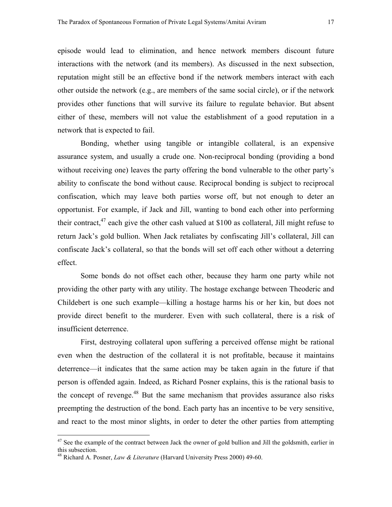episode would lead to elimination, and hence network members discount future interactions with the network (and its members). As discussed in the next subsection, reputation might still be an effective bond if the network members interact with each other outside the network (e.g., are members of the same social circle), or if the network provides other functions that will survive its failure to regulate behavior. But absent either of these, members will not value the establishment of a good reputation in a network that is expected to fail.

Bonding, whether using tangible or intangible collateral, is an expensive assurance system, and usually a crude one. Non-reciprocal bonding (providing a bond without receiving one) leaves the party offering the bond vulnerable to the other party's ability to confiscate the bond without cause. Reciprocal bonding is subject to reciprocal confiscation, which may leave both parties worse off, but not enough to deter an opportunist. For example, if Jack and Jill, wanting to bond each other into performing their contract,  $47$  each give the other cash valued at \$100 as collateral, Jill might refuse to return Jack's gold bullion. When Jack retaliates by confiscating Jill's collateral, Jill can confiscate Jack's collateral, so that the bonds will set off each other without a deterring effect.

Some bonds do not offset each other, because they harm one party while not providing the other party with any utility. The hostage exchange between Theoderic and Childebert is one such example—killing a hostage harms his or her kin, but does not provide direct benefit to the murderer. Even with such collateral, there is a risk of insufficient deterrence.

First, destroying collateral upon suffering a perceived offense might be rational even when the destruction of the collateral it is not profitable, because it maintains deterrence—it indicates that the same action may be taken again in the future if that person is offended again. Indeed, as Richard Posner explains, this is the rational basis to the concept of revenge.<sup>48</sup> But the same mechanism that provides assurance also risks preempting the destruction of the bond. Each party has an incentive to be very sensitive, and react to the most minor slights, in order to deter the other parties from attempting

<span id="page-18-0"></span> $47$  See the example of the contract between Jack the owner of gold bullion and Jill the goldsmith, earlier in this subsection.

<span id="page-18-1"></span><sup>48</sup> Richard A. Posner, *Law & Literature* (Harvard University Press 2000) 49-60.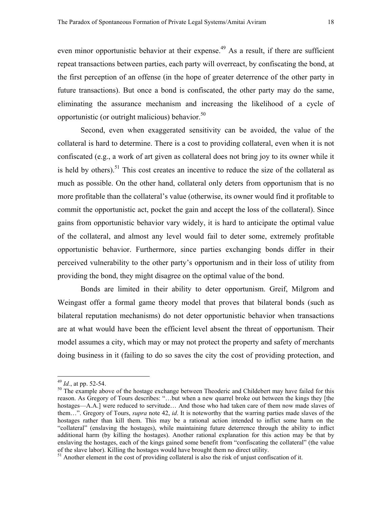even minor opportunistic behavior at their expense.<sup>49</sup> As a result, if there are sufficient repeat transactions between parties, each party will overreact, by confiscating the bond, at the first perception of an offense (in the hope of greater deterrence of the other party in future transactions). But once a bond is confiscated, the other party may do the same, eliminating the assurance mechanism and increasing the likelihood of a cycle of opportunistic (or outright malicious) behavior. $50$ 

Second, even when exaggerated sensitivity can be avoided, the value of the collateral is hard to determine. There is a cost to providing collateral, even when it is not confiscated (e.g., a work of art given as collateral does not bring joy to its owner while it is held by others).<sup>51</sup> This cost creates an incentive to reduce the size of the collateral as much as possible. On the other hand, collateral only deters from opportunism that is no more profitable than the collateral's value (otherwise, its owner would find it profitable to commit the opportunistic act, pocket the gain and accept the loss of the collateral). Since gains from opportunistic behavior vary widely, it is hard to anticipate the optimal value of the collateral, and almost any level would fail to deter some, extremely profitable opportunistic behavior. Furthermore, since parties exchanging bonds differ in their perceived vulnerability to the other party's opportunism and in their loss of utility from providing the bond, they might disagree on the optimal value of the bond.

Bonds are limited in their ability to deter opportunism. Greif, Milgrom and Weingast offer a formal game theory model that proves that bilateral bonds (such as bilateral reputation mechanisms) do not deter opportunistic behavior when transactions are at what would have been the efficient level absent the threat of opportunism. Their model assumes a city, which may or may not protect the property and safety of merchants doing business in it (failing to do so saves the city the cost of providing protection, and

<span id="page-19-1"></span><span id="page-19-0"></span>

 $^{49}$  *Id.*, at pp. 52-54.<br><sup>50</sup> The example above of the hostage exchange between Theoderic and Childebert may have failed for this reason. As Gregory of Tours describes: "…but when a new quarrel broke out between the kings they [the hostages—A.A.] were reduced to servitude... And those who had taken care of them now made slaves of them…". Gregory of Tours, *supra* note 42, *id*. It is noteworthy that the warring parties made slaves of the hostages rather than kill them. This may be a rational action intended to inflict some harm on the "collateral" (enslaving the hostages), while maintaining future deterrence through the ability to inflict additional harm (by killing the hostages). Another rational explanation for this action may be that by enslaving the hostages, each of the kings gained some benefit from "confiscating the collateral" (the value of the slave labor). Killing the hostages would have brought them no direct utility. 51 Another element in the cost of providing collateral is also the risk of unjust confiscation of it.

<span id="page-19-2"></span>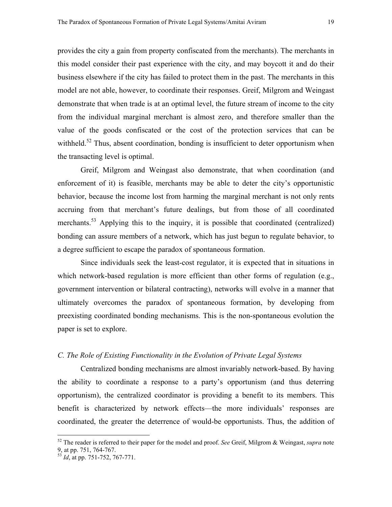provides the city a gain from property confiscated from the merchants). The merchants in this model consider their past experience with the city, and may boycott it and do their business elsewhere if the city has failed to protect them in the past. The merchants in this model are not able, however, to coordinate their responses. Greif, Milgrom and Weingast demonstrate that when trade is at an optimal level, the future stream of income to the city from the individual marginal merchant is almost zero, and therefore smaller than the value of the goods confiscated or the cost of the protection services that can be withheld.<sup>52</sup> Thus, absent coordination, bonding is insufficient to deter opportunism when the transacting level is optimal.

Greif, Milgrom and Weingast also demonstrate, that when coordination (and enforcement of it) is feasible, merchants may be able to deter the city's opportunistic behavior, because the income lost from harming the marginal merchant is not only rents accruing from that merchant's future dealings, but from those of all coordinated merchants.<sup>53</sup> Applying this to the inquiry, it is possible that coordinated (centralized) bonding can assure members of a network, which has just begun to regulate behavior, to a degree sufficient to escape the paradox of spontaneous formation.

Since individuals seek the least-cost regulator, it is expected that in situations in which network-based regulation is more efficient than other forms of regulation (e.g., government intervention or bilateral contracting), networks will evolve in a manner that ultimately overcomes the paradox of spontaneous formation, by developing from preexisting coordinated bonding mechanisms. This is the non-spontaneous evolution the paper is set to explore.

#### *C. The Role of Existing Functionality in the Evolution of Private Legal Systems*

Centralized bonding mechanisms are almost invariably network-based. By having the ability to coordinate a response to a party's opportunism (and thus deterring opportunism), the centralized coordinator is providing a benefit to its members. This benefit is characterized by network effects—the more individuals' responses are coordinated, the greater the deterrence of would-be opportunists. Thus, the addition of

<span id="page-20-0"></span><sup>52</sup> The reader is referred to their paper for the model and proof. *See* Greif, Milgrom & Weingast, *supra* note 9, at pp. 751, 764-767.

<span id="page-20-1"></span><sup>53</sup> *Id*, at pp. 751-752, 767-771.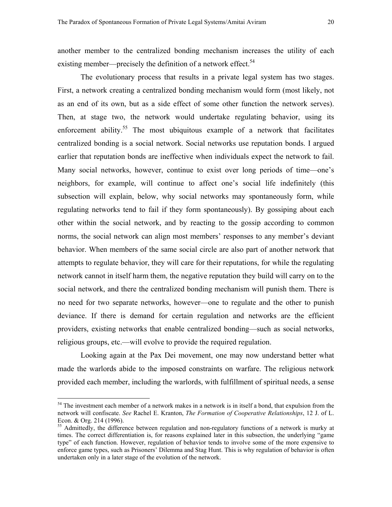another member to the centralized bonding mechanism increases the utility of each existing member—precisely the definition of a network effect.<sup>54</sup>

The evolutionary process that results in a private legal system has two stages. First, a network creating a centralized bonding mechanism would form (most likely, not as an end of its own, but as a side effect of some other function the network serves). Then, at stage two, the network would undertake regulating behavior, using its enforcement ability.<sup>55</sup> The most ubiquitous example of a network that facilitates centralized bonding is a social network. Social networks use reputation bonds. I argued earlier that reputation bonds are ineffective when individuals expect the network to fail. Many social networks, however, continue to exist over long periods of time—one's neighbors, for example, will continue to affect one's social life indefinitely (this subsection will explain, below, why social networks may spontaneously form, while regulating networks tend to fail if they form spontaneously). By gossiping about each other within the social network, and by reacting to the gossip according to common norms, the social network can align most members' responses to any member's deviant behavior. When members of the same social circle are also part of another network that attempts to regulate behavior, they will care for their reputations, for while the regulating network cannot in itself harm them, the negative reputation they build will carry on to the social network, and there the centralized bonding mechanism will punish them. There is no need for two separate networks, however—one to regulate and the other to punish deviance. If there is demand for certain regulation and networks are the efficient providers, existing networks that enable centralized bonding—such as social networks, religious groups, etc.—will evolve to provide the required regulation.

Looking again at the Pax Dei movement, one may now understand better what made the warlords abide to the imposed constraints on warfare. The religious network provided each member, including the warlords, with fulfillment of spiritual needs, a sense

<span id="page-21-0"></span><sup>&</sup>lt;sup>54</sup> The investment each member of a network makes in a network is in itself a bond, that expulsion from the network will confiscate. *See* Rachel E. Kranton, *The Formation of Cooperative Relationships*, 12 J. of L. Econ. & Org. 214 (1996).

<span id="page-21-1"></span><sup>&</sup>lt;sup>55</sup> Admittedly, the difference between regulation and non-regulatory functions of a network is murky at times. The correct differentiation is, for reasons explained later in this subsection, the underlying "game type" of each function. However, regulation of behavior tends to involve some of the more expensive to enforce game types, such as Prisoners' Dilemma and Stag Hunt. This is why regulation of behavior is often undertaken only in a later stage of the evolution of the network.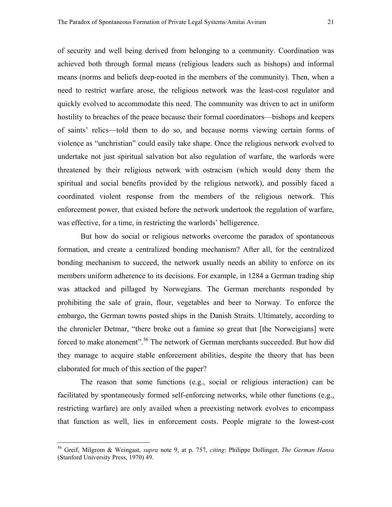of security and well being derived from belonging to a community. Coordination was achieved both through formal means (religious leaders such as bishops) and informal means (norms and beliefs deep-rooted in the members of the community). Then, when a need to restrict warfare arose, the religious network was the least-cost regulator and quickly evolved to accommodate this need. The community was driven to act in uniform hostility to breaches of the peace because their formal coordinators—bishops and keepers of saints' relics—told them to do so, and because norms viewing certain forms of violence as "unchristian" could easily take shape. Once the religious network evolved to undertake not just spiritual salvation but also regulation of warfare, the warlords were threatened by their religious network with ostracism (which would deny them the spiritual and social benefits provided by the religious network), and possibly faced a coordinated violent response from the members of the religious network. This enforcement power, that existed before the network undertook the regulation of warfare, was effective, for a time, in restricting the warlords' belligerence.

But how do social or religious networks overcome the paradox of spontaneous formation, and create a centralized bonding mechanism? After all, for the centralized bonding mechanism to succeed, the network usually needs an ability to enforce on its members uniform adherence to its decisions. For example, in 1284 a German trading ship was attacked and pillaged by Norwegians. The German merchants responded by prohibiting the sale of grain, flour, vegetables and beer to Norway. To enforce the embargo, the German towns posted ships in the Danish Straits. Ultimately, according to the chronicler Detmar, "there broke out a famine so great that [the Norweigians] were forced to make atonement".<sup>56</sup> The network of German merchants succeeded. But how did they manage to acquire stable enforcement abilities, despite the theory that has been elaborated for much of this section of the paper?

The reason that some functions (e.g., social or religious interaction) can be facilitated by spontaneously formed self-enforcing networks, while other functions (e.g., restricting warfare) are only availed when a preexisting network evolves to encompass that function as well, lies in enforcement costs. People migrate to the lowest-cost

<span id="page-22-0"></span><sup>56</sup> Greif, Milgrom & Weingast, *supra* note 9, at p. 757, *citing*: Philippe Dollinger, *The German Hansa* (Stanford University Press, 1970) 49.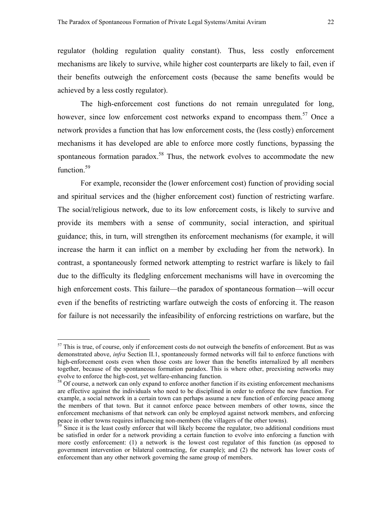regulator (holding regulation quality constant). Thus, less costly enforcement mechanisms are likely to survive, while higher cost counterparts are likely to fail, even if their benefits outweigh the enforcement costs (because the same benefits would be achieved by a less costly regulator).

The high-enforcement cost functions do not remain unregulated for long, however, since low enforcement cost networks expand to encompass them.<sup>57</sup> Once a network provides a function that has low enforcement costs, the (less costly) enforcement mechanisms it has developed are able to enforce more costly functions, bypassing the spontaneous formation paradox.<sup>58</sup> Thus, the network evolves to accommodate the new function.<sup>59</sup>

For example, reconsider the (lower enforcement cost) function of providing social and spiritual services and the (higher enforcement cost) function of restricting warfare. The social/religious network, due to its low enforcement costs, is likely to survive and provide its members with a sense of community, social interaction, and spiritual guidance; this, in turn, will strengthen its enforcement mechanisms (for example, it will increase the harm it can inflict on a member by excluding her from the network). In contrast, a spontaneously formed network attempting to restrict warfare is likely to fail due to the difficulty its fledgling enforcement mechanisms will have in overcoming the high enforcement costs. This failure—the paradox of spontaneous formation—will occur even if the benefits of restricting warfare outweigh the costs of enforcing it. The reason for failure is not necessarily the infeasibility of enforcing restrictions on warfare, but the

<span id="page-23-0"></span><sup>&</sup>lt;sup>57</sup> This is true, of course, only if enforcement costs do not outweigh the benefits of enforcement. But as was demonstrated above, *infra* Section II.1, spontaneously formed networks will fail to enforce functions with high-enforcement costs even when those costs are lower than the benefits internalized by all members together, because of the spontaneous formation paradox. This is where other, preexisting networks may evolve to enforce the high-cost, yet welfare-enhancing function.

<span id="page-23-1"></span><sup>&</sup>lt;sup>58</sup> Of course, a network can only expand to enforce another function if its existing enforcement mechanisms are effective against the individuals who need to be disciplined in order to enforce the new function. For example, a social network in a certain town can perhaps assume a new function of enforcing peace among the members of that town. But it cannot enforce peace between members of other towns, since the enforcement mechanisms of that network can only be employed against network members, and enforcing peace in other towns requires influencing non-members (the villagers of the other towns).

<span id="page-23-2"></span> $59$  Since it is the least costly enforcer that will likely become the regulator, two additional conditions must be satisfied in order for a network providing a certain function to evolve into enforcing a function with more costly enforcement: (1) a network is the lowest cost regulator of this function (as opposed to government intervention or bilateral contracting, for example); and (2) the network has lower costs of enforcement than any other network governing the same group of members.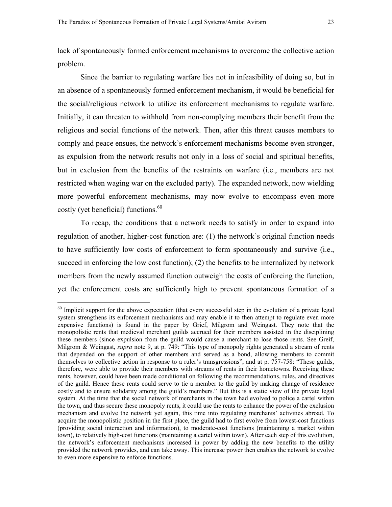lack of spontaneously formed enforcement mechanisms to overcome the collective action problem.

Since the barrier to regulating warfare lies not in infeasibility of doing so, but in an absence of a spontaneously formed enforcement mechanism, it would be beneficial for the social/religious network to utilize its enforcement mechanisms to regulate warfare. Initially, it can threaten to withhold from non-complying members their benefit from the religious and social functions of the network. Then, after this threat causes members to comply and peace ensues, the network's enforcement mechanisms become even stronger, as expulsion from the network results not only in a loss of social and spiritual benefits, but in exclusion from the benefits of the restraints on warfare (i.e., members are not restricted when waging war on the excluded party). The expanded network, now wielding more powerful enforcement mechanisms, may now evolve to encompass even more costly (yet beneficial) functions. $60$ 

 To recap, the conditions that a network needs to satisfy in order to expand into regulation of another, higher-cost function are: (1) the network's original function needs to have sufficiently low costs of enforcement to form spontaneously and survive (i.e., succeed in enforcing the low cost function); (2) the benefits to be internalized by network members from the newly assumed function outweigh the costs of enforcing the function, yet the enforcement costs are sufficiently high to prevent spontaneous formation of a

<span id="page-24-0"></span> $60$  Implicit support for the above expectation (that every successful step in the evolution of a private legal system strengthens its enforcement mechanisms and may enable it to then attempt to regulate even more expensive functions) is found in the paper by Grief, Milgrom and Weingast. They note that the monopolistic rents that medieval merchant guilds accrued for their members assisted in the disciplining these members (since expulsion from the guild would cause a merchant to lose those rents. See Greif, Milgrom & Weingast, *supra* note 9, at p. 749: "This type of monopoly rights generated a stream of rents that depended on the support of other members and served as a bond, allowing members to commit themselves to collective action in response to a ruler's transgressions", and at p. 757-758: "These guilds, therefore, were able to provide their members with streams of rents in their hometowns. Receiving these rents, however, could have been made conditional on following the recommendations, rules, and directives of the guild. Hence these rents could serve to tie a member to the guild by making change of residence costly and to ensure solidarity among the guild's members." But this is a static view of the private legal system. At the time that the social network of merchants in the town had evolved to police a cartel within the town, and thus secure these monopoly rents, it could use the rents to enhance the power of the exclusion mechanism and evolve the network yet again, this time into regulating merchants' activities abroad. To acquire the monopolistic position in the first place, the guild had to first evolve from lowest-cost functions (providing social interaction and information), to moderate-cost functions (maintaining a market within town), to relatively high-cost functions (maintaining a cartel within town). After each step of this evolution, the network's enforcement mechanisms increased in power by adding the new benefits to the utility provided the network provides, and can take away. This increase power then enables the network to evolve to even more expensive to enforce functions.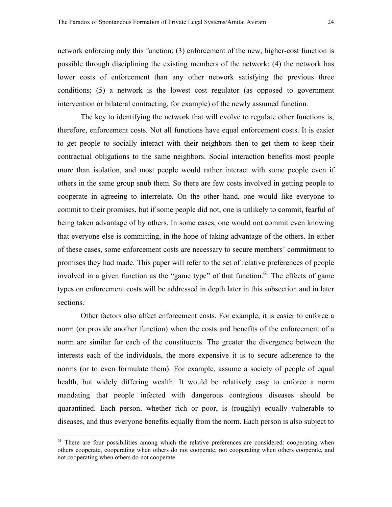network enforcing only this function; (3) enforcement of the new, higher-cost function is possible through disciplining the existing members of the network; (4) the network has lower costs of enforcement than any other network satisfying the previous three conditions; (5) a network is the lowest cost regulator (as opposed to government intervention or bilateral contracting, for example) of the newly assumed function.

The key to identifying the network that will evolve to regulate other functions is, therefore, enforcement costs. Not all functions have equal enforcement costs. It is easier to get people to socially interact with their neighbors then to get them to keep their contractual obligations to the same neighbors. Social interaction benefits most people more than isolation, and most people would rather interact with some people even if others in the same group snub them. So there are few costs involved in getting people to cooperate in agreeing to interrelate. On the other hand, one would like everyone to commit to their promises, but if some people did not, one is unlikely to commit, fearful of being taken advantage of by others. In some cases, one would not commit even knowing that everyone else is committing, in the hope of taking advantage of the others. In either of these cases, some enforcement costs are necessary to secure members' commitment to promises they had made. This paper will refer to the set of relative preferences of people involved in a given function as the "game type" of that function.<sup>61</sup> The effects of game types on enforcement costs will be addressed in depth later in this subsection and in later sections.

Other factors also affect enforcement costs. For example, it is easier to enforce a norm (or provide another function) when the costs and benefits of the enforcement of a norm are similar for each of the constituents. The greater the divergence between the interests each of the individuals, the more expensive it is to secure adherence to the norms (or to even formulate them). For example, assume a society of people of equal health, but widely differing wealth. It would be relatively easy to enforce a norm mandating that people infected with dangerous contagious diseases should be quarantined. Each person, whether rich or poor, is (roughly) equally vulnerable to diseases, and thus everyone benefits equally from the norm. Each person is also subject to

<span id="page-25-0"></span><sup>&</sup>lt;sup>61</sup> There are four possibilities among which the relative preferences are considered: cooperating when others cooperate, cooperating when others do not cooperate, not cooperating when others cooperate, and not cooperating when others do not cooperate.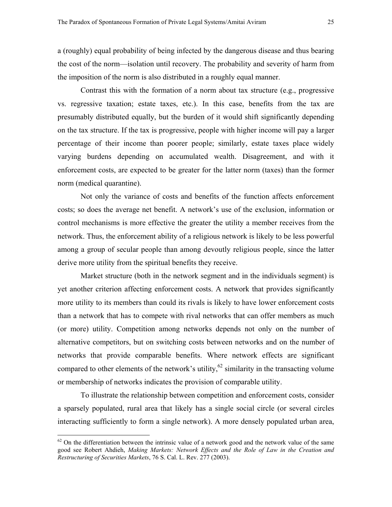a (roughly) equal probability of being infected by the dangerous disease and thus bearing the cost of the norm—isolation until recovery. The probability and severity of harm from the imposition of the norm is also distributed in a roughly equal manner.

Contrast this with the formation of a norm about tax structure (e.g., progressive vs. regressive taxation; estate taxes, etc.). In this case, benefits from the tax are presumably distributed equally, but the burden of it would shift significantly depending on the tax structure. If the tax is progressive, people with higher income will pay a larger percentage of their income than poorer people; similarly, estate taxes place widely varying burdens depending on accumulated wealth. Disagreement, and with it enforcement costs, are expected to be greater for the latter norm (taxes) than the former norm (medical quarantine).

Not only the variance of costs and benefits of the function affects enforcement costs; so does the average net benefit. A network's use of the exclusion, information or control mechanisms is more effective the greater the utility a member receives from the network. Thus, the enforcement ability of a religious network is likely to be less powerful among a group of secular people than among devoutly religious people, since the latter derive more utility from the spiritual benefits they receive.

Market structure (both in the network segment and in the individuals segment) is yet another criterion affecting enforcement costs. A network that provides significantly more utility to its members than could its rivals is likely to have lower enforcement costs than a network that has to compete with rival networks that can offer members as much (or more) utility. Competition among networks depends not only on the number of alternative competitors, but on switching costs between networks and on the number of networks that provide comparable benefits. Where network effects are significant compared to other elements of the network's utility, $62$  similarity in the transacting volume or membership of networks indicates the provision of comparable utility.

To illustrate the relationship between competition and enforcement costs, consider a sparsely populated, rural area that likely has a single social circle (or several circles interacting sufficiently to form a single network). A more densely populated urban area,

<span id="page-26-0"></span> $62$  On the differentiation between the intrinsic value of a network good and the network value of the same good see Robert Ahdieh, *Making Markets: Network Effects and the Role of Law in the Creation and Restructuring of Securities Markets*, 76 S. Cal. L. Rev. 277 (2003).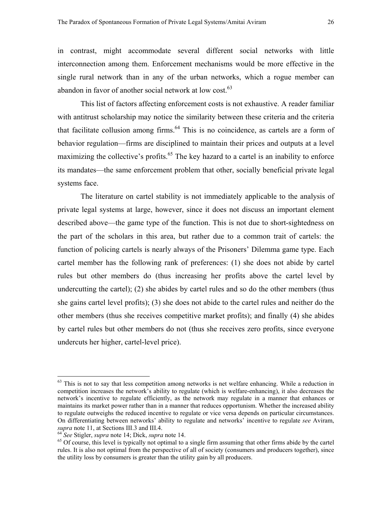in contrast, might accommodate several different social networks with little interconnection among them. Enforcement mechanisms would be more effective in the single rural network than in any of the urban networks, which a rogue member can abandon in favor of another social network at low cost.<sup>[63](#page-27-0)</sup>

This list of factors affecting enforcement costs is not exhaustive. A reader familiar with antitrust scholarship may notice the similarity between these criteria and the criteria that facilitate collusion among firms. $64$  This is no coincidence, as cartels are a form of behavior regulation—firms are disciplined to maintain their prices and outputs at a level maximizing the collective's profits. $65$  The key hazard to a cartel is an inability to enforce its mandates—the same enforcement problem that other, socially beneficial private legal systems face.

The literature on cartel stability is not immediately applicable to the analysis of private legal systems at large, however, since it does not discuss an important element described above—the game type of the function. This is not due to short-sightedness on the part of the scholars in this area, but rather due to a common trait of cartels: the function of policing cartels is nearly always of the Prisoners' Dilemma game type. Each cartel member has the following rank of preferences: (1) she does not abide by cartel rules but other members do (thus increasing her profits above the cartel level by undercutting the cartel); (2) she abides by cartel rules and so do the other members (thus she gains cartel level profits); (3) she does not abide to the cartel rules and neither do the other members (thus she receives competitive market profits); and finally (4) she abides by cartel rules but other members do not (thus she receives zero profits, since everyone undercuts her higher, cartel-level price).

<span id="page-27-0"></span><sup>&</sup>lt;sup>63</sup> This is not to say that less competition among networks is net welfare enhancing. While a reduction in competition increases the network's ability to regulate (which is welfare-enhancing), it also decreases the network's incentive to regulate efficiently, as the network may regulate in a manner that enhances or maintains its market power rather than in a manner that reduces opportunism. Whether the increased ability to regulate outweighs the reduced incentive to regulate or vice versa depends on particular circumstances. On differentiating between networks' ability to regulate and networks' incentive to regulate *see* Aviram, supra note 11, at Sections III.3 and III.4.<br><sup>64</sup> See Stigler, supra note 14; Dick, supra note 14.<br><sup>65</sup> Of course, this level is typically not optimal to a single firm assuming that other firms abide by the cartel

<span id="page-27-1"></span>

<span id="page-27-2"></span>rules. It is also not optimal from the perspective of all of society (consumers and producers together), since the utility loss by consumers is greater than the utility gain by all producers.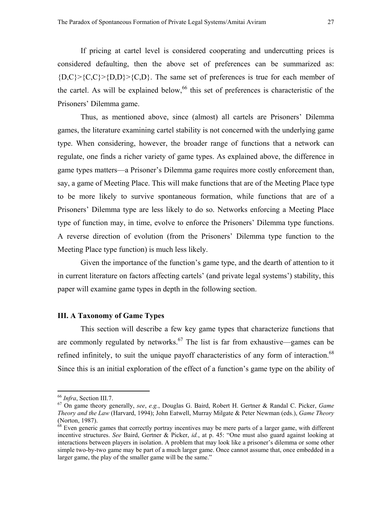If pricing at cartel level is considered cooperating and undercutting prices is considered defaulting, then the above set of preferences can be summarized as:  ${D, C}$  { $C, C$ } { $D, D$ } { $C, D$ }. The same set of preferences is true for each member of the cartel. As will be explained below,  $66$  this set of preferences is characteristic of the Prisoners' Dilemma game.

Thus, as mentioned above, since (almost) all cartels are Prisoners' Dilemma games, the literature examining cartel stability is not concerned with the underlying game type. When considering, however, the broader range of functions that a network can regulate, one finds a richer variety of game types. As explained above, the difference in game types matters—a Prisoner's Dilemma game requires more costly enforcement than, say, a game of Meeting Place. This will make functions that are of the Meeting Place type to be more likely to survive spontaneous formation, while functions that are of a Prisoners' Dilemma type are less likely to do so. Networks enforcing a Meeting Place type of function may, in time, evolve to enforce the Prisoners' Dilemma type functions. A reverse direction of evolution (from the Prisoners' Dilemma type function to the Meeting Place type function) is much less likely.

Given the importance of the function's game type, and the dearth of attention to it in current literature on factors affecting cartels' (and private legal systems') stability, this paper will examine game types in depth in the following section.

#### **III. A Taxonomy of Game Types**

This section will describe a few key game types that characterize functions that are commonly regulated by networks.<sup>67</sup> The list is far from exhaustive—games can be refined infinitely, to suit the unique payoff characteristics of any form of interaction.<sup>[68](#page-28-2)</sup> Since this is an initial exploration of the effect of a function's game type on the ability of

<span id="page-28-1"></span><span id="page-28-0"></span>

<sup>66</sup> *Infra*, Section III.7. 67 On game theory generally, *see*, *e.g.*, Douglas G. Baird, Robert H. Gertner & Randal C. Picker, *Game Theory and the Law* (Harvard, 1994); John Eatwell, Murray Milgate & Peter Newman (eds.), *Game Theory* (Norton, 1987).

<span id="page-28-2"></span><sup>&</sup>lt;sup>68</sup> Even generic games that correctly portray incentives may be mere parts of a larger game, with different incentive structures. *See* Baird, Gertner & Picker, *id.*, at p. 45: "One must also guard against looking at interactions between players in isolation. A problem that may look like a prisoner's dilemma or some other simple two-by-two game may be part of a much larger game. Once cannot assume that, once embedded in a larger game, the play of the smaller game will be the same."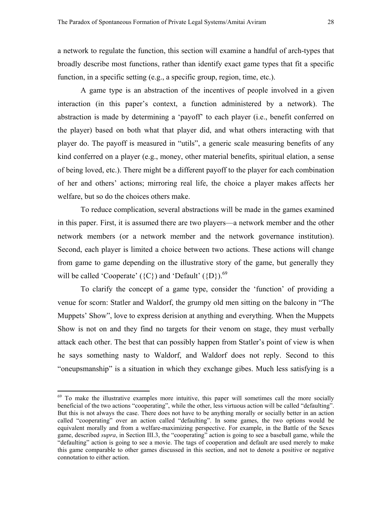a network to regulate the function, this section will examine a handful of arch-types that broadly describe most functions, rather than identify exact game types that fit a specific function, in a specific setting (e.g., a specific group, region, time, etc.).

 A game type is an abstraction of the incentives of people involved in a given interaction (in this paper's context, a function administered by a network). The abstraction is made by determining a 'payoff' to each player (i.e., benefit conferred on the player) based on both what that player did, and what others interacting with that player do. The payoff is measured in "utils", a generic scale measuring benefits of any kind conferred on a player (e.g., money, other material benefits, spiritual elation, a sense of being loved, etc.). There might be a different payoff to the player for each combination of her and others' actions; mirroring real life, the choice a player makes affects her welfare, but so do the choices others make.

 To reduce complication, several abstractions will be made in the games examined in this paper. First, it is assumed there are two players—a network member and the other network members (or a network member and the network governance institution). Second, each player is limited a choice between two actions. These actions will change from game to game depending on the illustrative story of the game, but generally they will be called 'Cooperate' ( $\{C\}$ ) and 'Default' ( $\{D\}$ ).<sup>69</sup>

 To clarify the concept of a game type, consider the 'function' of providing a venue for scorn: Statler and Waldorf, the grumpy old men sitting on the balcony in "The Muppets' Show", love to express derision at anything and everything. When the Muppets Show is not on and they find no targets for their venom on stage, they must verbally attack each other. The best that can possibly happen from Statler's point of view is when he says something nasty to Waldorf, and Waldorf does not reply. Second to this "oneupsmanship" is a situation in which they exchange gibes. Much less satisfying is a

<span id="page-29-0"></span> $69$  To make the illustrative examples more intuitive, this paper will sometimes call the more socially beneficial of the two actions "cooperating", while the other, less virtuous action will be called "defaulting". But this is not always the case. There does not have to be anything morally or socially better in an action called "cooperating" over an action called "defaulting". In some games, the two options would be equivalent morally and from a welfare-maximizing perspective. For example, in the Battle of the Sexes game, described *supra*, in Section III.3, the "cooperating" action is going to see a baseball game, while the "defaulting" action is going to see a movie. The tags of cooperation and default are used merely to make this game comparable to other games discussed in this section, and not to denote a positive or negative connotation to either action.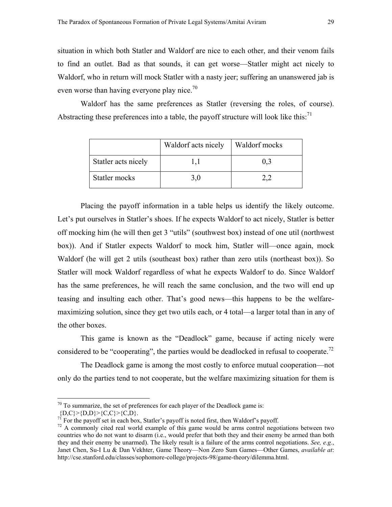situation in which both Statler and Waldorf are nice to each other, and their venom fails to find an outlet. Bad as that sounds, it can get worse—Statler might act nicely to Waldorf, who in return will mock Statler with a nasty jeer; suffering an unanswered jab is even worse than having everyone play nice.<sup>[70](#page-30-0)</sup>

Waldorf has the same preferences as Statler (reversing the roles, of course). Abstracting these preferences into a table, the payoff structure will look like this:<sup>[71](#page-30-1)</sup>

|                     | Waldorf acts nicely | Waldorf mocks |
|---------------------|---------------------|---------------|
| Statler acts nicely |                     |               |
| Statler mocks       |                     |               |

 Placing the payoff information in a table helps us identify the likely outcome. Let's put ourselves in Statler's shoes. If he expects Waldorf to act nicely, Statler is better off mocking him (he will then get 3 "utils" (southwest box) instead of one util (northwest box)). And if Statler expects Waldorf to mock him, Statler will—once again, mock Waldorf (he will get 2 utils (southeast box) rather than zero utils (northeast box)). So Statler will mock Waldorf regardless of what he expects Waldorf to do. Since Waldorf has the same preferences, he will reach the same conclusion, and the two will end up teasing and insulting each other. That's good news—this happens to be the welfaremaximizing solution, since they get two utils each, or 4 total—a larger total than in any of the other boxes.

 This game is known as the "Deadlock" game, because if acting nicely were considered to be "cooperating", the parties would be deadlocked in refusal to cooperate.<sup>72</sup>

 The Deadlock game is among the most costly to enforce mutual cooperation—not only do the parties tend to not cooperate, but the welfare maximizing situation for them is

<span id="page-30-0"></span> $70$  To summarize, the set of preferences for each player of the Deadlock game is:

<span id="page-30-1"></span>

 ${D,C} > {D,D} > {C,C} > {C,D}.$ <br>The payoff set in each box, Statler's payoff is noted first, then Waldorf's payoff.

<span id="page-30-2"></span> $72$  A commonly cited real world example of this game would be arms control negotiations between two countries who do not want to disarm (i.e., would prefer that both they and their enemy be armed than both they and their enemy be unarmed). The likely result is a failure of the arms control negotiations. *See, e.g.*, Janet Chen, Su-I Lu & Dan Vekhter, Game Theory—Non Zero Sum Games—Other Games, *available at*: http://cse.stanford.edu/classes/sophomore-college/projects-98/game-theory/dilemma.html.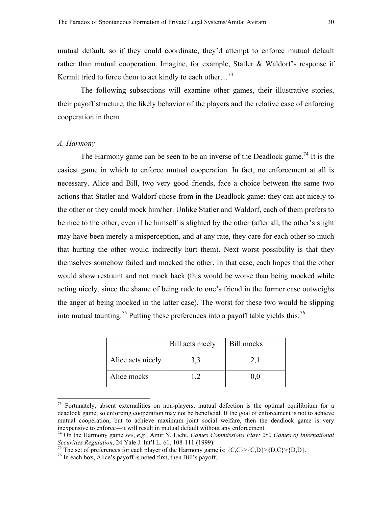mutual default, so if they could coordinate, they'd attempt to enforce mutual default rather than mutual cooperation. Imagine, for example, Statler & Waldorf's response if Kermit tried to force them to act kindly to each other...<sup>[73](#page-31-0)</sup>

 The following subsections will examine other games, their illustrative stories, their payoff structure, the likely behavior of the players and the relative ease of enforcing cooperation in them.

#### *A. Harmony*

 $\overline{a}$ 

The Harmony game can be seen to be an inverse of the Deadlock game.<sup>74</sup> It is the easiest game in which to enforce mutual cooperation. In fact, no enforcement at all is necessary. Alice and Bill, two very good friends, face a choice between the same two actions that Statler and Waldorf chose from in the Deadlock game: they can act nicely to the other or they could mock him/her. Unlike Statler and Waldorf, each of them prefers to be nice to the other, even if he himself is slighted by the other (after all, the other's slight may have been merely a misperception, and at any rate, they care for each other so much that hurting the other would indirectly hurt them). Next worst possibility is that they themselves somehow failed and mocked the other. In that case, each hopes that the other would show restraint and not mock back (this would be worse than being mocked while acting nicely, since the shame of being rude to one's friend in the former case outweighs the anger at being mocked in the latter case). The worst for these two would be slipping into mutual taunting.[75 P](#page-31-2)utting these preferences into a payoff table yields this:[76](#page-31-3)

|                   | Bill acts nicely | Bill mocks |
|-------------------|------------------|------------|
| Alice acts nicely | 3,3              |            |
| Alice mocks       |                  | 0.0        |

<span id="page-31-0"></span> $73$  Fortunately, absent externalities on non-players, mutual defection is the optimal equilibrium for a deadlock game, so enforcing cooperation may not be beneficial. If the goal of enforcement is not to achieve mutual cooperation, but to achieve maximum joint social welfare, then the deadlock game is very inexpensive to enforce—it will result in mutual default without any enforcement.

<span id="page-31-1"></span><sup>&</sup>lt;sup>74</sup> On the Harmony game *see*, *e.g.*, Amir N. Licht, *Games Commissions Play: 2x2 Games of International Securities Regulation*, 24 Yale J. Int'l L. 61, 108-111 (1999).

<span id="page-31-2"></span><sup>&</sup>lt;sup>75</sup> The set of preferences for each player of the Harmony game is:  $\{C,C\} > \{C,D\} > \{D,C\} > \{D,D\}$ .<br><sup>76</sup> In each box, Alice's payoff is noted first, then Bill's payoff.

<span id="page-31-3"></span>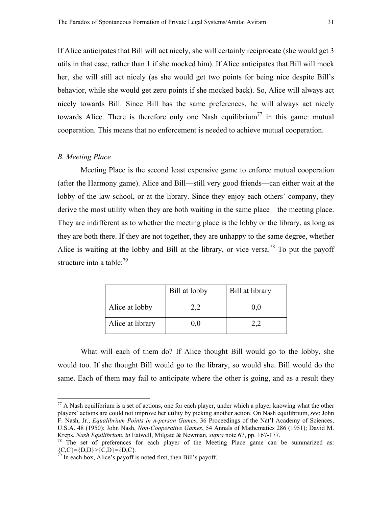If Alice anticipates that Bill will act nicely, she will certainly reciprocate (she would get 3 utils in that case, rather than 1 if she mocked him). If Alice anticipates that Bill will mock her, she will still act nicely (as she would get two points for being nice despite Bill's behavior, while she would get zero points if she mocked back). So, Alice will always act nicely towards Bill. Since Bill has the same preferences, he will always act nicely towards Alice. There is therefore only one Nash equilibrium<sup>77</sup> in this game: mutual cooperation. This means that no enforcement is needed to achieve mutual cooperation.

#### *B. Meeting Place*

 $\overline{a}$ 

Meeting Place is the second least expensive game to enforce mutual cooperation (after the Harmony game). Alice and Bill—still very good friends—can either wait at the lobby of the law school, or at the library. Since they enjoy each others' company, they derive the most utility when they are both waiting in the same place—the meeting place. They are indifferent as to whether the meeting place is the lobby or the library, as long as they are both there. If they are not together, they are unhappy to the same degree, whether Alice is waiting at the lobby and Bill at the library, or vice versa.<sup>78</sup> To put the payoff structure into a table: $^{79}$  $^{79}$  $^{79}$ 

|                  | Bill at lobby | Bill at library |
|------------------|---------------|-----------------|
| Alice at lobby   |               | 0.0             |
| Alice at library | 0.0           |                 |

 What will each of them do? If Alice thought Bill would go to the lobby, she would too. If she thought Bill would go to the library, so would she. Bill would do the same. Each of them may fail to anticipate where the other is going, and as a result they

<span id="page-32-0"></span> $^{77}$  A Nash equilibrium is a set of actions, one for each player, under which a player knowing what the other players' actions are could not improve her utility by picking another action. On Nash equilibrium, *see*: John F. Nash, Jr., *Equalibrium Points in n-person Games*, 36 Proceedings of the Nat'l Academy of Sciences, U.S.A. 48 (1950); John Nash, *Non-Cooperative Games*, 54 Annals of Mathematics 286 (1951); David M. Kreps, *Nash Equilibrium*, *in* Eatwell, Milgate & Newman, *supra* note 67, pp. 167-177.<br><sup>78</sup> The set of preferences for each player of the Meeting Place game can be summarized as:

<span id="page-32-1"></span> ${C, C} = {D, D} > {C, D} = {D, C}.$ 

<span id="page-32-2"></span> $79$  In each box, Alice's payoff is noted first, then Bill's payoff.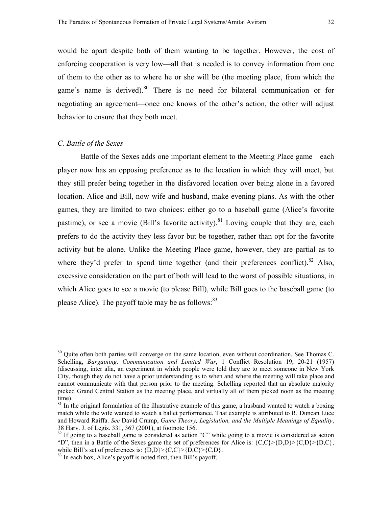would be apart despite both of them wanting to be together. However, the cost of enforcing cooperation is very low—all that is needed is to convey information from one of them to the other as to where he or she will be (the meeting place, from which the game's name is derived). $80$  There is no need for bilateral communication or for negotiating an agreement—once one knows of the other's action, the other will adjust behavior to ensure that they both meet.

#### *C. Battle of the Sexes*

 $\overline{a}$ 

 Battle of the Sexes adds one important element to the Meeting Place game—each player now has an opposing preference as to the location in which they will meet, but they still prefer being together in the disfavored location over being alone in a favored location. Alice and Bill, now wife and husband, make evening plans. As with the other games, they are limited to two choices: either go to a baseball game (Alice's favorite pastime), or see a movie (Bill's favorite activity). $81$  Loving couple that they are, each prefers to do the activity they less favor but be together, rather than opt for the favorite activity but be alone. Unlike the Meeting Place game, however, they are partial as to where they'd prefer to spend time together (and their preferences conflict).  $82$  Also, excessive consideration on the part of both will lead to the worst of possible situations, in which Alice goes to see a movie (to please Bill), while Bill goes to the baseball game (to please Alice). The payoff table may be as follows:<sup>[83](#page-33-3)</sup>

<span id="page-33-0"></span><sup>&</sup>lt;sup>80</sup> Quite often both parties will converge on the same location, even without coordination. See Thomas C. Schelling, *Bargaining, Communication and Limited War*, 1 Conflict Resolution 19, 20-21 (1957) (discussing, inter alia, an experiment in which people were told they are to meet someone in New York City, though they do not have a prior understanding as to when and where the meeting will take place and cannot communicate with that person prior to the meeting. Schelling reported that an absolute majority picked Grand Central Station as the meeting place, and virtually all of them picked noon as the meeting time).

<span id="page-33-1"></span> $81$  In the original formulation of the illustrative example of this game, a husband wanted to watch a boxing match while the wife wanted to watch a ballet performance. That example is attributed to R. Duncan Luce and Howard Raiffa. *See* David Crump, *Game Theory, Legislation, and the Multiple Meanings of Equality*, 38 Harv. J. of Legis. 331, 367 (2001), at footnote 156.

<span id="page-33-2"></span><sup>&</sup>lt;sup>82</sup> If going to a baseball game is considered as action "C" while going to a movie is considered as action "D", then in a Battle of the Sexes game the set of preferences for Alice is:  ${C,C}$  {D,D} {C,D} {D,C}, while Bill's set of preferences is:  $\{D, D\}$  >  $\{C, C\}$  >  $\{D, C\}$  >  $\{C, D\}$ .

<span id="page-33-3"></span><sup>&</sup>lt;sup>83</sup> In each box, Alice's payoff is noted first, then Bill's payoff.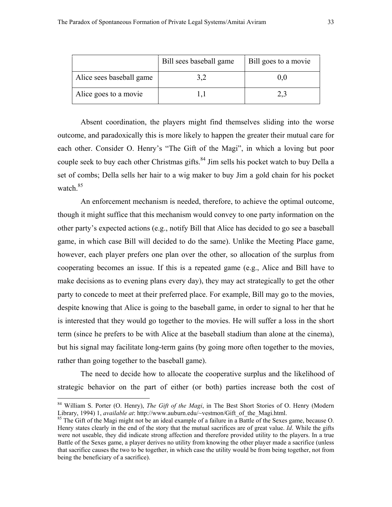|                          | Bill sees baseball game | Bill goes to a movie |
|--------------------------|-------------------------|----------------------|
| Alice sees baseball game |                         |                      |
| Alice goes to a movie    |                         |                      |

Absent coordination, the players might find themselves sliding into the worse outcome, and paradoxically this is more likely to happen the greater their mutual care for each other. Consider O. Henry's "The Gift of the Magi", in which a loving but poor couple seek to buy each other Christmas gifts.<sup>84</sup> Jim sells his pocket watch to buy Della a set of combs; Della sells her hair to a wig maker to buy Jim a gold chain for his pocket watch  $85$ 

 An enforcement mechanism is needed, therefore, to achieve the optimal outcome, though it might suffice that this mechanism would convey to one party information on the other party's expected actions (e.g., notify Bill that Alice has decided to go see a baseball game, in which case Bill will decided to do the same). Unlike the Meeting Place game, however, each player prefers one plan over the other, so allocation of the surplus from cooperating becomes an issue. If this is a repeated game (e.g., Alice and Bill have to make decisions as to evening plans every day), they may act strategically to get the other party to concede to meet at their preferred place. For example, Bill may go to the movies, despite knowing that Alice is going to the baseball game, in order to signal to her that he is interested that they would go together to the movies. He will suffer a loss in the short term (since he prefers to be with Alice at the baseball stadium than alone at the cinema), but his signal may facilitate long-term gains (by going more often together to the movies, rather than going together to the baseball game).

 The need to decide how to allocate the cooperative surplus and the likelihood of strategic behavior on the part of either (or both) parties increase both the cost of

<span id="page-34-0"></span><sup>&</sup>lt;sup>84</sup> William S. Porter (O. Henry), *The Gift of the Magi*, in The Best Short Stories of O. Henry (Modern Library, 1994) 1, *available at:* http://www.auburn.edu/~vestmon/Gift of the Magi.html.

<span id="page-34-1"></span><sup>&</sup>lt;sup>85</sup> The Gift of the Magi might not be an ideal example of a failure in a Battle of the Sexes game, because O. Henry states clearly in the end of the story that the mutual sacrifices are of great value. *Id*. While the gifts were not useable, they did indicate strong affection and therefore provided utility to the players. In a true Battle of the Sexes game, a player derives no utility from knowing the other player made a sacrifice (unless that sacrifice causes the two to be together, in which case the utility would be from being together, not from being the beneficiary of a sacrifice).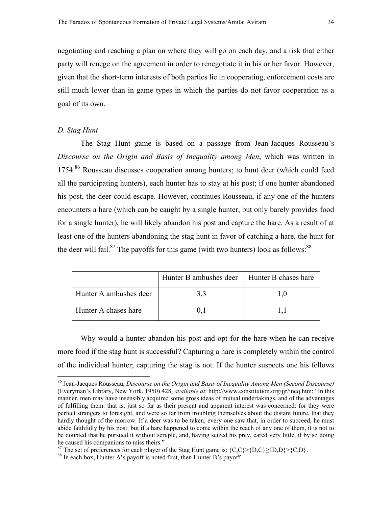negotiating and reaching a plan on where they will go on each day, and a risk that either party will renege on the agreement in order to renegotiate it in his or her favor. However, given that the short-term interests of both parties lie in cooperating, enforcement costs are still much lower than in game types in which the parties do not favor cooperation as a goal of its own.

#### *D. Stag Hunt*

 $\overline{a}$ 

 The Stag Hunt game is based on a passage from Jean-Jacques Rousseau's *Discourse on the Origin and Basis of Inequality among Men*, which was written in 1754.[86](#page-35-0) Rousseau discusses cooperation among hunters; to hunt deer (which could feed all the participating hunters), each hunter has to stay at his post; if one hunter abandoned his post, the deer could escape. However, continues Rousseau, if any one of the hunters encounters a hare (which can be caught by a single hunter, but only barely provides food for a single hunter), he will likely abandon his post and capture the hare. As a result of at least one of the hunters abandoning the stag hunt in favor of catching a hare, the hunt for the deer will fail.<sup>87</sup> The payoffs for this game (with two hunters) look as follows:<sup>[88](#page-35-2)</sup>

|                        | Hunter B ambushes deer | Hunter B chases hare |
|------------------------|------------------------|----------------------|
| Hunter A ambushes deer |                        |                      |
| Hunter A chases hare   |                        |                      |

 Why would a hunter abandon his post and opt for the hare when he can receive more food if the stag hunt is successful? Capturing a hare is completely within the control of the individual hunter; capturing the stag is not. If the hunter suspects one his fellows

<span id="page-35-0"></span><sup>86</sup> Jean-Jacques Rousseau, *Discourse on the Origin and Basis of Inequality Among Men (Second Discourse)* (Everyman's Library, New York, 1950) 428, *available at*: http://www.constitution.org/jjr/ineq.htm: "In this manner, men may have insensibly acquired some gross ideas of mutual undertakings, and of the advantages of fulfilling them: that is, just so far as their present and apparent interest was concerned: for they were perfect strangers to foresight, and were so far from troubling themselves about the distant future, that they hardly thought of the morrow. If a deer was to be taken, every one saw that, in order to succeed, he must abide faithfully by his post: but if a hare happened to come within the reach of any one of them, it is not to be doubted that he pursued it without scruple, and, having seized his prey, cared very little, if by so doing he caused his companions to miss theirs."

<span id="page-35-1"></span><sup>87</sup> The set of preferences for each player of the Stag Hunt game is:  $\{C, C\} > \{D, C\} \ge \{D, D\} > \{C, D\}$ .<br><sup>88</sup> In each box, Hunter A's payoff is noted first, then Hunter B's payoff.

<span id="page-35-2"></span>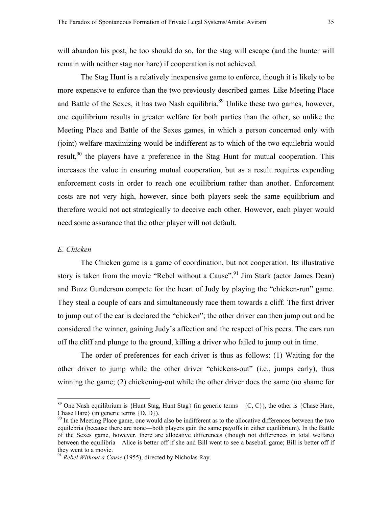will abandon his post, he too should do so, for the stag will escape (and the hunter will remain with neither stag nor hare) if cooperation is not achieved.

 The Stag Hunt is a relatively inexpensive game to enforce, though it is likely to be more expensive to enforce than the two previously described games. Like Meeting Place and Battle of the Sexes, it has two Nash equilibria.<sup>89</sup> Unlike these two games, however, one equilibrium results in greater welfare for both parties than the other, so unlike the Meeting Place and Battle of the Sexes games, in which a person concerned only with (joint) welfare-maximizing would be indifferent as to which of the two equilebria would result,<sup>90</sup> the players have a preference in the Stag Hunt for mutual cooperation. This increases the value in ensuring mutual cooperation, but as a result requires expending enforcement costs in order to reach one equilibrium rather than another. Enforcement costs are not very high, however, since both players seek the same equilibrium and therefore would not act strategically to deceive each other. However, each player would need some assurance that the other player will not default.

#### *E. Chicken*

1

The Chicken game is a game of coordination, but not cooperation. Its illustrative story is taken from the movie "Rebel without a Cause".<sup>91</sup> Jim Stark (actor James Dean) and Buzz Gunderson compete for the heart of Judy by playing the "chicken-run" game. They steal a couple of cars and simultaneously race them towards a cliff. The first driver to jump out of the car is declared the "chicken"; the other driver can then jump out and be considered the winner, gaining Judy's affection and the respect of his peers. The cars run off the cliff and plunge to the ground, killing a driver who failed to jump out in time.

The order of preferences for each driver is thus as follows: (1) Waiting for the other driver to jump while the other driver "chickens-out" (i.e., jumps early), thus winning the game; (2) chickening-out while the other driver does the same (no shame for

<span id="page-36-0"></span><sup>&</sup>lt;sup>89</sup> One Nash equilibrium is {Hunt Stag, Hunt Stag} (in generic terms—{C, C}), the other is {Chase Hare, Chase Hare} (in generic terms {D, D}).

<span id="page-36-1"></span><sup>&</sup>lt;sup>90</sup> In the Meeting Place game, one would also be indifferent as to the allocative differences between the two equilebria (because there are none—both players gain the same payoffs in either equilibrium). In the Battle of the Sexes game, however, there are allocative differences (though not differences in total welfare) between the equilibria—Alice is better off if she and Bill went to see a baseball game; Bill is better off if they went to a movie.

<span id="page-36-2"></span><sup>91</sup> *Rebel Without a Cause* (1955), directed by Nicholas Ray.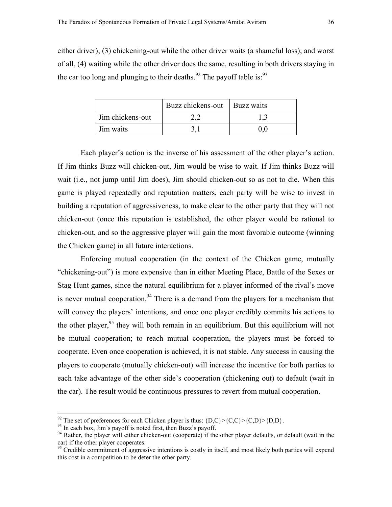either driver); (3) chickening-out while the other driver waits (a shameful loss); and worst of all, (4) waiting while the other driver does the same, resulting in both drivers staying in the car too long and plunging to their deaths.<sup>92</sup> The payoff table is:<sup>[93](#page-37-1)</sup>

|                  | Buzz chickens-out | Buzz waits |
|------------------|-------------------|------------|
| Jim chickens-out |                   |            |
| Jim waits        |                   |            |

 Each player's action is the inverse of his assessment of the other player's action. If Jim thinks Buzz will chicken-out, Jim would be wise to wait. If Jim thinks Buzz will wait (i.e., not jump until Jim does), Jim should chicken-out so as not to die. When this game is played repeatedly and reputation matters, each party will be wise to invest in building a reputation of aggressiveness, to make clear to the other party that they will not chicken-out (once this reputation is established, the other player would be rational to chicken-out, and so the aggressive player will gain the most favorable outcome (winning the Chicken game) in all future interactions.

 Enforcing mutual cooperation (in the context of the Chicken game, mutually "chickening-out") is more expensive than in either Meeting Place, Battle of the Sexes or Stag Hunt games, since the natural equilibrium for a player informed of the rival's move is never mutual cooperation.<sup>94</sup> There is a demand from the players for a mechanism that will convey the players' intentions, and once one player credibly commits his actions to the other player,  $95$  they will both remain in an equilibrium. But this equilibrium will not be mutual cooperation; to reach mutual cooperation, the players must be forced to cooperate. Even once cooperation is achieved, it is not stable. Any success in causing the players to cooperate (mutually chicken-out) will increase the incentive for both parties to each take advantage of the other side's cooperation (chickening out) to default (wait in the car). The result would be continuous pressures to revert from mutual cooperation.

<span id="page-37-0"></span><sup>&</sup>lt;sup>92</sup> The set of preferences for each Chicken player is thus:  ${D,C} > {C,C} > {C,D} > {D,D}$ .<br><sup>93</sup> In each box, Jim's payoff is noted first, then Buzz's payoff.

<span id="page-37-2"></span><span id="page-37-1"></span>

 $93$  In each box, Jim's payoff is noted first, then Buzz's payoff.<br><sup>94</sup> Rather, the player will either chicken-out (cooperate) if the other player defaults, or default (wait in the car) if the other player cooperates.

<span id="page-37-3"></span><sup>&</sup>lt;sup>95</sup> Credible commitment of aggressive intentions is costly in itself, and most likely both parties will expend this cost in a competition to be deter the other party.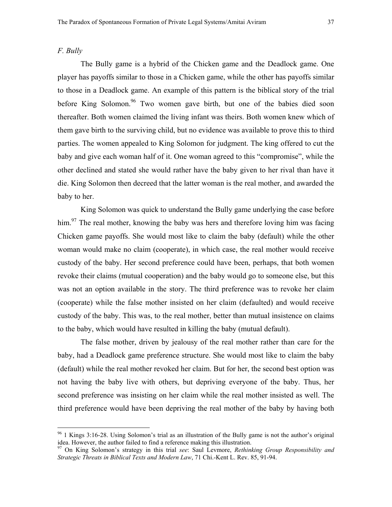# *F. Bully*

 $\overline{a}$ 

 The Bully game is a hybrid of the Chicken game and the Deadlock game. One player has payoffs similar to those in a Chicken game, while the other has payoffs similar to those in a Deadlock game. An example of this pattern is the biblical story of the trial before King Solomon.<sup>96</sup> Two women gave birth, but one of the babies died soon thereafter. Both women claimed the living infant was theirs. Both women knew which of them gave birth to the surviving child, but no evidence was available to prove this to third parties. The women appealed to King Solomon for judgment. The king offered to cut the baby and give each woman half of it. One woman agreed to this "compromise", while the other declined and stated she would rather have the baby given to her rival than have it die. King Solomon then decreed that the latter woman is the real mother, and awarded the baby to her.

 King Solomon was quick to understand the Bully game underlying the case before him.<sup>97</sup> The real mother, knowing the baby was hers and therefore loving him was facing Chicken game payoffs. She would most like to claim the baby (default) while the other woman would make no claim (cooperate), in which case, the real mother would receive custody of the baby. Her second preference could have been, perhaps, that both women revoke their claims (mutual cooperation) and the baby would go to someone else, but this was not an option available in the story. The third preference was to revoke her claim (cooperate) while the false mother insisted on her claim (defaulted) and would receive custody of the baby. This was, to the real mother, better than mutual insistence on claims to the baby, which would have resulted in killing the baby (mutual default).

 The false mother, driven by jealousy of the real mother rather than care for the baby, had a Deadlock game preference structure. She would most like to claim the baby (default) while the real mother revoked her claim. But for her, the second best option was not having the baby live with others, but depriving everyone of the baby. Thus, her second preference was insisting on her claim while the real mother insisted as well. The third preference would have been depriving the real mother of the baby by having both

<span id="page-38-0"></span> $96$  1 Kings 3:16-28. Using Solomon's trial as an illustration of the Bully game is not the author's original idea. However, the author failed to find a reference making this illustration.

<span id="page-38-1"></span><sup>97</sup> On King Solomon's strategy in this trial *see*: Saul Levmore, *Rethinking Group Responsibility and Strategic Threats in Biblical Texts and Modern Law*, 71 Chi.-Kent L. Rev. 85, 91-94.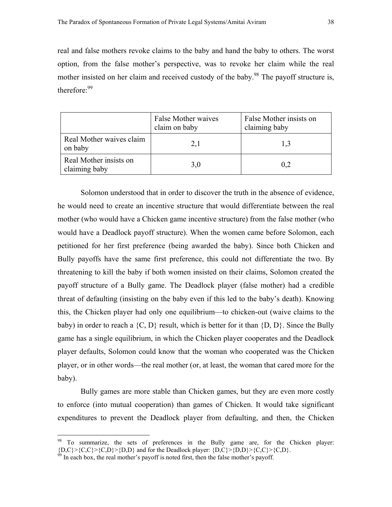real and false mothers revoke claims to the baby and hand the baby to others. The worst option, from the false mother's perspective, was to revoke her claim while the real mother insisted on her claim and received custody of the baby.<sup>98</sup> The payoff structure is, therefore:<sup>[99](#page-39-1)</sup>

|                                         | False Mother waives<br>claim on baby | False Mother insists on<br>claiming baby |
|-----------------------------------------|--------------------------------------|------------------------------------------|
| Real Mother waives claim<br>on baby     | 2,1                                  | 1,3                                      |
| Real Mother insists on<br>claiming baby | 3,0                                  | 0,2                                      |

 Solomon understood that in order to discover the truth in the absence of evidence, he would need to create an incentive structure that would differentiate between the real mother (who would have a Chicken game incentive structure) from the false mother (who would have a Deadlock payoff structure). When the women came before Solomon, each petitioned for her first preference (being awarded the baby). Since both Chicken and Bully payoffs have the same first preference, this could not differentiate the two. By threatening to kill the baby if both women insisted on their claims, Solomon created the payoff structure of a Bully game. The Deadlock player (false mother) had a credible threat of defaulting (insisting on the baby even if this led to the baby's death). Knowing this, the Chicken player had only one equilibrium—to chicken-out (waive claims to the baby) in order to reach a  $\{C, D\}$  result, which is better for it than  $\{D, D\}$ . Since the Bully game has a single equilibrium, in which the Chicken player cooperates and the Deadlock player defaults, Solomon could know that the woman who cooperated was the Chicken player, or in other words—the real mother (or, at least, the woman that cared more for the baby).

 Bully games are more stable than Chicken games, but they are even more costly to enforce (into mutual cooperation) than games of Chicken. It would take significant expenditures to prevent the Deadlock player from defaulting, and then, the Chicken

<span id="page-39-0"></span><sup>&</sup>lt;sup>98</sup> To summarize, the sets of preferences in the Bully game are, for the Chicken player:  ${D,C}$  > {C,C}>{C,D}>{D,D} and for the Deadlock player: {D,C}>{D,D}>{C,C}>{C,D}. <sup>99</sup> In each box, the real mother's payoff is noted first, then the false mother's payoff.

<span id="page-39-1"></span>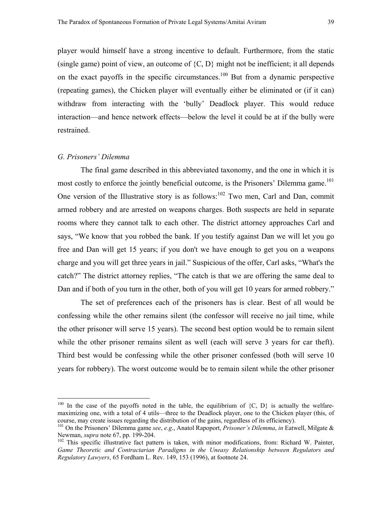player would himself have a strong incentive to default. Furthermore, from the static (single game) point of view, an outcome of  ${C, D}$  might not be inefficient; it all depends on the exact payoffs in the specific circumstances.<sup>100</sup> But from a dynamic perspective (repeating games), the Chicken player will eventually either be eliminated or (if it can) withdraw from interacting with the 'bully' Deadlock player. This would reduce interaction—and hence network effects—below the level it could be at if the bully were restrained.

### *G. Prisoners' Dilemma*

 $\overline{a}$ 

 The final game described in this abbreviated taxonomy, and the one in which it is most costly to enforce the jointly beneficial outcome, is the Prisoners' Dilemma game.<sup>101</sup> One version of the Illustrative story is as follows: $102$  Two men, Carl and Dan, commit armed robbery and are arrested on weapons charges. Both suspects are held in separate rooms where they cannot talk to each other. The district attorney approaches Carl and says, "We know that you robbed the bank. If you testify against Dan we will let you go free and Dan will get 15 years; if you don't we have enough to get you on a weapons charge and you will get three years in jail." Suspicious of the offer, Carl asks, "What's the catch?" The district attorney replies, "The catch is that we are offering the same deal to Dan and if both of you turn in the other, both of you will get 10 years for armed robbery."

 The set of preferences each of the prisoners has is clear. Best of all would be confessing while the other remains silent (the confessor will receive no jail time, while the other prisoner will serve 15 years). The second best option would be to remain silent while the other prisoner remains silent as well (each will serve 3 years for car theft). Third best would be confessing while the other prisoner confessed (both will serve 10 years for robbery). The worst outcome would be to remain silent while the other prisoner

<span id="page-40-0"></span><sup>&</sup>lt;sup>100</sup> In the case of the payoffs noted in the table, the equilibrium of  $\{C, D\}$  is actually the welfaremaximizing one, with a total of 4 utils—three to the Deadlock player, one to the Chicken player (this, of course, may create issues regarding the distribution of the gains, regardless of its efficiency).

<span id="page-40-1"></span><sup>101</sup> On the Prisoners' Dilemma game *see*, *e.g*., Anatol Rapoport, *Prisoner's Dilemma*, *in* Eatwell, Milgate & Newman, *supra* note 67, pp. 199-204.<br><sup>102</sup> This specific illustrative fact pattern is taken, with minor modifications, from: Richard W. Painter,

<span id="page-40-2"></span>*Game Theoretic and Contractarian Paradigms in the Uneasy Relationship between Regulators and Regulatory Lawyers*, 65 Fordham L. Rev. 149, 153 (1996), at footnote 24.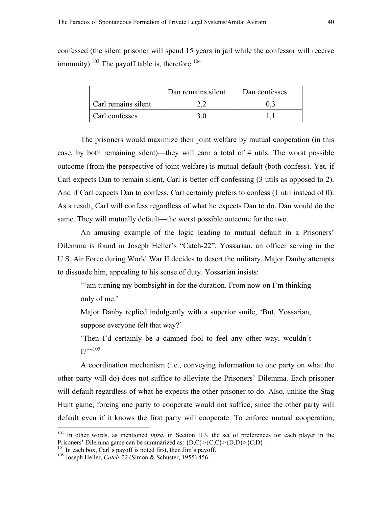confessed (the silent prisoner will spend 15 years in jail while the confessor will receive immunity).<sup>103</sup> The payoff table is, therefore: $104$ 

|                     | Dan remains silent | Dan confesses |
|---------------------|--------------------|---------------|
| Carl remains silent |                    |               |
| Carl confesses      |                    |               |

 The prisoners would maximize their joint welfare by mutual cooperation (in this case, by both remaining silent)—they will earn a total of 4 utils. The worst possible outcome (from the perspective of joint welfare) is mutual default (both confess). Yet, if Carl expects Dan to remain silent, Carl is better off confessing (3 utils as opposed to 2). And if Carl expects Dan to confess, Carl certainly prefers to confess (1 util instead of 0). As a result, Carl will confess regardless of what he expects Dan to do. Dan would do the same. They will mutually default—the worst possible outcome for the two.

 An amusing example of the logic leading to mutual default in a Prisoners' Dilemma is found in Joseph Heller's "Catch-22". Yossarian, an officer serving in the U.S. Air Force during World War II decides to desert the military. Major Danby attempts to dissuade him, appealing to his sense of duty. Yossarian insists:

"'am turning my bombsight in for the duration. From now on I'm thinking only of me.'

Major Danby replied indulgently with a superior smile, 'But, Yossarian, suppose everyone felt that way?'

'Then I'd certainly be a damned fool to feel any other way, wouldn't  $12^{1,105}$  $12^{1,105}$  $12^{1,105}$ 

 A coordination mechanism (i.e., conveying information to one party on what the other party will do) does not suffice to alleviate the Prisoners' Dilemma. Each prisoner will default regardless of what he expects the other prisoner to do. Also, unlike the Stag Hunt game, forcing one party to cooperate would not suffice, since the other party will default even if it knows the first party will cooperate. To enforce mutual cooperation,

<u>.</u>

<span id="page-41-0"></span><sup>&</sup>lt;sup>103</sup> In other words, as mentioned *infra*, in Section II.3, the set of preferences for each player in the Prisoners' Dilemma game can be summarized as:  ${D,C}$  {C,C} > {D,D} > {C,D}.

<span id="page-41-1"></span><sup>&</sup>lt;sup>104</sup> In each box, Carl's payoff is noted first, then Jim's payoff.<br><sup>105</sup> Joseph Heller, *Catch-22* (Simon & Schuster, 1955) 456.

<span id="page-41-2"></span>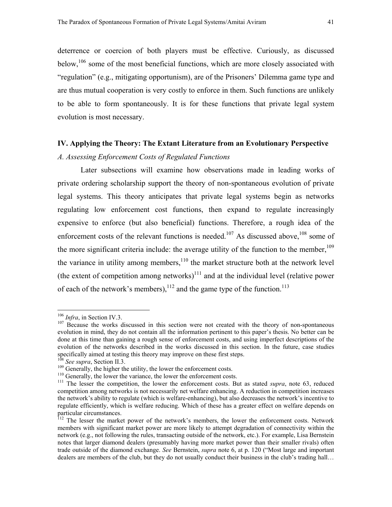<span id="page-42-6"></span>deterrence or coercion of both players must be effective. Curiously, as discussed below,  $106$  some of the most beneficial functions, which are more closely associated with "regulation" (e.g., mitigating opportunism), are of the Prisoners' Dilemma game type and are thus mutual cooperation is very costly to enforce in them. Such functions are unlikely to be able to form spontaneously. It is for these functions that private legal system evolution is most necessary.

# **IV. Applying the Theory: The Extant Literature from an Evolutionary Perspective**

#### *A. Assessing Enforcement Costs of Regulated Functions*

 Later subsections will examine how observations made in leading works of private ordering scholarship support the theory of non-spontaneous evolution of private legal systems. This theory anticipates that private legal systems begin as networks regulating low enforcement cost functions, then expand to regulate increasingly expensive to enforce (but also beneficial) functions. Therefore, a rough idea of the enforcement costs of the relevant functions is needed.<sup>107</sup> As discussed above,<sup>108</sup> some of the more significant criteria include: the average utility of the function to the member,<sup>109</sup> the variance in utility among members, $110$  the market structure both at the network level (the extent of competition among networks)<sup>111</sup> and at the individual level (relative power of each of the network's members),  $^{112}$  and the game type of the function.<sup>[113](#page-42-7)</sup>

<span id="page-42-1"></span><span id="page-42-0"></span>

<sup>&</sup>lt;sup>106</sup> *Infra*, in Section IV.3.<br><sup>107</sup> Because the works discussed in this section were not created with the theory of non-spontaneous evolution in mind, they do not contain all the information pertinent to this paper's thesis. No better can be done at this time than gaining a rough sense of enforcement costs, and using imperfect descriptions of the evolution of the networks described in the works discussed in this section. In the future, case studies specifically aimed at testing this theory may improve on these first steps.<br><sup>108</sup> See supra, Section II.3.

<span id="page-42-7"></span><span id="page-42-2"></span>

<span id="page-42-3"></span>

<span id="page-42-5"></span><span id="page-42-4"></span>

<sup>&</sup>lt;sup>109</sup> Generally, the higher the utility, the lower the enforcement costs.<br><sup>110</sup> Generally, the lower the variance, the lower the enforcement costs.<br><sup>111</sup> The lesser the competition, the lower the enforcement costs. But as competition among networks is not necessarily net welfare enhancing. A reduction in competition increases the network's ability to regulate (which is welfare-enhancing), but also decreases the network's incentive to regulate efficiently, which is welfare reducing. Which of these has a greater effect on welfare depends on particular circumstances.

<sup>&</sup>lt;sup>112</sup> The lesser the market power of the network's members, the lower the enforcement costs. Network members with significant market power are more likely to attempt degradation of connectivity within the network (e.g., not following the rules, transacting outside of the network, etc.). For example, Lisa Bernstein notes that larger diamond dealers (presumably having more market power than their smaller rivals) often trade outside of the diamond exchange. *See* Bernstein, *supra* note 6, at p. 120 ("Most large and important dealers are members of the club, but they do not usually conduct their business in the club's trading hall…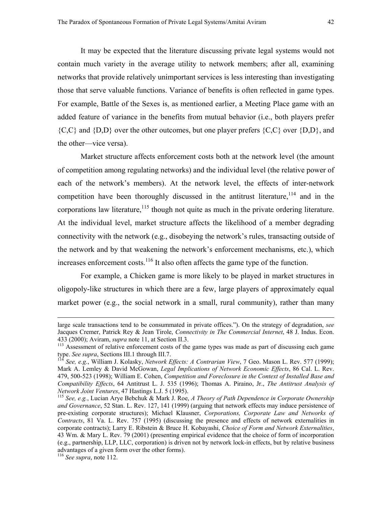It may be expected that the literature discussing private legal systems would not contain much variety in the average utility to network members; after all, examining networks that provide relatively unimportant services is less interesting than investigating those that serve valuable functions. Variance of benefits is often reflected in game types. For example, Battle of the Sexes is, as mentioned earlier, a Meeting Place game with an added feature of variance in the benefits from mutual behavior (i.e., both players prefer  ${C, C}$  and  ${D, D}$  over the other outcomes, but one player prefers  ${C, C}$  over  ${D, D}$ , and the other—vice versa).

Market structure affects enforcement costs both at the network level (the amount of competition among regulating networks) and the individual level (the relative power of each of the network's members). At the network level, the effects of inter-network competition have been thoroughly discussed in the antitrust literature,<sup>114</sup> and in the corporations law literature,<sup>115</sup> though not quite as much in the private ordering literature. At the individual level, market structure affects the likelihood of a member degrading connectivity with the network (e.g., disobeying the network's rules, transacting outside of the network and by that weakening the network's enforcement mechanisms, etc.), which increases enforcement costs.<sup>116</sup> It also often affects the game type of the function.

For example, a Chicken game is more likely to be played in market structures in oligopoly-like structures in which there are a few, large players of approximately equal market power (e.g., the social network in a small, rural community), rather than many

large scale transactions tend to be consummated in private offices."). On the strategy of degradation, *see* Jacques Cremer, Patrick Rey & Jean Tirole, *Connectivity in The Commercial Internet*, 48 J. Indus. Econ.

<sup>433 (2000);</sup> Aviram, *supra* note 11, at Section II.3.<br><sup>113</sup> Assessment of relative enforcement costs of the game types was made as part of discussing each game<br>type. *See supra*, Sections III.1 through III.7.

<span id="page-43-0"></span><sup>&</sup>lt;sup>114</sup> See, e.g., William J. Kolasky, *Network Effects: A Contrarian View*, 7 Geo. Mason L. Rev. 577 (1999); Mark A. Lemley & David McGowan, *Legal Implications of Network Economic Effects*, 86 Cal. L. Rev. 479, 500-523 (1998); William E. Cohen, *Competition and Foreclosure in the Context of Installed Base and Compatibility Effects*, 64 Antitrust L. J. 535 (1996); Thomas A. Piraino, Jr., *The Antitrust Analysis of* 

<span id="page-43-1"></span><sup>&</sup>lt;sup>115</sup> See, e.g., Lucian Arye Bebchuk & Mark J. Roe, *A Theory of Path Dependence in Corporate Ownership and Governance*, 52 Stan. L. Rev. 127, 141 (1999) (arguing that network effects may induce persistence of pre-existing corporate structures); Michael Klausner, *Corporations, Corporate Law and Networks of Contracts*, 81 Va. L. Rev. 757 (1995) (discussing the presence and effects of network externalities in corporate contracts); Larry E. Ribstein & Bruce H. Kobayashi, *Choice of Form and Network Externalities*, 43 Wm. & Mary L. Rev. 79 (2001) (presenting empirical evidence that the choice of form of incorporation (e.g., partnership, LLP, LLC, corporation) is driven not by network lock-in effects, but by relative business advantages of a given form over the other forms).

<span id="page-43-2"></span><sup>116</sup> *See supra*, note 112.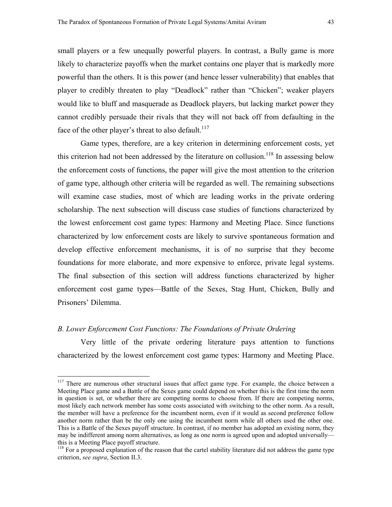small players or a few unequally powerful players. In contrast, a Bully game is more likely to characterize payoffs when the market contains one player that is markedly more powerful than the others. It is this power (and hence lesser vulnerability) that enables that player to credibly threaten to play "Deadlock" rather than "Chicken"; weaker players would like to bluff and masquerade as Deadlock players, but lacking market power they cannot credibly persuade their rivals that they will not back off from defaulting in the face of the other player's threat to also default.<sup>117</sup>

 Game types, therefore, are a key criterion in determining enforcement costs, yet this criterion had not been addressed by the literature on collusion.<sup>118</sup> In assessing below the enforcement costs of functions, the paper will give the most attention to the criterion of game type, although other criteria will be regarded as well. The remaining subsections will examine case studies, most of which are leading works in the private ordering scholarship. The next subsection will discuss case studies of functions characterized by the lowest enforcement cost game types: Harmony and Meeting Place. Since functions characterized by low enforcement costs are likely to survive spontaneous formation and develop effective enforcement mechanisms, it is of no surprise that they become foundations for more elaborate, and more expensive to enforce, private legal systems. The final subsection of this section will address functions characterized by higher enforcement cost game types—Battle of the Sexes, Stag Hunt, Chicken, Bully and Prisoners' Dilemma.

### *B. Lower Enforcement Cost Functions: The Foundations of Private Ordering*

 $\overline{a}$ 

Very little of the private ordering literature pays attention to functions characterized by the lowest enforcement cost game types: Harmony and Meeting Place.

<span id="page-44-0"></span><sup>&</sup>lt;sup>117</sup> There are numerous other structural issues that affect game type. For example, the choice between a Meeting Place game and a Battle of the Sexes game could depend on whether this is the first time the norm in question is set, or whether there are competing norms to choose from. If there are competing norms, most likely each network member has some costs associated with switching to the other norm. As a result, the member will have a preference for the incumbent norm, even if it would as second preference follow another norm rather than be the only one using the incumbent norm while all others used the other one. This is a Battle of the Sexes payoff structure. In contrast, if no member has adopted an existing norm, they may be indifferent among norm alternatives, as long as one norm is agreed upon and adopted universally this is a Meeting Place payoff structure.

<span id="page-44-1"></span><sup>&</sup>lt;sup>118</sup> For a proposed explanation of the reason that the cartel stability literature did not address the game type criterion, *see supra*, Section II.3.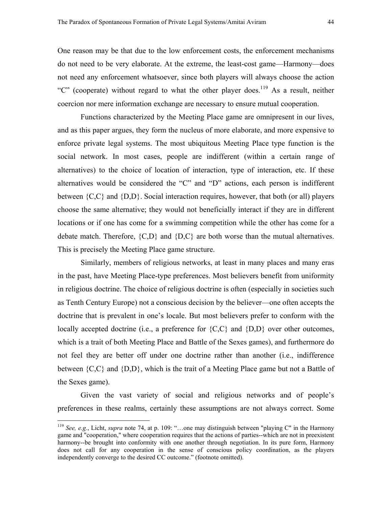One reason may be that due to the low enforcement costs, the enforcement mechanisms do not need to be very elaborate. At the extreme, the least-cost game—Harmony—does not need any enforcement whatsoever, since both players will always choose the action "C" (cooperate) without regard to what the other player does.<sup>119</sup> As a result, neither coercion nor mere information exchange are necessary to ensure mutual cooperation.

Functions characterized by the Meeting Place game are omnipresent in our lives, and as this paper argues, they form the nucleus of more elaborate, and more expensive to enforce private legal systems. The most ubiquitous Meeting Place type function is the social network. In most cases, people are indifferent (within a certain range of alternatives) to the choice of location of interaction, type of interaction, etc. If these alternatives would be considered the "C" and "D" actions, each person is indifferent between  ${C, C}$  and  ${D, D}$ . Social interaction requires, however, that both (or all) players choose the same alternative; they would not beneficially interact if they are in different locations or if one has come for a swimming competition while the other has come for a debate match. Therefore,  ${C,D}$  and  ${D,C}$  are both worse than the mutual alternatives. This is precisely the Meeting Place game structure.

Similarly, members of religious networks, at least in many places and many eras in the past, have Meeting Place-type preferences. Most believers benefit from uniformity in religious doctrine. The choice of religious doctrine is often (especially in societies such as Tenth Century Europe) not a conscious decision by the believer—one often accepts the doctrine that is prevalent in one's locale. But most believers prefer to conform with the locally accepted doctrine (i.e., a preference for  ${C, C}$  and  ${D, D}$  over other outcomes, which is a trait of both Meeting Place and Battle of the Sexes games), and furthermore do not feel they are better off under one doctrine rather than another (i.e., indifference between {C,C} and {D,D}, which is the trait of a Meeting Place game but not a Battle of the Sexes game).

Given the vast variety of social and religious networks and of people's preferences in these realms, certainly these assumptions are not always correct. Some

<span id="page-45-0"></span><sup>119</sup> *See, e.g.*, Licht, *supra* note 74, at p. 109: "…one may distinguish between "playing C" in the Harmony game and "cooperation," where cooperation requires that the actions of parties--which are not in preexistent harmony--be brought into conformity with one another through negotiation. In its pure form, Harmony does not call for any cooperation in the sense of conscious policy coordination, as the players independently converge to the desired CC outcome." (footnote omitted).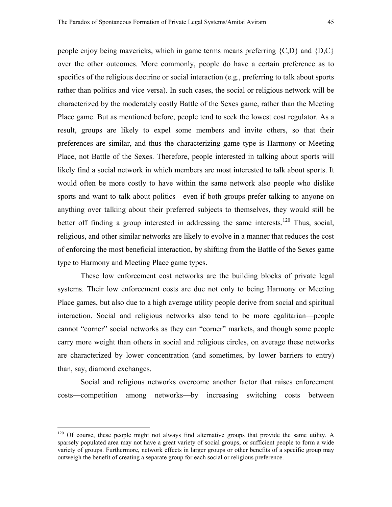people enjoy being mavericks, which in game terms means preferring  ${C,D}$  and  ${D,C}$ over the other outcomes. More commonly, people do have a certain preference as to specifics of the religious doctrine or social interaction (e.g., preferring to talk about sports rather than politics and vice versa). In such cases, the social or religious network will be characterized by the moderately costly Battle of the Sexes game, rather than the Meeting Place game. But as mentioned before, people tend to seek the lowest cost regulator. As a result, groups are likely to expel some members and invite others, so that their preferences are similar, and thus the characterizing game type is Harmony or Meeting Place, not Battle of the Sexes. Therefore, people interested in talking about sports will likely find a social network in which members are most interested to talk about sports. It would often be more costly to have within the same network also people who dislike sports and want to talk about politics—even if both groups prefer talking to anyone on anything over talking about their preferred subjects to themselves, they would still be better off finding a group interested in addressing the same interests.<sup>120</sup> Thus, social, religious, and other similar networks are likely to evolve in a manner that reduces the cost of enforcing the most beneficial interaction, by shifting from the Battle of the Sexes game type to Harmony and Meeting Place game types.

These low enforcement cost networks are the building blocks of private legal systems. Their low enforcement costs are due not only to being Harmony or Meeting Place games, but also due to a high average utility people derive from social and spiritual interaction. Social and religious networks also tend to be more egalitarian—people cannot "corner" social networks as they can "corner" markets, and though some people carry more weight than others in social and religious circles, on average these networks are characterized by lower concentration (and sometimes, by lower barriers to entry) than, say, diamond exchanges.

Social and religious networks overcome another factor that raises enforcement costs—competition among networks—by increasing switching costs between

<span id="page-46-0"></span><sup>&</sup>lt;sup>120</sup> Of course, these people might not always find alternative groups that provide the same utility. A sparsely populated area may not have a great variety of social groups, or sufficient people to form a wide variety of groups. Furthermore, network effects in larger groups or other benefits of a specific group may outweigh the benefit of creating a separate group for each social or religious preference.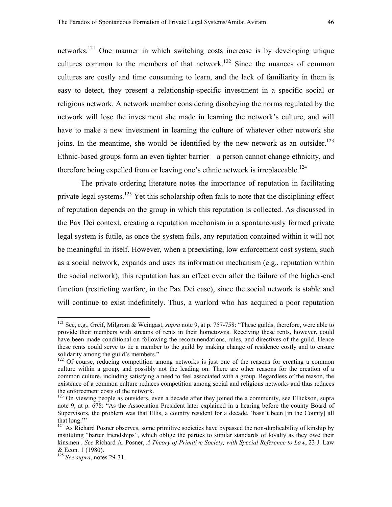networks[.121](#page-47-0) One manner in which switching costs increase is by developing unique cultures common to the members of that network.<sup>122</sup> Since the nuances of common cultures are costly and time consuming to learn, and the lack of familiarity in them is easy to detect, they present a relationship-specific investment in a specific social or religious network. A network member considering disobeying the norms regulated by the network will lose the investment she made in learning the network's culture, and will have to make a new investment in learning the culture of whatever other network she joins. In the meantime, she would be identified by the new network as an outsider.<sup>[123](#page-47-2)</sup> Ethnic-based groups form an even tighter barrier—a person cannot change ethnicity, and therefore being expelled from or leaving one's ethnic network is irreplaceable.<sup>[124](#page-47-3)</sup>

 The private ordering literature notes the importance of reputation in facilitating private legal systems.<sup>125</sup> Yet this scholarship often fails to note that the disciplining effect of reputation depends on the group in which this reputation is collected. As discussed in the Pax Dei context, creating a reputation mechanism in a spontaneously formed private legal system is futile, as once the system fails, any reputation contained within it will not be meaningful in itself. However, when a preexisting, low enforcement cost system, such as a social network, expands and uses its information mechanism (e.g., reputation within the social network), this reputation has an effect even after the failure of the higher-end function (restricting warfare, in the Pax Dei case), since the social network is stable and will continue to exist indefinitely. Thus, a warlord who has acquired a poor reputation

<span id="page-47-0"></span><sup>121</sup> See, e.g., Greif, Milgrom & Weingast, *supra* note 9, at p. 757-758: "These guilds, therefore, were able to provide their members with streams of rents in their hometowns. Receiving these rents, however, could have been made conditional on following the recommendations, rules, and directives of the guild. Hence these rents could serve to tie a member to the guild by making change of residence costly and to ensure solidarity among the guild's members."

<span id="page-47-1"></span><sup>&</sup>lt;sup>122</sup> Of course, reducing competition among networks is just one of the reasons for creating a common culture within a group, and possibly not the leading on. There are other reasons for the creation of a common culture, including satisfying a need to feel associated with a group. Regardless of the reason, the existence of a common culture reduces competition among social and religious networks and thus reduces

<span id="page-47-2"></span> $123$  On viewing people as outsiders, even a decade after they joined the a community, see Ellickson, supra note 9, at p. 678: "As the Association President later explained in a hearing before the county Board of Supervisors, the problem was that Ellis, a country resident for a decade, 'hasn't been [in the County] all that long.'"

<span id="page-47-3"></span><sup>&</sup>lt;sup>124</sup> As Richard Posner observes, some primitive societies have bypassed the non-duplicability of kinship by instituting "barter friendships", which oblige the parties to similar standards of loyalty as they owe their kinsmen . *See* Richard A. Posner, *A Theory of Primitive Society, with Special Reference to Law*, 23 J. Law & Econ. 1 (1980).

<span id="page-47-4"></span><sup>125</sup> *See supra*, notes 29-31.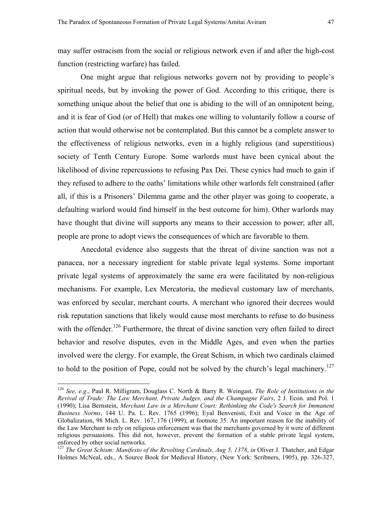<span id="page-48-1"></span>may suffer ostracism from the social or religious network even if and after the high-cost function (restricting warfare) has failed.

One might argue that religious networks govern not by providing to people's spiritual needs, but by invoking the power of God. According to this critique, there is something unique about the belief that one is abiding to the will of an omnipotent being, and it is fear of God (or of Hell) that makes one willing to voluntarily follow a course of action that would otherwise not be contemplated. But this cannot be a complete answer to the effectiveness of religious networks, even in a highly religious (and superstitious) society of Tenth Century Europe. Some warlords must have been cynical about the likelihood of divine repercussions to refusing Pax Dei. These cynics had much to gain if they refused to adhere to the oaths' limitations while other warlords felt constrained (after all, if this is a Prisoners' Dilemma game and the other player was going to cooperate, a defaulting warlord would find himself in the best outcome for him). Other warlords may have thought that divine will supports any means to their accession to power; after all, people are prone to adopt views the consequences of which are favorable to them.

Anecdotal evidence also suggests that the threat of divine sanction was not a panacea, nor a necessary ingredient for stable private legal systems. Some important private legal systems of approximately the same era were facilitated by non-religious mechanisms. For example, Lex Mercatoria, the medieval customary law of merchants, was enforced by secular, merchant courts. A merchant who ignored their decrees would risk reputation sanctions that likely would cause most merchants to refuse to do business with the offender.<sup>126</sup> Furthermore, the threat of divine sanction very often failed to direct behavior and resolve disputes, even in the Middle Ages, and even when the parties involved were the clergy. For example, the Great Schism, in which two cardinals claimed to hold to the position of Pope, could not be solved by the church's legal machinery.<sup>127</sup>

<span id="page-48-0"></span><sup>126</sup> *See, e.g*., Paul R. Milligram, Douglass C. North & Barry R. Weingast, *The Role of Institutions in the Revival of Trade: The Law Merchant, Private Judges, and the Champagne Fairs*, 2 J. Econ. and Pol. 1 (1990); Lisa Bernstein, *Merchant Law in a Merchant Court: Rethinking the Code's Search for Immanent Business Norms*, 144 U. Pa. L. Rev. 1765 (1996); Eyal Benvenisti, Exit and Voice in the Age of Globalization, 98 Mich. L. Rev. 167, 176 (1999), at footnote 35. An important reason for the inability of the Law Merchant to rely on religious enforcement was that the merchants governed by it were of different religious persuasions. This did not, however, prevent the formation of a stable private legal system, enforced by other social networks.

<sup>&</sup>lt;sup>127</sup> The Great Schism: Manifesto of the Revolting Cardinals, Aug 5, 1378, in Oliver J. Thatcher, and Edgar Holmes McNeal, eds., A Source Book for Medieval History, (New York: Scribners, 1905), pp. 326-327,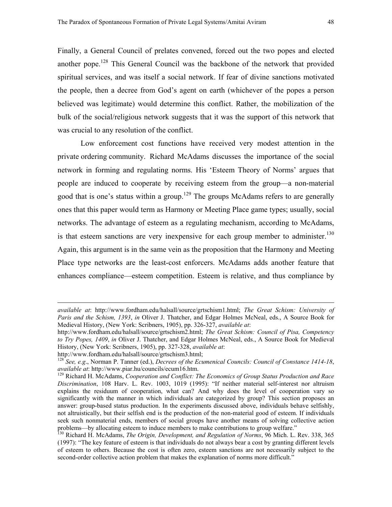Finally, a General Council of prelates convened, forced out the two popes and elected another pope.<sup>128</sup> This General Council was the backbone of the network that provided spiritual services, and was itself a social network. If fear of divine sanctions motivated the people, then a decree from God's agent on earth (whichever of the popes a person believed was legitimate) would determine this conflict. Rather, the mobilization of the bulk of the social/religious network suggests that it was the support of this network that was crucial to any resolution of the conflict.

 Low enforcement cost functions have received very modest attention in the private ordering community. Richard McAdams discusses the importance of the social network in forming and regulating norms. His 'Esteem Theory of Norms' argues that people are induced to cooperate by receiving esteem from the group—a non-material good that is one's status within a group.<sup>129</sup> The groups McAdams refers to are generally ones that this paper would term as Harmony or Meeting Place game types; usually, social networks. The advantage of esteem as a regulating mechanism, according to McAdams, is that esteem sanctions are very inexpensive for each group member to administer.<sup>130</sup> Again, this argument is in the same vein as the proposition that the Harmony and Meeting Place type networks are the least-cost enforcers. McAdams adds another feature that enhances compliance—esteem competition. Esteem is relative, and thus compliance by

*available at*: http://www.fordham.edu/halsall/source/grtschism1.html; *The Great Schism: University of Paris and the Schism, 1393*, *in* Oliver J. Thatcher, and Edgar Holmes McNeal, eds., A Source Book for Medieval History, (New York: Scribners, 1905), pp. 326-327, *available at*:

http://www.fordham.edu/halsall/source/grtschism2.html; *The Great Schism: Council of Pisa, Competency to Try Popes, 1409*, *in* Oliver J. Thatcher, and Edgar Holmes McNeal, eds., A Source Book for Medieval History, (New York: Scribners, 1905), pp. 327-328, *available at*:

<span id="page-49-0"></span>

http://www.fordham.edu/halsall/source/grtschism3.html; 128 *See, e.g*., Norman P. Tanner (ed.), *Decrees of the Ecumenical Councils: Council of Constance 1414-18*, *available at*: http://www.piar.hu/councils/ecum16.htm. 129 Richard H. McAdams, *Cooperation and Conflict: The Economics of Group Status Production and Race* 

<span id="page-49-1"></span>*Discrimination*, 108 Harv. L. Rev. 1003, 1019 (1995): "If neither material self-interest nor altruism explains the residuum of cooperation, what can? And why does the level of cooperation vary so significantly with the manner in which individuals are categorized by group? This section proposes an answer: group-based status production. In the experiments discussed above, individuals behave selfishly, not altruistically, but their selfish end is the production of the non-material good of esteem. If individuals seek such nonmaterial ends, members of social groups have another means of solving collective action problems—by allocating esteem to induce members to make contributions to group welfare."

<span id="page-49-2"></span><sup>130</sup> Richard H. McAdams, *The Origin, Development, and Regulation of Norms*, 96 Mich. L. Rev. 338, 365 (1997): "The key feature of esteem is that individuals do not always bear a cost by granting different levels of esteem to others. Because the cost is often zero, esteem sanctions are not necessarily subject to the second-order collective action problem that makes the explanation of norms more difficult."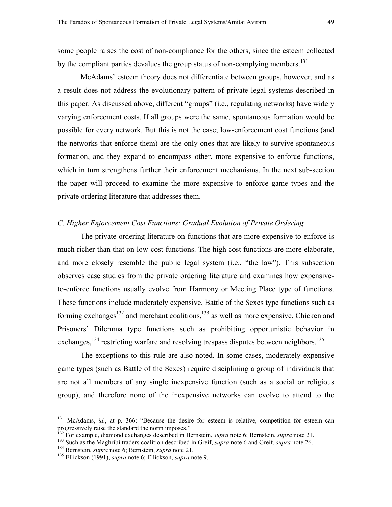some people raises the cost of non-compliance for the others, since the esteem collected by the compliant parties devalues the group status of non-complying members.<sup>131</sup>

 McAdams' esteem theory does not differentiate between groups, however, and as a result does not address the evolutionary pattern of private legal systems described in this paper. As discussed above, different "groups" (i.e., regulating networks) have widely varying enforcement costs. If all groups were the same, spontaneous formation would be possible for every network. But this is not the case; low-enforcement cost functions (and the networks that enforce them) are the only ones that are likely to survive spontaneous formation, and they expand to encompass other, more expensive to enforce functions, which in turn strengthens further their enforcement mechanisms. In the next sub-section the paper will proceed to examine the more expensive to enforce game types and the private ordering literature that addresses them.

# *C. Higher Enforcement Cost Functions: Gradual Evolution of Private Ordering*

The private ordering literature on functions that are more expensive to enforce is much richer than that on low-cost functions. The high cost functions are more elaborate, and more closely resemble the public legal system (i.e., "the law"). This subsection observes case studies from the private ordering literature and examines how expensiveto-enforce functions usually evolve from Harmony or Meeting Place type of functions. These functions include moderately expensive, Battle of the Sexes type functions such as forming exchanges<sup>132</sup> and merchant coalitions,<sup>133</sup> as well as more expensive, Chicken and Prisoners' Dilemma type functions such as prohibiting opportunistic behavior in exchanges,<sup>134</sup> restricting warfare and resolving trespass disputes between neighbors.<sup>[135](#page-50-4)</sup>

The exceptions to this rule are also noted. In some cases, moderately expensive game types (such as Battle of the Sexes) require disciplining a group of individuals that are not all members of any single inexpensive function (such as a social or religious group), and therefore none of the inexpensive networks can evolve to attend to the

<span id="page-50-0"></span><sup>&</sup>lt;sup>131</sup> McAdams, *id.*, at p. 366: "Because the desire for esteem is relative, competition for esteem can progressively raise the standard the norm imposes."<br><sup>132</sup> For example, diamond exchanges described in Bernstein, *supra* note 6; Bernstein, *supra* note 21.

<span id="page-50-1"></span>

<span id="page-50-2"></span><sup>&</sup>lt;sup>133</sup> Such as the Maghribi traders coalition described in Greif, *supra* note 6 and Greif, *supra* note 26.<br><sup>134</sup> Bernstein, *supra* note 6; Bernstein, *supra* note 21.<br><sup>135</sup> Ellickson (1991), *supra* note 6; Ellickson,

<span id="page-50-3"></span>

<span id="page-50-4"></span>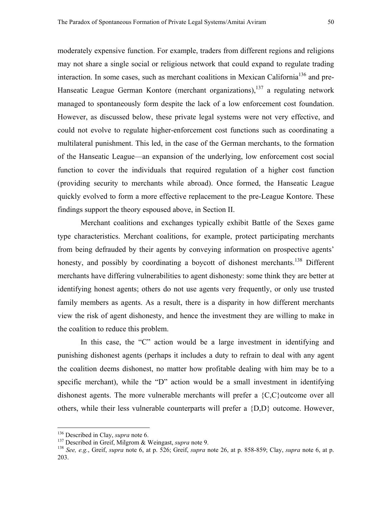moderately expensive function. For example, traders from different regions and religions may not share a single social or religious network that could expand to regulate trading interaction. In some cases, such as merchant coalitions in Mexican California<sup>136</sup> and pre-Hanseatic League German Kontore (merchant organizations), $137$  a regulating network managed to spontaneously form despite the lack of a low enforcement cost foundation. However, as discussed below, these private legal systems were not very effective, and could not evolve to regulate higher-enforcement cost functions such as coordinating a multilateral punishment. This led, in the case of the German merchants, to the formation of the Hanseatic League—an expansion of the underlying, low enforcement cost social function to cover the individuals that required regulation of a higher cost function (providing security to merchants while abroad). Once formed, the Hanseatic League quickly evolved to form a more effective replacement to the pre-League Kontore. These findings support the theory espoused above, in Section II.

Merchant coalitions and exchanges typically exhibit Battle of the Sexes game type characteristics. Merchant coalitions, for example, protect participating merchants from being defrauded by their agents by conveying information on prospective agents' honesty, and possibly by coordinating a boycott of dishonest merchants.<sup>138</sup> Different merchants have differing vulnerabilities to agent dishonesty: some think they are better at identifying honest agents; others do not use agents very frequently, or only use trusted family members as agents. As a result, there is a disparity in how different merchants view the risk of agent dishonesty, and hence the investment they are willing to make in the coalition to reduce this problem.

In this case, the "C" action would be a large investment in identifying and punishing dishonest agents (perhaps it includes a duty to refrain to deal with any agent the coalition deems dishonest, no matter how profitable dealing with him may be to a specific merchant), while the "D" action would be a small investment in identifying dishonest agents. The more vulnerable merchants will prefer a {C,C}outcome over all others, while their less vulnerable counterparts will prefer a {D,D} outcome. However,

<span id="page-51-0"></span>

<span id="page-51-2"></span><span id="page-51-1"></span>

<sup>&</sup>lt;sup>136</sup> Described in Clay, *supra* note 6.<br><sup>137</sup> Described in Greif, Milgrom & Weingast, *supra* note 9.<br><sup>138</sup> See, e.g., Greif, *supra* note 6, at p. 526; Greif, *supra* note 26, at p. 858-859; Clay, *supra* note 6, at p. 203.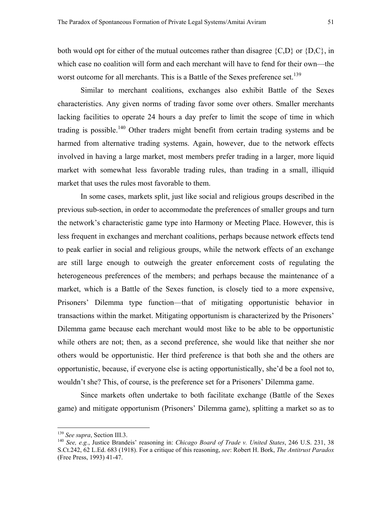Similar to merchant coalitions, exchanges also exhibit Battle of the Sexes characteristics. Any given norms of trading favor some over others. Smaller merchants lacking facilities to operate 24 hours a day prefer to limit the scope of time in which trading is possible.<sup>140</sup> Other traders might benefit from certain trading systems and be harmed from alternative trading systems. Again, however, due to the network effects involved in having a large market, most members prefer trading in a larger, more liquid market with somewhat less favorable trading rules, than trading in a small, illiquid market that uses the rules most favorable to them.

In some cases, markets split, just like social and religious groups described in the previous sub-section, in order to accommodate the preferences of smaller groups and turn the network's characteristic game type into Harmony or Meeting Place. However, this is less frequent in exchanges and merchant coalitions, perhaps because network effects tend to peak earlier in social and religious groups, while the network effects of an exchange are still large enough to outweigh the greater enforcement costs of regulating the heterogeneous preferences of the members; and perhaps because the maintenance of a market, which is a Battle of the Sexes function, is closely tied to a more expensive, Prisoners' Dilemma type function—that of mitigating opportunistic behavior in transactions within the market. Mitigating opportunism is characterized by the Prisoners' Dilemma game because each merchant would most like to be able to be opportunistic while others are not; then, as a second preference, she would like that neither she nor others would be opportunistic. Her third preference is that both she and the others are opportunistic, because, if everyone else is acting opportunistically, she'd be a fool not to, wouldn't she? This, of course, is the preference set for a Prisoners' Dilemma game.

Since markets often undertake to both facilitate exchange (Battle of the Sexes game) and mitigate opportunism (Prisoners' Dilemma game), splitting a market so as to

<span id="page-52-1"></span><span id="page-52-0"></span>

<sup>&</sup>lt;sup>139</sup> *See supra*, Section III.3.<br><sup>140</sup> *See, e.g.*, Justice Brandeis' reasoning in: *Chicago Board of Trade v. United States*, 246 U.S. 231, 38 S.Ct.242, 62 L.Ed. 683 (1918). For a critique of this reasoning, *see*: Robert H. Bork, *The Antitrust Paradox* (Free Press, 1993) 41-47.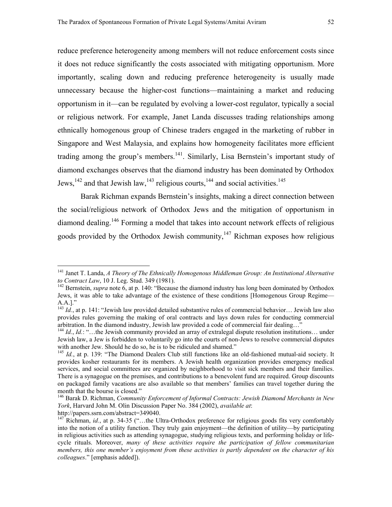reduce preference heterogeneity among members will not reduce enforcement costs since it does not reduce significantly the costs associated with mitigating opportunism. More importantly, scaling down and reducing preference heterogeneity is usually made unnecessary because the higher-cost functions—maintaining a market and reducing opportunism in it—can be regulated by evolving a lower-cost regulator, typically a social or religious network. For example, Janet Landa discusses trading relationships among ethnically homogenous group of Chinese traders engaged in the marketing of rubber in Singapore and West Malaysia, and explains how homogeneity facilitates more efficient trading among the group's members.<sup>141</sup>. Similarly, Lisa Bernstein's important study of diamond exchanges observes that the diamond industry has been dominated by Orthodox Jews,<sup>142</sup> and that Jewish law,<sup>143</sup> religious courts,<sup>144</sup> and social activities.<sup>[145](#page-53-4)</sup>

Barak Richman expands Bernstein's insights, making a direct connection between the social/religious network of Orthodox Jews and the mitigation of opportunism in diamond dealing.[146 F](#page-53-5)orming a model that takes into account network effects of religious goods provided by the Orthodox Jewish community, $147$  Richman exposes how religious

<span id="page-53-0"></span><sup>141</sup> Janet T. Landa, *A Theory of The Ethnically Homogenous Middleman Group: An Institutional Alternative to Contract Law*, 10 J. Leg. Stud. 349 (1981).<br><sup>142</sup> Bernstein, *supra* note 6, at p. 140: "Because the diamond industry has long been dominated by Orthodox

<span id="page-53-1"></span>Jews, it was able to take advantage of the existence of these conditions [Homogenous Group Regime— A.A.]."

<span id="page-53-2"></span><sup>&</sup>lt;sup>143</sup> *Id.*, at p. 141: "Jewish law provided detailed substantive rules of commercial behavior... Jewish law also provides rules governing the making of oral contracts and lays down rules for conducting commercial arbitration. In the diamond industry, Jewish law provided a code of commercial fair dealing..."

<span id="page-53-3"></span><sup>&</sup>lt;sup>144</sup> *Id.*, *Id.*: "…the Jewish community provided an array of extralegal dispute resolution institutions… under Jewish law, a Jew is forbidden to voluntarily go into the courts of non-Jews to resolve commercial disputes with another Jew. Should he do so, he is to be ridiculed and shamed."<br><sup>145</sup> *Id.*, at p. 139: "The Diamond Dealers Club still functions like an old-fashioned mutual-aid society. It

<span id="page-53-4"></span>provides kosher restaurants for its members. A Jewish health organization provides emergency medical services, and social committees are organized by neighborhood to visit sick members and their families. There is a synagogue on the premises, and contributions to a benevolent fund are required. Group discounts on packaged family vacations are also available so that members' families can travel together during the month that the bourse is closed."

<span id="page-53-5"></span><sup>146</sup> Barak D. Richman, *Community Enforcement of Informal Contracts: Jewish Diamond Merchants in New York*, Harvard John M. Olin Discussion Paper No. 384 (2002), *available at*: http://papers.ssrn.com/abstract=349040.

<span id="page-53-6"></span><sup>&</sup>lt;sup>147</sup> Richman, *id.*, at p. 34-35 ("...the Ultra-Orthodox preference for religious goods fits very comfortably into the notion of a utility function. They truly gain enjoyment—the definition of utility—by participating in religious activities such as attending synagogue, studying religious texts, and performing holiday or lifecycle rituals. Moreover, *many of these activities require the participation of fellow communitarian members, this one member's enjoyment from these activities is partly dependent on the character of his colleagues*." [emphasis added]).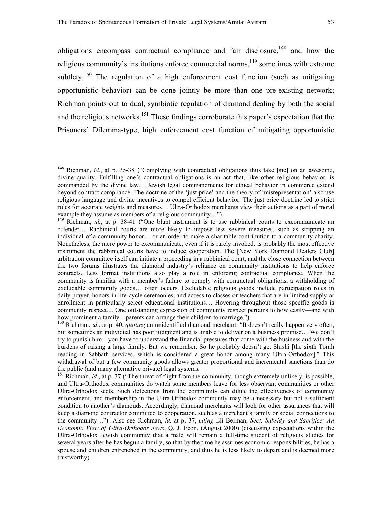$\overline{a}$ 

obligations encompass contractual compliance and fair disclosure, $148$  and how the religious community's institutions enforce commercial norms, $149$  sometimes with extreme subtlety.<sup>150</sup> The regulation of a high enforcement cost function (such as mitigating opportunistic behavior) can be done jointly be more than one pre-existing network; Richman points out to dual, symbiotic regulation of diamond dealing by both the social and the religious networks.<sup>151</sup> These findings corroborate this paper's expectation that the Prisoners' Dilemma-type, high enforcement cost function of mitigating opportunistic

<span id="page-54-0"></span><sup>148</sup> Richman, *id.*, at p. 35-38 ("Complying with contractual obligations thus take [sic] on an awesome, divine quality. Fulfilling one's contractual obligations is an act that, like other religious behavior, is commanded by the divine law… Jewish legal commandments for ethical behavior in commerce extend beyond contract compliance. The doctrine of the 'just price' and the theory of 'misrepresentation' also use religious language and divine incentives to compel efficient behavior. The just price doctrine led to strict rules for accurate weights and measures… Ultra-Orthodox merchants view their actions as a part of moral example they assume as members of a religious community…").<br><sup>149</sup> Richman, *id.*, at p. 38-41 ("One blunt instrument is to use rabbinical courts to excommunicate an

<span id="page-54-1"></span>offender… Rabbinical courts are more likely to impose less severe measures, such as stripping an individual of a community honor… or an order to make a charitable contribution to a community charity. Nonetheless, the mere power to excommunicate, even if it is rarely invoked, is probably the most effective instrument the rabbinical courts have to induce cooperation. The [New York Diamond Dealers Club] arbitration committee itself can initiate a proceeding in a rabbinical court, and the close connection between the two forums illustrates the diamond industry's reliance on community institutions to help enforce contracts. Less format institutions also play a role in enforcing contractual compliance. When the community is familiar with a member's failure to comply with contractual obligations, a withholding of excludable community goods… often occurs. Excludable religious goods include participation roles in daily prayer, honors in life-cycle ceremonies, and access to classes or teachers that are in limited supply or enrollment in particularly select educational institutions… Hovering throughout those specific goods is community respect… One outstanding expression of community respect pertains to how easily—and with how prominent a family—parents can arrange their children to marriage.").<br><sup>150</sup> Richman, *id.*, at p. 40, *quoting* an unidentified diamond merchant: "It doesn't really happen very often,

<span id="page-54-2"></span>but sometimes an individual has poor judgment and is unable to deliver on a business promise… We don't try to punish him—you have to understand the financial pressures that come with the business and with the burdens of raising a large family. But we remember. So he probably doesn't get Shishi [the sixth Torah reading in Sabbath services, which is considered a great honor among many Ultra-Orthodox]." This withdrawal of but a few community goods allows greater proportional and incremental sanctions than do the public (and many alternative private) legal systems.

<span id="page-54-3"></span><sup>&</sup>lt;sup>151</sup> Richman, *id.*, at p. 37 ("The threat of flight from the community, though extremely unlikely, is possible, and Ultra-Orthodox communities do watch some members leave for less observant communities or other Ultra-Orthodox sects. Such defections from the community can dilute the effectiveness of community enforcement, and membership in the Ultra-Orthodox community may be a necessary but not a sufficient condition to another's diamonds. Accordingly, diamond merchants will look for other assurances that will keep a diamond contractor committed to cooperation, such as a merchant's family or social connections to the community…"). Also see Richman, *id.* at p. 37, *citing* Eli Berman, *Sect, Subsidy and Sacrifice: An Economic View of Ultra-Orthodox Jews*, Q. J. Econ. (August 2000) (discussing expectations within the Ultra-Orthodox Jewish community that a male will remain a full-time student of religious studies for several years after he has begun a family, so that by the time he assumes economic responsibilities, he has a spouse and children entrenched in the community, and thus he is less likely to depart and is deemed more trustworthy).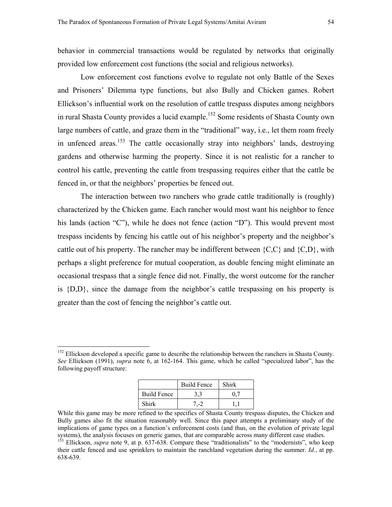behavior in commercial transactions would be regulated by networks that originally provided low enforcement cost functions (the social and religious networks).

Low enforcement cost functions evolve to regulate not only Battle of the Sexes and Prisoners' Dilemma type functions, but also Bully and Chicken games. Robert Ellickson's influential work on the resolution of cattle trespass disputes among neighbors in rural Shasta County provides a lucid example.<sup>152</sup> Some residents of Shasta County own large numbers of cattle, and graze them in the "traditional" way, i.e., let them roam freely in unfenced areas.<sup>153</sup> The cattle occasionally stray into neighbors' lands, destroying gardens and otherwise harming the property. Since it is not realistic for a rancher to control his cattle, preventing the cattle from trespassing requires either that the cattle be fenced in, or that the neighbors' properties be fenced out.

The interaction between two ranchers who grade cattle traditionally is (roughly) characterized by the Chicken game. Each rancher would most want his neighbor to fence his lands (action "C"), while he does not fence (action "D"). This would prevent most trespass incidents by fencing his cattle out of his neighbor's property and the neighbor's cattle out of his property. The rancher may be indifferent between  ${C, C}$  and  ${C, D}$ , with perhaps a slight preference for mutual cooperation, as double fencing might eliminate an occasional trespass that a single fence did not. Finally, the worst outcome for the rancher is  ${D,D}$ , since the damage from the neighbor's cattle trespassing on his property is greater than the cost of fencing the neighbor's cattle out.

|                    | <b>Build Fence</b> | Shirk |
|--------------------|--------------------|-------|
| <b>Build Fence</b> | 3.3                |       |
| Shirk              | $7-2$              |       |

While this game may be more refined to the specifics of Shasta County trespass disputes, the Chicken and Bully games also fit the situation reasonably well. Since this paper attempts a preliminary study of the implications of game types on a function's enforcement costs (and thus, on the evolution of private legal systems), the analysis focuses on generic games, that are comparable across many different case studies.<br><sup>153</sup> Ellickson, *supra* note 9, at p. 637-638. Compare these "traditionalists" to the "modernists", who keep

<span id="page-55-0"></span><sup>&</sup>lt;sup>152</sup> Ellickson developed a specific game to describe the relationship between the ranchers in Shasta County. *See* Ellickson (1991), *supra* note 6, at 162-164. This game, which he called "specialized labor", has the following payoff structure:

<span id="page-55-1"></span>their cattle fenced and use sprinklers to maintain the ranchland vegetation during the summer. *Id.*, at pp. 638-639.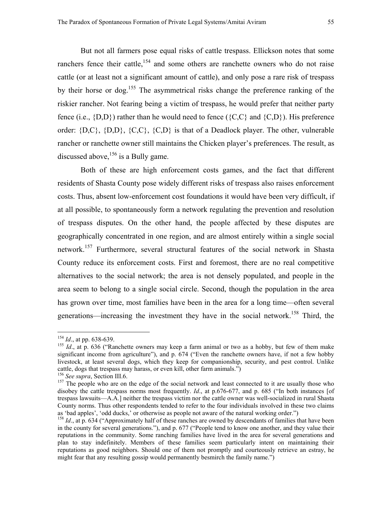But not all farmers pose equal risks of cattle trespass. Ellickson notes that some ranchers fence their cattle, $154$  and some others are ranchette owners who do not raise cattle (or at least not a significant amount of cattle), and only pose a rare risk of trespass by their horse or dog[.155](#page-56-1) The asymmetrical risks change the preference ranking of the riskier rancher. Not fearing being a victim of trespass, he would prefer that neither party fence (i.e.,  $\{D, D\}$ ) rather than he would need to fence ( $\{C, C\}$  and  $\{C, D\}$ ). His preference order:  ${D, C}$ ,  ${D, D}$ ,  ${C, C}$ ,  ${C, D}$  is that of a Deadlock player. The other, vulnerable rancher or ranchette owner still maintains the Chicken player's preferences. The result, as discussed above,  $156$  is a Bully game.

Both of these are high enforcement costs games, and the fact that different residents of Shasta County pose widely different risks of trespass also raises enforcement costs. Thus, absent low-enforcement cost foundations it would have been very difficult, if at all possible, to spontaneously form a network regulating the prevention and resolution of trespass disputes. On the other hand, the people affected by these disputes are geographically concentrated in one region, and are almost entirely within a single social network.[157](#page-56-3) Furthermore, several structural features of the social network in Shasta County reduce its enforcement costs. First and foremost, there are no real competitive alternatives to the social network; the area is not densely populated, and people in the area seem to belong to a single social circle. Second, though the population in the area has grown over time, most families have been in the area for a long time—often several generations—increasing the investment they have in the social network.[158](#page-56-4) Third, the

<span id="page-56-0"></span> $^{154}$  *Id.*, at pp. 638-639.

<span id="page-56-1"></span><sup>&</sup>lt;sup>155</sup> *Id.*, at p. 636 ("Ranchette owners may keep a farm animal or two as a hobby, but few of them make significant income from agriculture"), and p. 674 ("Even the ranchette owners have, if not a few hobby livestock, at least several dogs, which they keep for companionship, security, and pest control. Unlike eattle, dogs that trespass may harass, or even kill, other farm animals.")<br><sup>156</sup> *See supra*, Section III.6. <sup>157</sup> The people who are on the edge of the social network and least connected to it are usually those who

<span id="page-56-2"></span>

<span id="page-56-3"></span>disobey the cattle trespass norms most frequently. *Id.*, at p.676-677, and p. 685 ("In both instances [of trespass lawsuits—A.A.] neither the trespass victim nor the cattle owner was well-socialized in rural Shasta County norms. Thus other respondents tended to refer to the four individuals involved in these two claims as 'bad apples', 'odd ducks,' or otherwise as people not aware of the natural working order.")

<span id="page-56-4"></span><sup>&</sup>lt;sup>158</sup> *Id.*, at p. 634 ("Approximately half of these ranches are owned by descendants of families that have been in the county for several generations."), and p. 677 ("People tend to know one another, and they value their reputations in the community. Some ranching families have lived in the area for several generations and plan to stay indefinitely. Members of these families seem particularly intent on maintaining their reputations as good neighbors. Should one of them not promptly and courteously retrieve an estray, he might fear that any resulting gossip would permanently besmirch the family name.")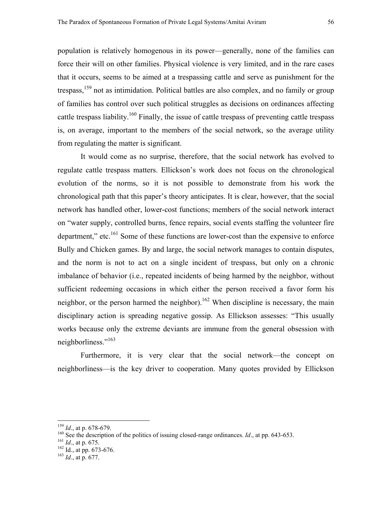population is relatively homogenous in its power—generally, none of the families can force their will on other families. Physical violence is very limited, and in the rare cases that it occurs, seems to be aimed at a trespassing cattle and serve as punishment for the trespass,<sup>159</sup> not as intimidation. Political battles are also complex, and no family or group of families has control over such political struggles as decisions on ordinances affecting cattle trespass liability.<sup>160</sup> Finally, the issue of cattle trespass of preventing cattle trespass is, on average, important to the members of the social network, so the average utility from regulating the matter is significant.

It would come as no surprise, therefore, that the social network has evolved to regulate cattle trespass matters. Ellickson's work does not focus on the chronological evolution of the norms, so it is not possible to demonstrate from his work the chronological path that this paper's theory anticipates. It is clear, however, that the social network has handled other, lower-cost functions; members of the social network interact on "water supply, controlled burns, fence repairs, social events staffing the volunteer fire department," etc.<sup>161</sup> Some of these functions are lower-cost than the expensive to enforce Bully and Chicken games. By and large, the social network manages to contain disputes, and the norm is not to act on a single incident of trespass, but only on a chronic imbalance of behavior (i.e., repeated incidents of being harmed by the neighbor, without sufficient redeeming occasions in which either the person received a favor form his neighbor, or the person harmed the neighbor).<sup>162</sup> When discipline is necessary, the main disciplinary action is spreading negative gossip. As Ellickson assesses: "This usually works because only the extreme deviants are immune from the general obsession with neighborliness."<sup>[163](#page-57-4)</sup>

Furthermore, it is very clear that the social network—the concept on neighborliness—is the key driver to cooperation. Many quotes provided by Ellickson

<span id="page-57-0"></span> $159$  *Id.*, at p. 678-679.

<span id="page-57-1"></span><sup>&</sup>lt;sup>160</sup> See the description of the politics of issuing closed-range ordinances. *Id.*, at pp. 643-653. <sup>161</sup> *Id.*, at p. 675. <sup>162</sup> Id., at pp. 673-676. <sup>163</sup> *Id.*, at p. 677.

<span id="page-57-2"></span>

<span id="page-57-3"></span>

<span id="page-57-4"></span>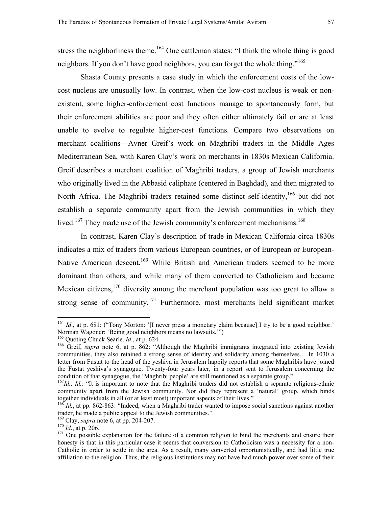<span id="page-58-7"></span>stress the neighborliness theme.<sup>164</sup> One cattleman states: "I think the whole thing is good neighbors. If you don't have good neighbors, you can forget the whole thing."<sup>165</sup>

Shasta County presents a case study in which the enforcement costs of the lowcost nucleus are unusually low. In contrast, when the low-cost nucleus is weak or nonexistent, some higher-enforcement cost functions manage to spontaneously form, but their enforcement abilities are poor and they often either ultimately fail or are at least unable to evolve to regulate higher-cost functions. Compare two observations on merchant coalitions—Avner Greif's work on Maghribi traders in the Middle Ages Mediterranean Sea, with Karen Clay's work on merchants in 1830s Mexican California. Greif describes a merchant coalition of Maghribi traders, a group of Jewish merchants who originally lived in the Abbasid caliphate (centered in Baghdad), and then migrated to North Africa. The Maghribi traders retained some distinct self-identity, <sup>166</sup> but did not establish a separate community apart from the Jewish communities in which they lived.<sup>167</sup> They made use of the Jewish community's enforcement mechanisms.<sup>[168](#page-58-4)</sup>

In contrast, Karen Clay's description of trade in Mexican California circa 1830s indicates a mix of traders from various European countries, or of European or European-Native American descent.<sup>169</sup> While British and American traders seemed to be more dominant than others, and while many of them converted to Catholicism and became Mexican citizens,  $170$  diversity among the merchant population was too great to allow a strong sense of community.<sup>171</sup> Furthermore, most merchants held significant market

<span id="page-58-0"></span><sup>&</sup>lt;sup>164</sup> *Id.*, at p. 681: ("Tony Morton: '[I never press a monetary claim because] I try to be a good neighbor.' Norman Wagoner: 'Being good neighbors means no lawsuits.'") <sup>165</sup> Ouoting Chuck Searle. *Id.*, at p. 624.

<span id="page-58-1"></span>

<span id="page-58-2"></span><sup>&</sup>lt;sup>166</sup> Greif, *supra* note 6, at p. 862: "Although the Maghribi immigrants integrated into existing Jewish communities, they also retained a strong sense of identity and solidarity among themselves… In 1030 a letter from Fustat to the head of the yeshiva in Jerusalem happily reports that some Maghribis have joined the Fustat yeshiva's synagogue. Twenty-four years later, in a report sent to Jerusalem concerning the condition of that synagogue, the 'Maghribi people' are still mentioned as a separate group."<br><sup>167</sup>*Id., Id.*: "It is important to note that the Maghribi traders did not establish a separate religious-ethnic

<span id="page-58-3"></span>community apart from the Jewish community. Nor did they represent a 'natural' group, which binds together individuals in all (or at least most) important aspects of their lives."

<span id="page-58-4"></span><sup>&</sup>lt;sup>168</sup> *Id.*, at pp. 862-863: "Indeed, when a Maghribi trader wanted to impose social sanctions against another trader, he made a public appeal to the Jewish communities."<br><sup>169</sup> Clay, *supra* note 6, at pp. 204-207.

<span id="page-58-5"></span>

<span id="page-58-6"></span>

<sup>&</sup>lt;sup>170</sup> Id., at p. 206. **171** One possible explanation for the failure of a common religion to bind the merchants and ensure their honesty is that in this particular case it seems that conversion to Catholicism was a necessity for a non-Catholic in order to settle in the area. As a result, many converted opportunistically, and had little true affiliation to the religion. Thus, the religious institutions may not have had much power over some of their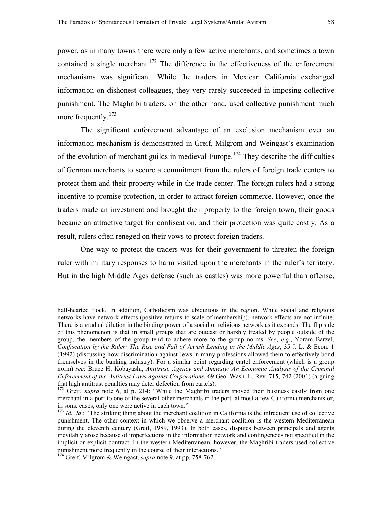power, as in many towns there were only a few active merchants, and sometimes a town contained a single merchant.<sup>172</sup> The difference in the effectiveness of the enforcement mechanisms was significant. While the traders in Mexican California exchanged information on dishonest colleagues, they very rarely succeeded in imposing collective punishment. The Maghribi traders, on the other hand, used collective punishment much more frequently.<sup>[173](#page-59-1)</sup>

The significant enforcement advantage of an exclusion mechanism over an information mechanism is demonstrated in Greif, Milgrom and Weingast's examination of the evolution of merchant guilds in medieval Europe.<sup>174</sup> They describe the difficulties of German merchants to secure a commitment from the rulers of foreign trade centers to protect them and their property while in the trade center. The foreign rulers had a strong incentive to promise protection, in order to attract foreign commerce. However, once the traders made an investment and brought their property to the foreign town, their goods became an attractive target for confiscation, and their protection was quite costly. As a result, rulers often reneged on their vows to protect foreign traders.

One way to protect the traders was for their government to threaten the foreign ruler with military responses to harm visited upon the merchants in the ruler's territory. But in the high Middle Ages defense (such as castles) was more powerful than offense,

half-hearted flock. In addition, Catholicism was ubiquitous in the region. While social and religious networks have network effects (positive returns to scale of membership), network effects are not infinite. There is a gradual dilution in the binding power of a social or religious network as it expands. The flip side of this phenomenon is that in small groups that are outcast or harshly treated by people outside of the group, the members of the group tend to adhere more to the group norms. *See*, *e.g*., Yoram Barzel, *Confiscation by the Ruler: The Rise and Fall of Jewish Lending in the Middle Ages*, 35 J. L. & Econ. 1 (1992) (discussing how discrimination against Jews in many professions allowed them to effectively bond themselves in the banking industry). For a similar point regarding cartel enforcement (which is a group norm) *see*: Bruce H. Kobayashi, *Antitrust, Agency and Amnesty: An Economic Analysis of the Criminal Enforcement of the Antitrust Laws Against Corporations*, 69 Geo. Wash. L. Rev. 715, 742 (2001) (arguing that high antitrust penalties may deter defection from cartels).

<span id="page-59-0"></span><sup>&</sup>lt;sup>172</sup> Greif, *supra* note 6, at p. 214: "While the Maghribi traders moved their business easily from one merchant in a port to one of the several other merchants in the port, at most a few California merchants or, in some cases, only one were active in each town."

<span id="page-59-1"></span><sup>&</sup>lt;sup>173</sup> *Id., Id.*: "The striking thing about the merchant coalition in California is the infrequent use of collective punishment. The other context in which we observe a merchant coalition is the western Mediterranean during the eleventh century (Greif, 1989, 1993). In both cases, disputes between principals and agents inevitably arose because of imperfections in the information network and contingencies not specified in the implicit or explicit contract. In the western Mediterranean, however, the Maghribi traders used collective punishment more frequently in the course of their interactions."

<span id="page-59-2"></span><sup>&</sup>lt;sup>174</sup> Greif, Milgrom & Weingast, *supra* note 9, at pp. 758-762.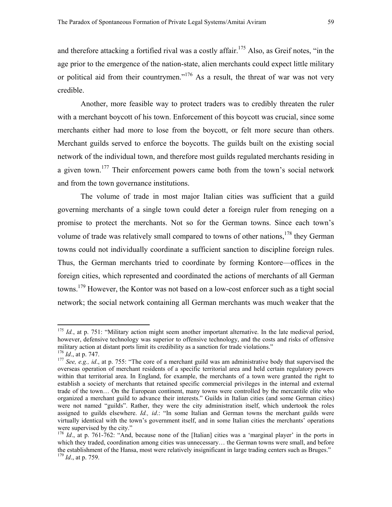and therefore attacking a fortified rival was a costly affair.<sup>175</sup> Also, as Greif notes, "in the age prior to the emergence of the nation-state, alien merchants could expect little military or political aid from their countrymen."<sup>176</sup> As a result, the threat of war was not very credible.

 Another, more feasible way to protect traders was to credibly threaten the ruler with a merchant boycott of his town. Enforcement of this boycott was crucial, since some merchants either had more to lose from the boycott, or felt more secure than others. Merchant guilds served to enforce the boycotts. The guilds built on the existing social network of the individual town, and therefore most guilds regulated merchants residing in a given town.<sup>177</sup> Their enforcement powers came both from the town's social network and from the town governance institutions.

The volume of trade in most major Italian cities was sufficient that a guild governing merchants of a single town could deter a foreign ruler from reneging on a promise to protect the merchants. Not so for the German towns. Since each town's volume of trade was relatively small compared to towns of other nations,  $178$  they German towns could not individually coordinate a sufficient sanction to discipline foreign rules. Thus, the German merchants tried to coordinate by forming Kontore—offices in the foreign cities, which represented and coordinated the actions of merchants of all German towns.[179 H](#page-60-4)owever, the Kontor was not based on a low-cost enforcer such as a tight social network; the social network containing all German merchants was much weaker that the

<span id="page-60-0"></span><sup>&</sup>lt;sup>175</sup> *Id.*, at p. 751: "Military action might seem another important alternative. In the late medieval period, however, defensive technology was superior to offensive technology, and the costs and risks of offensive military action at distant ports limit its credibility as a sanction for trade violations."<br> $^{176}$  *Id.*, at p. 747.

<span id="page-60-1"></span>

<span id="page-60-2"></span><sup>&</sup>lt;sup>177</sup> *See, e.g., id.*, at p. 755: "The core of a merchant guild was am administrative body that supervised the overseas operation of merchant residents of a specific territorial area and held certain regulatory powers within that territorial area. In England, for example, the merchants of a town were granted the right to establish a society of merchants that retained specific commercial privileges in the internal and external trade of the town… On the European continent, many towns were controlled by the mercantile elite who organized a merchant guild to advance their interests." Guilds in Italian cities (and some German cities) were not named "guilds". Rather, they were the city administration itself, which undertook the roles assigned to guilds elsewhere. *Id., id*.: "In some Italian and German towns the merchant guilds were virtually identical with the town's government itself, and in some Italian cities the merchants' operations were supervised by the city."

<span id="page-60-4"></span><span id="page-60-3"></span><sup>&</sup>lt;sup>178</sup> *Id.*, at p. 761-762: "And, because none of the [Italian] cities was a 'marginal player' in the ports in which they traded, coordination among cities was unnecessary... the German towns were small, and before the establishment of the Hansa, most were relatively insignificant in large trading centers such as Bruges." <sup>179</sup> *Id*., at p. 759.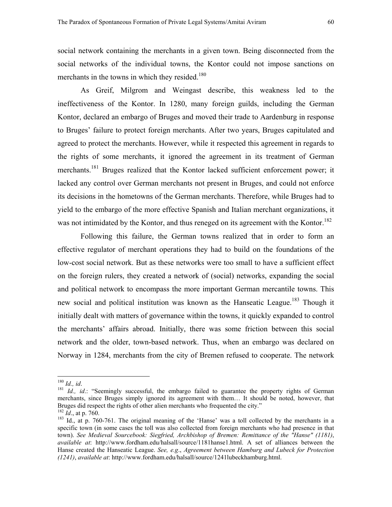social network containing the merchants in a given town. Being disconnected from the social networks of the individual towns, the Kontor could not impose sanctions on merchants in the towns in which they resided.<sup>[180](#page-61-0)</sup>

As Greif, Milgrom and Weingast describe, this weakness led to the ineffectiveness of the Kontor. In 1280, many foreign guilds, including the German Kontor, declared an embargo of Bruges and moved their trade to Aardenburg in response to Bruges' failure to protect foreign merchants. After two years, Bruges capitulated and agreed to protect the merchants. However, while it respected this agreement in regards to the rights of some merchants, it ignored the agreement in its treatment of German merchants.<sup>181</sup> Bruges realized that the Kontor lacked sufficient enforcement power; it lacked any control over German merchants not present in Bruges, and could not enforce its decisions in the hometowns of the German merchants. Therefore, while Bruges had to yield to the embargo of the more effective Spanish and Italian merchant organizations, it was not intimidated by the Kontor, and thus reneged on its agreement with the Kontor.<sup>[182](#page-61-2)</sup>

Following this failure, the German towns realized that in order to form an effective regulator of merchant operations they had to build on the foundations of the low-cost social network. But as these networks were too small to have a sufficient effect on the foreign rulers, they created a network of (social) networks, expanding the social and political network to encompass the more important German mercantile towns. This new social and political institution was known as the Hanseatic League.<sup>183</sup> Though it initially dealt with matters of governance within the towns, it quickly expanded to control the merchants' affairs abroad. Initially, there was some friction between this social network and the older, town-based network. Thus, when an embargo was declared on Norway in 1284, merchants from the city of Bremen refused to cooperate. The network

<span id="page-61-0"></span> $180$  *Id., id.* 

<span id="page-61-1"></span><sup>&</sup>lt;sup>181</sup> *Id., id.*: "Seemingly successful, the embargo failed to guarantee the property rights of German merchants, since Bruges simply ignored its agreement with them… It should be noted, however, that Bruges did respect the rights of other alien merchants who frequented the city."  $^{182}$  *Id.*, at p. 760.

<span id="page-61-2"></span>

<span id="page-61-3"></span><sup>&</sup>lt;sup>183</sup> Id., at p. 760-761. The original meaning of the 'Hanse' was a toll collected by the merchants in a specific town (in some cases the toll was also collected from foreign merchants who had presence in that town). *See Medieval Sourcebook: Siegfried, Archbishop of Bremen: Remittance of the "Hanse" (1181)*, *available at*: http://www.fordham.edu/halsall/source/1181hanse1.html. A set of alliances between the Hanse created the Hanseatic League. *See, e.g*., *Agreement between Hamburg and Lubeck for Protection (1241)*, *available at*: http://www.fordham.edu/halsall/source/1241lubeckhamburg.html.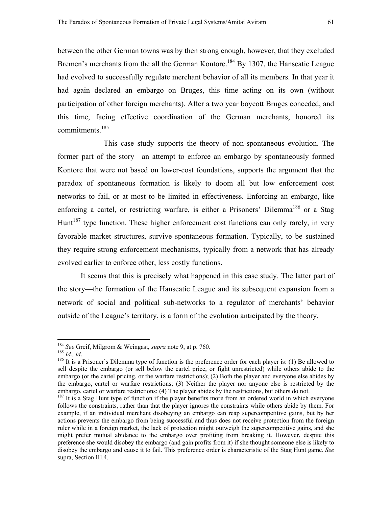between the other German towns was by then strong enough, however, that they excluded Bremen's merchants from the all the German Kontore.<sup>184</sup> By 1307, the Hanseatic League had evolved to successfully regulate merchant behavior of all its members. In that year it had again declared an embargo on Bruges, this time acting on its own (without participation of other foreign merchants). After a two year boycott Bruges conceded, and this time, facing effective coordination of the German merchants, honored its commitments[.185](#page-62-1)

 This case study supports the theory of non-spontaneous evolution. The former part of the story—an attempt to enforce an embargo by spontaneously formed Kontore that were not based on lower-cost foundations, supports the argument that the paradox of spontaneous formation is likely to doom all but low enforcement cost networks to fail, or at most to be limited in effectiveness. Enforcing an embargo, like enforcing a cartel, or restricting warfare, is either a Prisoners' Dilemma<sup>186</sup> or a Stag Hunt<sup>187</sup> type function. These higher enforcement cost functions can only rarely, in very favorable market structures, survive spontaneous formation. Typically, to be sustained they require strong enforcement mechanisms, typically from a network that has already evolved earlier to enforce other, less costly functions.

It seems that this is precisely what happened in this case study. The latter part of the story—the formation of the Hanseatic League and its subsequent expansion from a network of social and political sub-networks to a regulator of merchants' behavior outside of the League's territory, is a form of the evolution anticipated by the theory.

<span id="page-62-0"></span><sup>&</sup>lt;sup>184</sup> See Greif, Milgrom & Weingast, *supra* note 9, at p. 760.

<span id="page-62-2"></span><span id="page-62-1"></span>

<sup>185</sup> *Id., id.*<br><sup>186</sup> It is a Prisoner's Dilemma type of function is the preference order for each player is: (1) Be allowed to sell despite the embargo (or sell below the cartel price, or fight unrestricted) while others abide to the embargo (or the cartel pricing, or the warfare restrictions); (2) Both the player and everyone else abides by the embargo, cartel or warfare restrictions; (3) Neither the player nor anyone else is restricted by the embargo, cartel or warfare restrictions; (4) The player abides by the restrictions, but others do not.

<span id="page-62-3"></span> $^{187}$  It is a Stag Hunt type of function if the player benefits more from an ordered world in which everyone follows the constraints, rather than that the player ignores the constraints while others abide by them. For example, if an individual merchant disobeying an embargo can reap supercompetitive gains, but by her actions prevents the embargo from being successful and thus does not receive protection from the foreign ruler while in a foreign market, the lack of protection might outweigh the supercompetitive gains, and she might prefer mutual abidance to the embargo over profiting from breaking it. However, despite this preference she would disobey the embargo (and gain profits from it) if she thought someone else is likely to disobey the embargo and cause it to fail. This preference order is characteristic of the Stag Hunt game. *See* supra, Section III.4.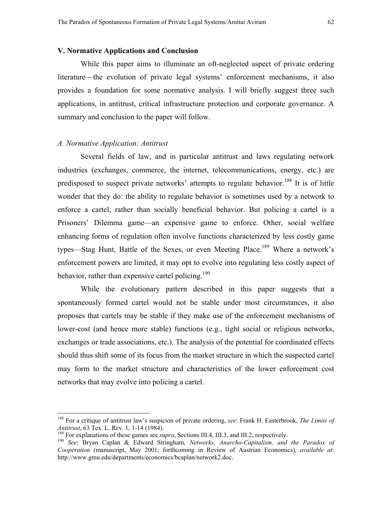### **V. Normative Applications and Conclusion**

 While this paper aims to illuminate an oft-neglected aspect of private ordering literature—the evolution of private legal systems' enforcement mechanisms, it also provides a foundation for some normative analysis. I will briefly suggest three such applications, in antitrust, critical infrastructure protection and corporate governance. A summary and conclusion to the paper will follow.

### *A. Normative Application: Antitrust*

 $\overline{a}$ 

Several fields of law, and in particular antitrust and laws regulating network industries (exchanges, commerce, the internet, telecommunications, energy, etc.) are predisposed to suspect private networks' attempts to regulate behavior.<sup>188</sup> It is of little wonder that they do: the ability to regulate behavior is sometimes used by a network to enforce a cartel, rather than socially beneficial behavior. But policing a cartel is a Prisoners' Dilemma game—an expensive game to enforce. Other, social welfare enhancing forms of regulation often involve functions characterized by less costly game types—Stag Hunt, Battle of the Sexes, or even Meeting Place.<sup>189</sup> Where a network's enforcement powers are limited, it may opt to evolve into regulating less costly aspect of behavior, rather than expensive cartel policing.<sup>190</sup>

While the evolutionary pattern described in this paper suggests that a spontaneously formed cartel would not be stable under most circumstances, it also proposes that cartels may be stable if they make use of the enforcement mechanisms of lower-cost (and hence more stable) functions (e.g., tight social or religious networks, exchanges or trade associations, etc.). The analysis of the potential for coordinated effects should thus shift some of its focus from the market structure in which the suspected cartel may form to the market structure and characteristics of the lower enforcement cost networks that may evolve into policing a cartel.

<span id="page-63-0"></span><sup>188</sup> For a critique of antitrust law's suspicion of private ordering, *see*: Frank H. Easterbrook, *The Limits of*  Antitrust, 63 Tex. L. Rev. 1, 1-14 (1984).<br><sup>189</sup> For explanations of these games see *supra*, Sections III.4, III.3, and III.2, respectively.<br><sup>189</sup> See: Bryan Caplan & Edward Stringham, *Networks, Anarcho-Capitalism, and t* 

<span id="page-63-1"></span>

<span id="page-63-2"></span>*Cooperation* (manuscript, May 2001; forthcoming in Review of Austrian Economics), *available at*: http://www.gmu.edu/departments/economics/bcaplan/network2.doc.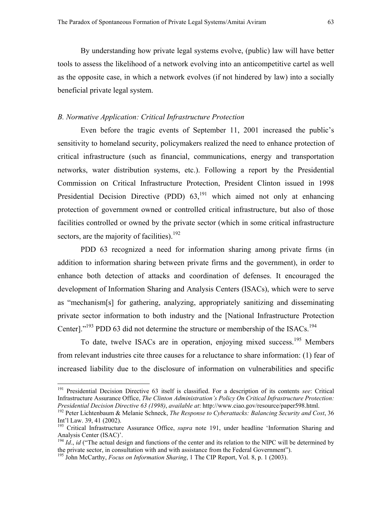By understanding how private legal systems evolve, (public) law will have better tools to assess the likelihood of a network evolving into an anticompetitive cartel as well as the opposite case, in which a network evolves (if not hindered by law) into a socially beneficial private legal system.

### *B. Normative Application: Critical Infrastructure Protection*

 Even before the tragic events of September 11, 2001 increased the public's sensitivity to homeland security, policymakers realized the need to enhance protection of critical infrastructure (such as financial, communications, energy and transportation networks, water distribution systems, etc.). Following a report by the Presidential Commission on Critical Infrastructure Protection, President Clinton issued in 1998 Presidential Decision Directive (PDD)  $63$ ,<sup>191</sup> which aimed not only at enhancing protection of government owned or controlled critical infrastructure, but also of those facilities controlled or owned by the private sector (which in some critical infrastructure sectors, are the majority of facilities).<sup>[192](#page-64-1)</sup>

PDD 63 recognized a need for information sharing among private firms (in addition to information sharing between private firms and the government), in order to enhance both detection of attacks and coordination of defenses. It encouraged the development of Information Sharing and Analysis Centers (ISACs), which were to serve as "mechanism[s] for gathering, analyzing, appropriately sanitizing and disseminating private sector information to both industry and the [National Infrastructure Protection Center]."<sup>193</sup> PDD 63 did not determine the structure or membership of the ISACs.<sup>[194](#page-64-3)</sup>

To date, twelve ISACs are in operation, enjoying mixed success.<sup>195</sup> Members from relevant industries cite three causes for a reluctance to share information: (1) fear of increased liability due to the disclosure of information on vulnerabilities and specific

<span id="page-64-0"></span><sup>191</sup> Presidential Decision Directive 63 itself is classified. For a description of its contents *see*: Critical Infrastructure Assurance Office, *The Clinton Administration's Policy On Critical Infrastructure Protection: Presidential Decision Directive 63 (1998)*, *available at*: http://www.ciao.gov/resource/paper598.html. 192 Peter Lichtenbaum & Melanie Schneck, *The Response to Cyberattacks: Balancing Security and Cost*, 36

<span id="page-64-1"></span>Int'l Law. 39, 41 (2002).

<span id="page-64-2"></span><sup>193</sup> Critical Infrastructure Assurance Office, *supra* note 191, under headline 'Information Sharing and Analysis Center (ISAC)'.

<span id="page-64-3"></span> $194$  *Id., id* ("The actual design and functions of the center and its relation to the NIPC will be determined by the private sector, in consultation with and with assistance from the Federal Government").

<span id="page-64-4"></span><sup>195</sup> John McCarthy, *Focus on Information Sharing*, 1 The CIP Report, Vol. 8, p. 1 (2003).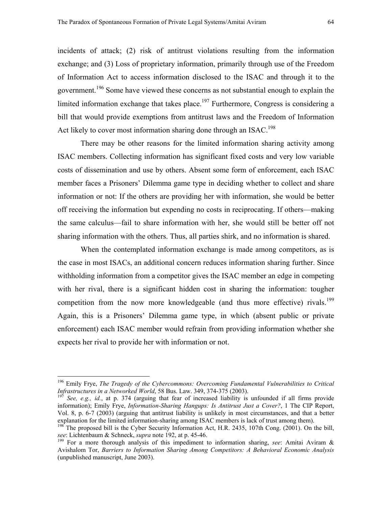incidents of attack; (2) risk of antitrust violations resulting from the information exchange; and (3) Loss of proprietary information, primarily through use of the Freedom of Information Act to access information disclosed to the ISAC and through it to the government.<sup>196</sup> Some have viewed these concerns as not substantial enough to explain the limited information exchange that takes place.<sup>197</sup> Furthermore, Congress is considering a bill that would provide exemptions from antitrust laws and the Freedom of Information Act likely to cover most information sharing done through an ISAC.<sup>[198](#page-65-2)</sup>

There may be other reasons for the limited information sharing activity among ISAC members. Collecting information has significant fixed costs and very low variable costs of dissemination and use by others. Absent some form of enforcement, each ISAC member faces a Prisoners' Dilemma game type in deciding whether to collect and share information or not: If the others are providing her with information, she would be better off receiving the information but expending no costs in reciprocating. If others—making the same calculus—fail to share information with her, she would still be better off not sharing information with the others. Thus, all parties shirk, and no information is shared.

When the contemplated information exchange is made among competitors, as is the case in most ISACs, an additional concern reduces information sharing further. Since withholding information from a competitor gives the ISAC member an edge in competing with her rival, there is a significant hidden cost in sharing the information: tougher competition from the now more knowledgeable (and thus more effective) rivals.<sup>[199](#page-65-3)</sup> Again, this is a Prisoners' Dilemma game type, in which (absent public or private enforcement) each ISAC member would refrain from providing information whether she expects her rival to provide her with information or not.

<span id="page-65-0"></span><sup>&</sup>lt;sup>196</sup> Emily Frye, *The Tragedy of the Cybercommons: Overcoming Fundamental Vulnerabilities to Critical Infrastructures in a Networked World, 58 Bus. Law. 349, 374-375 (2003).* 

<span id="page-65-1"></span>*See, e.g., id.*, at p. 374 (arguing that fear of increased liability is unfounded if all firms provide information); Emily Frye, *Information-Sharing Hangups: Is Antitrust Just a Cover?*, 1 The CIP Report, Vol. 8, p. 6-7 (2003) (arguing that antitrust liability is unlikely in most circumstances, and that a better explanation for the limited information-sharing among ISAC members is lack of trust among them).

<span id="page-65-2"></span><sup>&</sup>lt;sup>198</sup> The proposed bill is the Cyber Security Information Act, H.R. 2435, 107th Cong. (2001). On the bill, *see*: Lichtenbaum & Schneck, *supra* note 192, at p. 45-46.

<span id="page-65-3"></span><sup>&</sup>lt;sup>199</sup> For a more thorough analysis of this impediment to information sharing, *see*: Amitai Aviram & Avishalom Tor, *Barriers to Information Sharing Among Competitors: A Behavioral Economic Analysis* (unpublished manuscript, June 2003).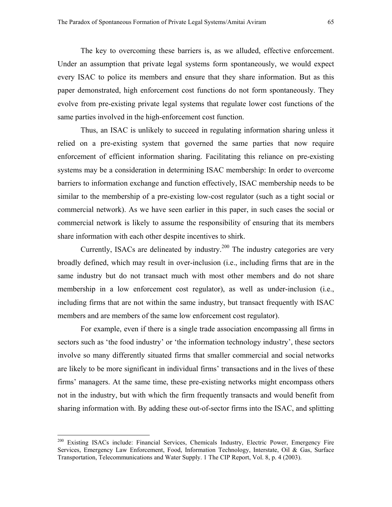The key to overcoming these barriers is, as we alluded, effective enforcement. Under an assumption that private legal systems form spontaneously, we would expect every ISAC to police its members and ensure that they share information. But as this paper demonstrated, high enforcement cost functions do not form spontaneously. They evolve from pre-existing private legal systems that regulate lower cost functions of the same parties involved in the high-enforcement cost function.

Thus, an ISAC is unlikely to succeed in regulating information sharing unless it relied on a pre-existing system that governed the same parties that now require enforcement of efficient information sharing. Facilitating this reliance on pre-existing systems may be a consideration in determining ISAC membership: In order to overcome barriers to information exchange and function effectively, ISAC membership needs to be similar to the membership of a pre-existing low-cost regulator (such as a tight social or commercial network). As we have seen earlier in this paper, in such cases the social or commercial network is likely to assume the responsibility of ensuring that its members share information with each other despite incentives to shirk.

Currently, ISACs are delineated by industry.<sup>200</sup> The industry categories are very broadly defined, which may result in over-inclusion (i.e., including firms that are in the same industry but do not transact much with most other members and do not share membership in a low enforcement cost regulator), as well as under-inclusion (i.e., including firms that are not within the same industry, but transact frequently with ISAC members and are members of the same low enforcement cost regulator).

For example, even if there is a single trade association encompassing all firms in sectors such as 'the food industry' or 'the information technology industry', these sectors involve so many differently situated firms that smaller commercial and social networks are likely to be more significant in individual firms' transactions and in the lives of these firms' managers. At the same time, these pre-existing networks might encompass others not in the industry, but with which the firm frequently transacts and would benefit from sharing information with. By adding these out-of-sector firms into the ISAC, and splitting

<span id="page-66-0"></span><sup>&</sup>lt;sup>200</sup> Existing ISACs include: Financial Services, Chemicals Industry, Electric Power, Emergency Fire Services, Emergency Law Enforcement, Food, Information Technology, Interstate, Oil & Gas, Surface Transportation, Telecommunications and Water Supply. 1 The CIP Report, Vol. 8, p. 4 (2003).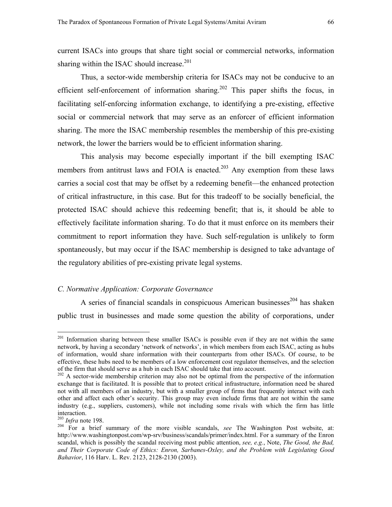current ISACs into groups that share tight social or commercial networks, information sharing within the ISAC should increase.<sup>[201](#page-67-0)</sup>

Thus, a sector-wide membership criteria for ISACs may not be conducive to an efficient self-enforcement of information sharing.<sup>202</sup> This paper shifts the focus, in facilitating self-enforcing information exchange, to identifying a pre-existing, effective social or commercial network that may serve as an enforcer of efficient information sharing. The more the ISAC membership resembles the membership of this pre-existing network, the lower the barriers would be to efficient information sharing.

This analysis may become especially important if the bill exempting ISAC members from antitrust laws and FOIA is enacted.<sup>203</sup> Any exemption from these laws carries a social cost that may be offset by a redeeming benefit—the enhanced protection of critical infrastructure, in this case. But for this tradeoff to be socially beneficial, the protected ISAC should achieve this redeeming benefit; that is, it should be able to effectively facilitate information sharing. To do that it must enforce on its members their commitment to report information they have. Such self-regulation is unlikely to form spontaneously, but may occur if the ISAC membership is designed to take advantage of the regulatory abilities of pre-existing private legal systems.

# *C. Normative Application: Corporate Governance*

A series of financial scandals in conspicuous American businesses<sup>204</sup> has shaken public trust in businesses and made some question the ability of corporations, under

<span id="page-67-0"></span><sup>&</sup>lt;sup>201</sup> Information sharing between these smaller ISACs is possible even if they are not within the same network, by having a secondary 'network of networks', in which members from each ISAC, acting as hubs of information, would share information with their counterparts from other ISACs. Of course, to be effective, these hubs need to be members of a low enforcement cost regulator themselves, and the selection of the firm that should serve as a hub in each ISAC should take that into account. 202 A sector-wide membership criterion may also not be optimal from the perspective of the information

<span id="page-67-1"></span>exchange that is facilitated. It is possible that to protect critical infrastructure, information need be shared not with all members of an industry, but with a smaller group of firms that frequently interact with each other and affect each other's security. This group may even include firms that are not within the same industry (e.g., suppliers, customers), while not including some rivals with which the firm has little interaction.<br> $^{203}$  *Infra* note 198.

<span id="page-67-2"></span>

<span id="page-67-3"></span><sup>&</sup>lt;sup>204</sup> For a brief summary of the more visible scandals, *see* The Washington Post website, at: http://www.washingtonpost.com/wp-srv/business/scandals/primer/index.html. For a summary of the Enron scandal, which is possibly the scandal receiving most public attention, *see, e.g.*, Note, *The Good, the Bad, and Their Corporate Code of Ethics: Enron, Sarbanes-Oxley, and the Problem with Legislating Good Bahavior*, 116 Harv. L. Rev. 2123, 2128-2130 (2003).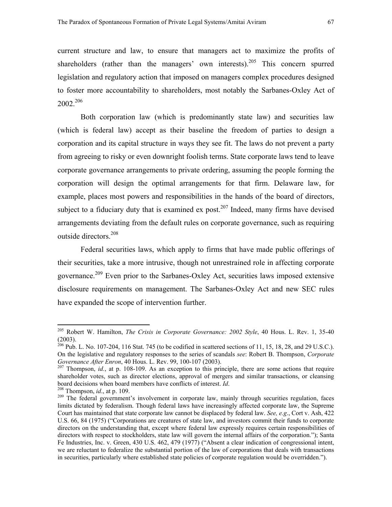current structure and law, to ensure that managers act to maximize the profits of shareholders (rather than the managers' own interests).<sup>205</sup> This concern spurred legislation and regulatory action that imposed on managers complex procedures designed to foster more accountability to shareholders, most notably the Sarbanes-Oxley Act of 2002.[206](#page-68-1)

 Both corporation law (which is predominantly state law) and securities law (which is federal law) accept as their baseline the freedom of parties to design a corporation and its capital structure in ways they see fit. The laws do not prevent a party from agreeing to risky or even downright foolish terms. State corporate laws tend to leave corporate governance arrangements to private ordering, assuming the people forming the corporation will design the optimal arrangements for that firm. Delaware law, for example, places most powers and responsibilities in the hands of the board of directors, subject to a fiduciary duty that is examined ex post.<sup>207</sup> Indeed, many firms have devised arrangements deviating from the default rules on corporate governance, such as requiring outside directors.<sup>[208](#page-68-3)</sup>

 Federal securities laws, which apply to firms that have made public offerings of their securities, take a more intrusive, though not unrestrained role in affecting corporate governance.[209](#page-68-4) Even prior to the Sarbanes-Oxley Act, securities laws imposed extensive disclosure requirements on management. The Sarbanes-Oxley Act and new SEC rules have expanded the scope of intervention further.

<span id="page-68-0"></span><sup>205</sup> Robert W. Hamilton, *The Crisis in Corporate Governance: 2002 Style*, 40 Hous. L. Rev. 1, 35-40 (2003).

<span id="page-68-1"></span><sup>&</sup>lt;sup>206</sup> Pub. L. No. 107-204, 116 Stat. 745 (to be codified in scattered sections of 11, 15, 18, 28, and 29 U.S.C.). On the legislative and regulatory responses to the series of scandals *see*: Robert B. Thompson, *Corporate Governance After Enron*, 40 Hous. L. Rev. 99, 100-107 (2003).<br><sup>207</sup> Thompson, *id.*, at p. 108-109. As an exception to this principle, there are some actions that require

<span id="page-68-2"></span>shareholder votes, such as director elections, approval of mergers and similar transactions, or cleansing board decisions when board members have conflicts of interest. *Id*.<br><sup>208</sup> Thompson, *id*., at p. 109.<br><sup>209</sup> The federal government's involvement in corporate law, mainly through securities regulation, faces

<span id="page-68-3"></span>

<span id="page-68-4"></span>limits dictated by federalism. Though federal laws have increasingly affected corporate law, the Supreme Court has maintained that state corporate law cannot be displaced by federal law. *See, e.g*., Cort v. Ash, 422 U.S. 66, 84 (1975) ("Corporations are creatures of state law, and investors commit their funds to corporate directors on the understanding that, except where federal law expressly requires certain responsibilities of directors with respect to stockholders, state law will govern the internal affairs of the corporation."); Santa Fe Industries, Inc. v. Green, 430 U.S. 462, 479 (1977) ("Absent a clear indication of congressional intent, we are reluctant to federalize the substantial portion of the law of corporations that deals with transactions in securities, particularly where established state policies of corporate regulation would be overridden.").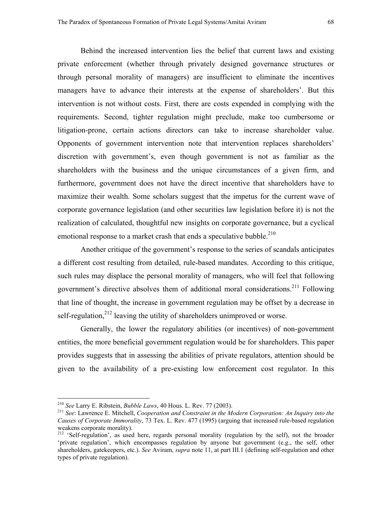Behind the increased intervention lies the belief that current laws and existing private enforcement (whether through privately designed governance structures or through personal morality of managers) are insufficient to eliminate the incentives managers have to advance their interests at the expense of shareholders'. But this intervention is not without costs. First, there are costs expended in complying with the requirements. Second, tighter regulation might preclude, make too cumbersome or litigation-prone, certain actions directors can take to increase shareholder value. Opponents of government intervention note that intervention replaces shareholders' discretion with government's, even though government is not as familiar as the shareholders with the business and the unique circumstances of a given firm, and furthermore, government does not have the direct incentive that shareholders have to maximize their wealth. Some scholars suggest that the impetus for the current wave of corporate governance legislation (and other securities law legislation before it) is not the realization of calculated, thoughtful new insights on corporate governance, but a cyclical emotional response to a market crash that ends a speculative bubble.<sup>[210](#page-69-0)</sup>

 Another critique of the government's response to the series of scandals anticipates a different cost resulting from detailed, rule-based mandates. According to this critique, such rules may displace the personal morality of managers, who will feel that following government's directive absolves them of additional moral considerations.<sup>211</sup> Following that line of thought, the increase in government regulation may be offset by a decrease in self-regulation,  $2^{12}$  leaving the utility of shareholders unimproved or worse.

 Generally, the lower the regulatory abilities (or incentives) of non-government entities, the more beneficial government regulation would be for shareholders. This paper provides suggests that in assessing the abilities of private regulators, attention should be given to the availability of a pre-existing low enforcement cost regulator. In this

<span id="page-69-0"></span><sup>&</sup>lt;sup>210</sup> See Larry E. Ribstein, *Bubble Laws*, 40 Hous. L. Rev. 77 (2003).

<span id="page-69-1"></span><sup>&</sup>lt;sup>211</sup> See: Lawrence E. Mitchell, *Cooperation and Constraint in the Modern Corporation: An Inquiry into the Causes of Corporate Immorality*, 73 Tex. L. Rev. 477 (1995) (arguing that increased rule-based regulation weakens corporate morality).

<span id="page-69-2"></span><sup>&</sup>lt;sup>212</sup> 'Self-regulation', as used here, regards personal morality (regulation by the self), not the broader 'private regulation', which encompasses regulation by anyone but government (e.g., the self, other shareholders, gatekeepers, etc.). *See* Aviram, *supra* note 11, at part III.1 (defining self-regulation and other types of private regulation).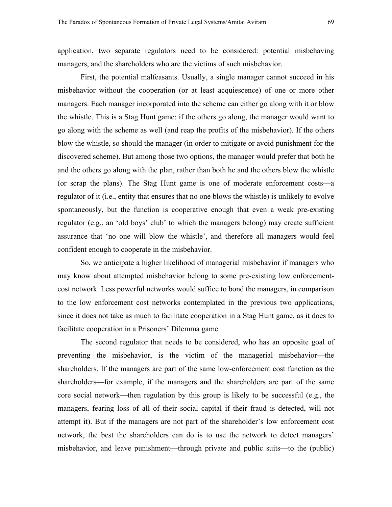application, two separate regulators need to be considered: potential misbehaving managers, and the shareholders who are the victims of such misbehavior.

First, the potential malfeasants. Usually, a single manager cannot succeed in his misbehavior without the cooperation (or at least acquiescence) of one or more other managers. Each manager incorporated into the scheme can either go along with it or blow the whistle. This is a Stag Hunt game: if the others go along, the manager would want to go along with the scheme as well (and reap the profits of the misbehavior). If the others blow the whistle, so should the manager (in order to mitigate or avoid punishment for the discovered scheme). But among those two options, the manager would prefer that both he and the others go along with the plan, rather than both he and the others blow the whistle (or scrap the plans). The Stag Hunt game is one of moderate enforcement costs—a regulator of it (i.e., entity that ensures that no one blows the whistle) is unlikely to evolve spontaneously, but the function is cooperative enough that even a weak pre-existing regulator (e.g., an 'old boys' club' to which the managers belong) may create sufficient assurance that 'no one will blow the whistle', and therefore all managers would feel confident enough to cooperate in the misbehavior.

So, we anticipate a higher likelihood of managerial misbehavior if managers who may know about attempted misbehavior belong to some pre-existing low enforcementcost network. Less powerful networks would suffice to bond the managers, in comparison to the low enforcement cost networks contemplated in the previous two applications, since it does not take as much to facilitate cooperation in a Stag Hunt game, as it does to facilitate cooperation in a Prisoners' Dilemma game.

The second regulator that needs to be considered, who has an opposite goal of preventing the misbehavior, is the victim of the managerial misbehavior—the shareholders. If the managers are part of the same low-enforcement cost function as the shareholders—for example, if the managers and the shareholders are part of the same core social network—then regulation by this group is likely to be successful (e.g., the managers, fearing loss of all of their social capital if their fraud is detected, will not attempt it). But if the managers are not part of the shareholder's low enforcement cost network, the best the shareholders can do is to use the network to detect managers' misbehavior, and leave punishment—through private and public suits—to the (public)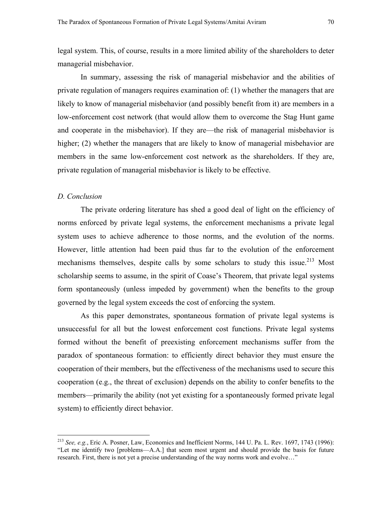In summary, assessing the risk of managerial misbehavior and the abilities of private regulation of managers requires examination of: (1) whether the managers that are likely to know of managerial misbehavior (and possibly benefit from it) are members in a low-enforcement cost network (that would allow them to overcome the Stag Hunt game and cooperate in the misbehavior). If they are—the risk of managerial misbehavior is higher; (2) whether the managers that are likely to know of managerial misbehavior are members in the same low-enforcement cost network as the shareholders. If they are, private regulation of managerial misbehavior is likely to be effective.

#### *D. Conclusion*

 $\overline{a}$ 

The private ordering literature has shed a good deal of light on the efficiency of norms enforced by private legal systems, the enforcement mechanisms a private legal system uses to achieve adherence to those norms, and the evolution of the norms. However, little attention had been paid thus far to the evolution of the enforcement mechanisms themselves, despite calls by some scholars to study this issue.<sup>213</sup> Most scholarship seems to assume, in the spirit of Coase's Theorem, that private legal systems form spontaneously (unless impeded by government) when the benefits to the group governed by the legal system exceeds the cost of enforcing the system.

 As this paper demonstrates, spontaneous formation of private legal systems is unsuccessful for all but the lowest enforcement cost functions. Private legal systems formed without the benefit of preexisting enforcement mechanisms suffer from the paradox of spontaneous formation: to efficiently direct behavior they must ensure the cooperation of their members, but the effectiveness of the mechanisms used to secure this cooperation (e.g., the threat of exclusion) depends on the ability to confer benefits to the members—primarily the ability (not yet existing for a spontaneously formed private legal system) to efficiently direct behavior.

<span id="page-71-0"></span><sup>213</sup> *See, e.g.*, Eric A. Posner, Law, Economics and Inefficient Norms, 144 U. Pa. L. Rev. 1697, 1743 (1996): "Let me identify two [problems—A.A.] that seem most urgent and should provide the basis for future research. First, there is not yet a precise understanding of the way norms work and evolve…"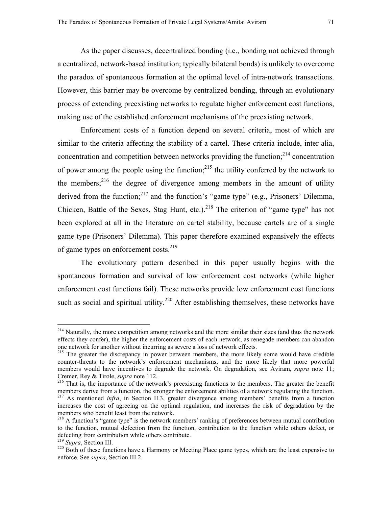As the paper discusses, decentralized bonding (i.e., bonding not achieved through a centralized, network-based institution; typically bilateral bonds) is unlikely to overcome the paradox of spontaneous formation at the optimal level of intra-network transactions. However, this barrier may be overcome by centralized bonding, through an evolutionary process of extending preexisting networks to regulate higher enforcement cost functions, making use of the established enforcement mechanisms of the preexisting network.

 Enforcement costs of a function depend on several criteria, most of which are similar to the criteria affecting the stability of a cartel. These criteria include, inter alia, concentration and competition between networks providing the function; $^{214}$  concentration of power among the people using the function; $^{215}$  the utility conferred by the network to the members; $^{216}$  the degree of divergence among members in the amount of utility derived from the function; $2^{17}$  and the function's "game type" (e.g., Prisoners' Dilemma, Chicken, Battle of the Sexes, Stag Hunt, etc.).<sup>218</sup> The criterion of "game type" has not been explored at all in the literature on cartel stability, because cartels are of a single game type (Prisoners' Dilemma). This paper therefore examined expansively the effects of game types on enforcement costs.<sup>[219](#page-72-5)</sup>

 The evolutionary pattern described in this paper usually begins with the spontaneous formation and survival of low enforcement cost networks (while higher enforcement cost functions fail). These networks provide low enforcement cost functions such as social and spiritual utility.<sup>220</sup> After establishing themselves, these networks have

 $\overline{a}$ 

<span id="page-72-0"></span><sup>&</sup>lt;sup>214</sup> Naturally, the more competition among networks and the more similar their sizes (and thus the network effects they confer), the higher the enforcement costs of each network, as renegade members can abandon

<span id="page-72-1"></span><sup>&</sup>lt;sup>215</sup> The greater the discrepancy in power between members, the more likely some would have credible counter-threats to the network's enforcement mechanisms, and the more likely that more powerful members would have incentives to degrade the network. On degradation, see Aviram, *supra* note 11;

<span id="page-72-2"></span>Cremer, Rey & Tirole, *supra* note 112.<br><sup>216</sup> That is, the importance of the network's preexisting functions to the members. The greater the benefit<br>members derive from a function, the stronger the enforcement abilities of <sup>217</sup> As mentioned *infra*, in Section II.3, greater divergence among members' benefits from a function increases the cost of agreeing on the optimal regulation, and increases the risk of degradation by the members who benefit least from the network.

<span id="page-72-4"></span><span id="page-72-3"></span><sup>&</sup>lt;sup>218</sup> A function's "game type" is the network members' ranking of preferences between mutual contribution to the function, mutual defection from the function, contribution to the function while others defect, or defecting from contribution while others contribute.<br><sup>219</sup> Supra, Section III.

<span id="page-72-5"></span>

<span id="page-72-6"></span><sup>&</sup>lt;sup>220</sup> Both of these functions have a Harmony or Meeting Place game types, which are the least expensive to enforce. See *supra*, Section III.2.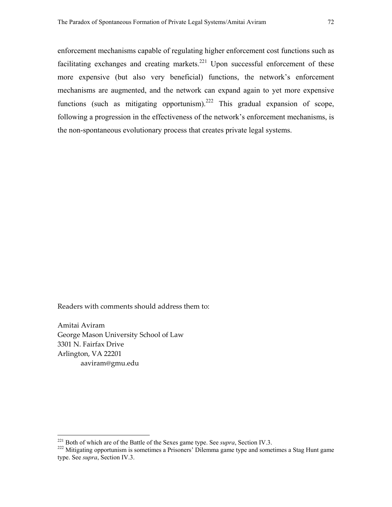enforcement mechanisms capable of regulating higher enforcement cost functions such as facilitating exchanges and creating markets.<sup>221</sup> Upon successful enforcement of these more expensive (but also very beneficial) functions, the network's enforcement mechanisms are augmented, and the network can expand again to yet more expensive functions (such as mitigating opportunism).<sup>222</sup> This gradual expansion of scope, following a progression in the effectiveness of the network's enforcement mechanisms, is the non-spontaneous evolutionary process that creates private legal systems.

Readers with comments should address them to:

Amitai Aviram George Mason University School of Law 3301 N. Fairfax Drive Arlington, VA 22201 aaviram@gmu.edu

<span id="page-73-0"></span><sup>&</sup>lt;sup>221</sup> Both of which are of the Battle of the Sexes game type. See *supra*, Section IV.3.

<span id="page-73-1"></span><sup>&</sup>lt;sup>222</sup> Mitigating opportunism is sometimes a Prisoners' Dilemma game type and sometimes a Stag Hunt game type. See *supra*, Section IV.3.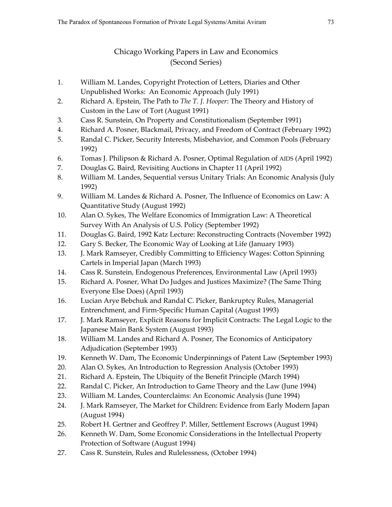## Chicago Working Papers in Law and Economics (Second Series)

- 1. William M. Landes, Copyright Protection of Letters, Diaries and Other Unpublished Works: An Economic Approach (July 1991)
- 2. Richard A. Epstein, The Path to *The T. J. Hooper*: The Theory and History of Custom in the Law of Tort (August 1991)
- 3. Cass R. Sunstein, On Property and Constitutionalism (September 1991)
- 4. Richard A. Posner, Blackmail, Privacy, and Freedom of Contract (February 1992)
- 5. Randal C. Picker, Security Interests, Misbehavior, and Common Pools (February 1992)
- 6. Tomas J. Philipson & Richard A. Posner, Optimal Regulation of AIDS (April 1992)
- 7. Douglas G. Baird, Revisiting Auctions in Chapter 11 (April 1992)
- 8. William M. Landes, Sequential versus Unitary Trials: An Economic Analysis (July 1992)
- 9. William M. Landes & Richard A. Posner, The Influence of Economics on Law: A Quantitative Study (August 1992)
- 10. Alan O. Sykes, The Welfare Economics of Immigration Law: A Theoretical Survey With An Analysis of U.S. Policy (September 1992)
- 11. Douglas G. Baird, 1992 Katz Lecture: Reconstructing Contracts (November 1992)
- 12. Gary S. Becker, The Economic Way of Looking at Life (January 1993)
- 13. J. Mark Ramseyer, Credibly Committing to Efficiency Wages: Cotton Spinning Cartels in Imperial Japan (March 1993)
- 14. Cass R. Sunstein, Endogenous Preferences, Environmental Law (April 1993)
- 15. Richard A. Posner, What Do Judges and Justices Maximize? (The Same Thing Everyone Else Does) (April 1993)
- 16. Lucian Arye Bebchuk and Randal C. Picker, Bankruptcy Rules, Managerial Entrenchment, and Firm-Specific Human Capital (August 1993)
- 17. J. Mark Ramseyer, Explicit Reasons for Implicit Contracts: The Legal Logic to the Japanese Main Bank System (August 1993)
- 18. William M. Landes and Richard A. Posner, The Economics of Anticipatory Adjudication (September 1993)
- 19. Kenneth W. Dam, The Economic Underpinnings of Patent Law (September 1993)
- 20. Alan O. Sykes, An Introduction to Regression Analysis (October 1993)
- 21. Richard A. Epstein, The Ubiquity of the Benefit Principle (March 1994)
- 22. Randal C. Picker, An Introduction to Game Theory and the Law (June 1994)
- 23. William M. Landes, Counterclaims: An Economic Analysis (June 1994)
- 24. J. Mark Ramseyer, The Market for Children: Evidence from Early Modern Japan (August 1994)
- 25. Robert H. Gertner and Geoffrey P. Miller, Settlement Escrows (August 1994)
- 26. Kenneth W. Dam, Some Economic Considerations in the Intellectual Property Protection of Software (August 1994)
- 27. Cass R. Sunstein, Rules and Rulelessness, (October 1994)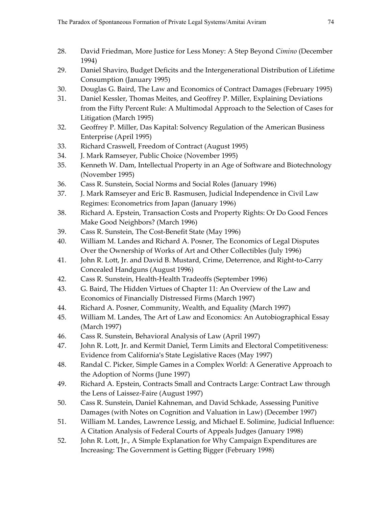- 28. David Friedman, More Justice for Less Money: A Step Beyond *Cimino* (December 1994)
- 29. Daniel Shaviro, Budget Deficits and the Intergenerational Distribution of Lifetime Consumption (January 1995)
- 30. Douglas G. Baird, The Law and Economics of Contract Damages (February 1995)
- 31. Daniel Kessler, Thomas Meites, and Geoffrey P. Miller, Explaining Deviations from the Fifty Percent Rule: A Multimodal Approach to the Selection of Cases for Litigation (March 1995)
- 32. Geoffrey P. Miller, Das Kapital: Solvency Regulation of the American Business Enterprise (April 1995)
- 33. Richard Craswell, Freedom of Contract (August 1995)
- 34. J. Mark Ramseyer, Public Choice (November 1995)
- 35. Kenneth W. Dam, Intellectual Property in an Age of Software and Biotechnology (November 1995)
- 36. Cass R. Sunstein, Social Norms and Social Roles (January 1996)
- 37. J. Mark Ramseyer and Eric B. Rasmusen, Judicial Independence in Civil Law Regimes: Econometrics from Japan (January 1996)
- 38. Richard A. Epstein, Transaction Costs and Property Rights: Or Do Good Fences Make Good Neighbors? (March 1996)
- 39. Cass R. Sunstein, The Cost-Benefit State (May 1996)
- 40. William M. Landes and Richard A. Posner, The Economics of Legal Disputes Over the Ownership of Works of Art and Other Collectibles (July 1996)
- 41. John R. Lott, Jr. and David B. Mustard, Crime, Deterrence, and Right-to-Carry Concealed Handguns (August 1996)
- 42. Cass R. Sunstein, Health-Health Tradeoffs (September 1996)
- 43. G. Baird, The Hidden Virtues of Chapter 11: An Overview of the Law and Economics of Financially Distressed Firms (March 1997)
- 44. Richard A. Posner, Community, Wealth, and Equality (March 1997)
- 45. William M. Landes, The Art of Law and Economics: An Autobiographical Essay (March 1997)
- 46. Cass R. Sunstein, Behavioral Analysis of Law (April 1997)
- 47. John R. Lott, Jr. and Kermit Daniel, Term Limits and Electoral Competitiveness: Evidence from California's State Legislative Races (May 1997)
- 48. Randal C. Picker, Simple Games in a Complex World: A Generative Approach to the Adoption of Norms (June 1997)
- 49. Richard A. Epstein, Contracts Small and Contracts Large: Contract Law through the Lens of Laissez-Faire (August 1997)
- 50. Cass R. Sunstein, Daniel Kahneman, and David Schkade, Assessing Punitive Damages (with Notes on Cognition and Valuation in Law) (December 1997)
- 51. William M. Landes, Lawrence Lessig, and Michael E. Solimine, Judicial Influence: A Citation Analysis of Federal Courts of Appeals Judges (January 1998)
- 52. John R. Lott, Jr., A Simple Explanation for Why Campaign Expenditures are Increasing: The Government is Getting Bigger (February 1998)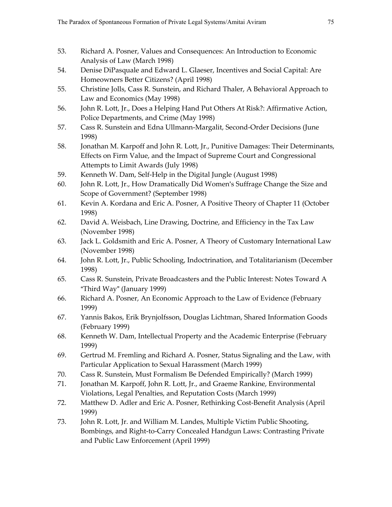- 53. Richard A. Posner, Values and Consequences: An Introduction to Economic Analysis of Law (March 1998)
- 54. Denise DiPasquale and Edward L. Glaeser, Incentives and Social Capital: Are Homeowners Better Citizens? (April 1998)
- 55. Christine Jolls, Cass R. Sunstein, and Richard Thaler, A Behavioral Approach to Law and Economics (May 1998)
- 56. John R. Lott, Jr., Does a Helping Hand Put Others At Risk?: Affirmative Action, Police Departments, and Crime (May 1998)
- 57. Cass R. Sunstein and Edna Ullmann-Margalit, Second-Order Decisions (June 1998)
- 58. Jonathan M. Karpoff and John R. Lott, Jr., Punitive Damages: Their Determinants, Effects on Firm Value, and the Impact of Supreme Court and Congressional Attempts to Limit Awards (July 1998)
- 59. Kenneth W. Dam, Self-Help in the Digital Jungle (August 1998)
- 60. John R. Lott, Jr., How Dramatically Did Women's Suffrage Change the Size and Scope of Government? (September 1998)
- 61. Kevin A. Kordana and Eric A. Posner, A Positive Theory of Chapter 11 (October 1998)
- 62. David A. Weisbach, Line Drawing, Doctrine, and Efficiency in the Tax Law (November 1998)
- 63. Jack L. Goldsmith and Eric A. Posner, A Theory of Customary International Law (November 1998)
- 64. John R. Lott, Jr., Public Schooling, Indoctrination, and Totalitarianism (December 1998)
- 65. Cass R. Sunstein, Private Broadcasters and the Public Interest: Notes Toward A "Third Way" (January 1999)
- 66. Richard A. Posner, An Economic Approach to the Law of Evidence (February 1999)
- 67. Yannis Bakos, Erik Brynjolfsson, Douglas Lichtman, Shared Information Goods (February 1999)
- 68. Kenneth W. Dam, Intellectual Property and the Academic Enterprise (February 1999)
- 69. Gertrud M. Fremling and Richard A. Posner, Status Signaling and the Law, with Particular Application to Sexual Harassment (March 1999)
- 70. Cass R. Sunstein, Must Formalism Be Defended Empirically? (March 1999)
- 71. Jonathan M. Karpoff, John R. Lott, Jr., and Graeme Rankine, Environmental Violations, Legal Penalties, and Reputation Costs (March 1999)
- 72. Matthew D. Adler and Eric A. Posner, Rethinking Cost-Benefit Analysis (April 1999)
- 73. John R. Lott, Jr. and William M. Landes, Multiple Victim Public Shooting, Bombings, and Right-to-Carry Concealed Handgun Laws: Contrasting Private and Public Law Enforcement (April 1999)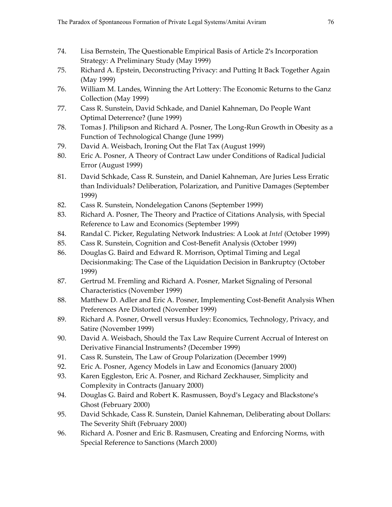- 74. Lisa Bernstein, The Questionable Empirical Basis of Article 2's Incorporation Strategy: A Preliminary Study (May 1999)
- 75. Richard A. Epstein, Deconstructing Privacy: and Putting It Back Together Again (May 1999)
- 76. William M. Landes, Winning the Art Lottery: The Economic Returns to the Ganz Collection (May 1999)
- 77. Cass R. Sunstein, David Schkade, and Daniel Kahneman, Do People Want Optimal Deterrence? (June 1999)
- 78. Tomas J. Philipson and Richard A. Posner, The Long-Run Growth in Obesity as a Function of Technological Change (June 1999)
- 79. David A. Weisbach, Ironing Out the Flat Tax (August 1999)
- 80. Eric A. Posner, A Theory of Contract Law under Conditions of Radical Judicial Error (August 1999)
- 81. David Schkade, Cass R. Sunstein, and Daniel Kahneman, Are Juries Less Erratic than Individuals? Deliberation, Polarization, and Punitive Damages (September 1999)
- 82. Cass R. Sunstein, Nondelegation Canons (September 1999)
- 83. Richard A. Posner, The Theory and Practice of Citations Analysis, with Special Reference to Law and Economics (September 1999)
- 84. Randal C. Picker, Regulating Network Industries: A Look at *Intel* (October 1999)
- 85. Cass R. Sunstein, Cognition and Cost-Benefit Analysis (October 1999)
- 86. Douglas G. Baird and Edward R. Morrison, Optimal Timing and Legal Decisionmaking: The Case of the Liquidation Decision in Bankruptcy (October 1999)
- 87. Gertrud M. Fremling and Richard A. Posner, Market Signaling of Personal Characteristics (November 1999)
- 88. Matthew D. Adler and Eric A. Posner, Implementing Cost-Benefit Analysis When Preferences Are Distorted (November 1999)
- 89. Richard A. Posner, Orwell versus Huxley: Economics, Technology, Privacy, and Satire (November 1999)
- 90. David A. Weisbach, Should the Tax Law Require Current Accrual of Interest on Derivative Financial Instruments? (December 1999)
- 91. Cass R. Sunstein, The Law of Group Polarization (December 1999)
- 92. Eric A. Posner, Agency Models in Law and Economics (January 2000)
- 93. Karen Eggleston, Eric A. Posner, and Richard Zeckhauser, Simplicity and Complexity in Contracts (January 2000)
- 94. Douglas G. Baird and Robert K. Rasmussen, Boyd's Legacy and Blackstone's Ghost (February 2000)
- 95. David Schkade, Cass R. Sunstein, Daniel Kahneman, Deliberating about Dollars: The Severity Shift (February 2000)
- 96. Richard A. Posner and Eric B. Rasmusen, Creating and Enforcing Norms, with Special Reference to Sanctions (March 2000)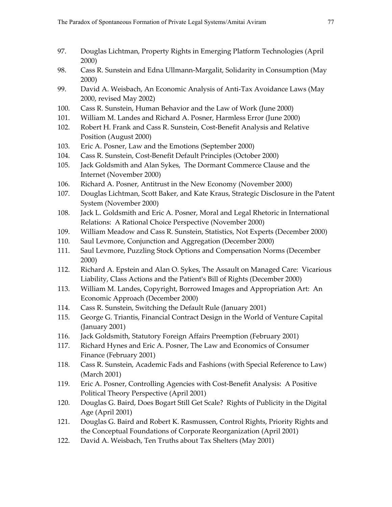- 97. Douglas Lichtman, Property Rights in Emerging Platform Technologies (April 2000)
- 98. Cass R. Sunstein and Edna Ullmann-Margalit, Solidarity in Consumption (May 2000)
- 99. David A. Weisbach, An Economic Analysis of Anti-Tax Avoidance Laws (May 2000, revised May 2002)
- 100. Cass R. Sunstein, Human Behavior and the Law of Work (June 2000)
- 101. William M. Landes and Richard A. Posner, Harmless Error (June 2000)
- 102. Robert H. Frank and Cass R. Sunstein, Cost-Benefit Analysis and Relative Position (August 2000)
- 103. Eric A. Posner, Law and the Emotions (September 2000)
- 104. Cass R. Sunstein, Cost-Benefit Default Principles (October 2000)
- 105. Jack Goldsmith and Alan Sykes, The Dormant Commerce Clause and the Internet (November 2000)
- 106. Richard A. Posner, Antitrust in the New Economy (November 2000)
- 107. Douglas Lichtman, Scott Baker, and Kate Kraus, Strategic Disclosure in the Patent System (November 2000)
- 108. Jack L. Goldsmith and Eric A. Posner, Moral and Legal Rhetoric in International Relations: A Rational Choice Perspective (November 2000)
- 109. William Meadow and Cass R. Sunstein, Statistics, Not Experts (December 2000)
- 110. Saul Levmore, Conjunction and Aggregation (December 2000)
- 111. Saul Levmore, Puzzling Stock Options and Compensation Norms (December 2000)
- 112. Richard A. Epstein and Alan O. Sykes, The Assault on Managed Care: Vicarious Liability, Class Actions and the Patient's Bill of Rights (December 2000)
- 113. William M. Landes, Copyright, Borrowed Images and Appropriation Art: An Economic Approach (December 2000)
- 114. Cass R. Sunstein, Switching the Default Rule (January 2001)
- 115. George G. Triantis, Financial Contract Design in the World of Venture Capital (January 2001)
- 116. Jack Goldsmith, Statutory Foreign Affairs Preemption (February 2001)
- 117. Richard Hynes and Eric A. Posner, The Law and Economics of Consumer Finance (February 2001)
- 118. Cass R. Sunstein, Academic Fads and Fashions (with Special Reference to Law) (March 2001)
- 119. Eric A. Posner, Controlling Agencies with Cost-Benefit Analysis: A Positive Political Theory Perspective (April 2001)
- 120. Douglas G. Baird, Does Bogart Still Get Scale? Rights of Publicity in the Digital Age (April 2001)
- 121. Douglas G. Baird and Robert K. Rasmussen, Control Rights, Priority Rights and the Conceptual Foundations of Corporate Reorganization (April 2001)
- 122. David A. Weisbach, Ten Truths about Tax Shelters (May 2001)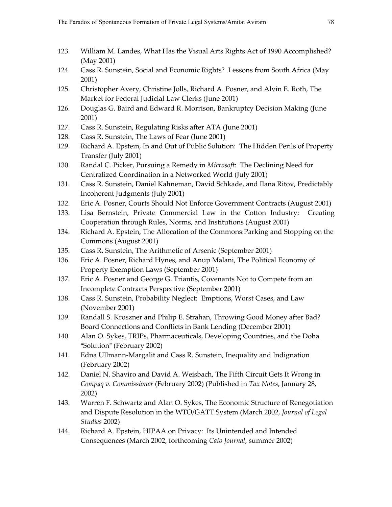- 123. William M. Landes, What Has the Visual Arts Rights Act of 1990 Accomplished? (May 2001)
- 124. Cass R. Sunstein, Social and Economic Rights? Lessons from South Africa (May 2001)
- 125. Christopher Avery, Christine Jolls, Richard A. Posner, and Alvin E. Roth, The Market for Federal Judicial Law Clerks (June 2001)
- 126. Douglas G. Baird and Edward R. Morrison, Bankruptcy Decision Making (June 2001)
- 127. Cass R. Sunstein, Regulating Risks after ATA (June 2001)
- 128. Cass R. Sunstein, The Laws of Fear (June 2001)
- 129. Richard A. Epstein, In and Out of Public Solution: The Hidden Perils of Property Transfer (July 2001)
- 130. Randal C. Picker, Pursuing a Remedy in *Microsoft*: The Declining Need for Centralized Coordination in a Networked World (July 2001)
- 131. Cass R. Sunstein, Daniel Kahneman, David Schkade, and Ilana Ritov, Predictably Incoherent Judgments (July 2001)
- 132. Eric A. Posner, Courts Should Not Enforce Government Contracts (August 2001)
- 133. Lisa Bernstein, Private Commercial Law in the Cotton Industry: Creating Cooperation through Rules, Norms, and Institutions (August 2001)
- 134. Richard A. Epstein, The Allocation of the Commons:Parking and Stopping on the Commons (August 2001)
- 135. Cass R. Sunstein, The Arithmetic of Arsenic (September 2001)
- 136. Eric A. Posner, Richard Hynes, and Anup Malani, The Political Economy of Property Exemption Laws (September 2001)
- 137. Eric A. Posner and George G. Triantis, Covenants Not to Compete from an Incomplete Contracts Perspective (September 2001)
- 138. Cass R. Sunstein, Probability Neglect: Emptions, Worst Cases, and Law (November 2001)
- 139. Randall S. Kroszner and Philip E. Strahan, Throwing Good Money after Bad? Board Connections and Conflicts in Bank Lending (December 2001)
- 140. Alan O. Sykes, TRIPs, Pharmaceuticals, Developing Countries, and the Doha "Solution" (February 2002)
- 141. Edna Ullmann-Margalit and Cass R. Sunstein, Inequality and Indignation (February 2002)
- 142. Daniel N. Shaviro and David A. Weisbach, The Fifth Circuit Gets It Wrong in *Compaq v. Commissioner* (February 2002) (Published in *Tax Notes*, January 28, 2002)
- 143. Warren F. Schwartz and Alan O. Sykes, The Economic Structure of Renegotiation and Dispute Resolution in the WTO/GATT System (March 2002, *Journal of Legal Studies* 2002)
- 144. Richard A. Epstein, HIPAA on Privacy: Its Unintended and Intended Consequences (March 2002, forthcoming *Cato Journal*, summer 2002)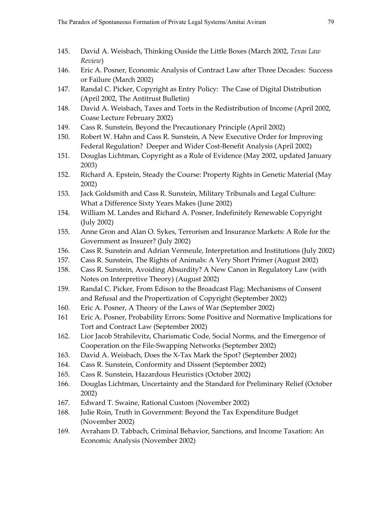- 145. David A. Weisbach, Thinking Ouside the Little Boxes (March 2002, *Texas Law Review*)
- 146. Eric A. Posner, Economic Analysis of Contract Law after Three Decades: Success or Failure (March 2002)
- 147. Randal C. Picker, Copyright as Entry Policy: The Case of Digital Distribution (April 2002, The Antitrust Bulletin)
- 148. David A. Weisbach, Taxes and Torts in the Redistribution of Income (April 2002, Coase Lecture February 2002)
- 149. Cass R. Sunstein, Beyond the Precautionary Principle (April 2002)
- 150. Robert W. Hahn and Cass R. Sunstein, A New Executive Order for Improving Federal Regulation? Deeper and Wider Cost-Benefit Analysis (April 2002)
- 151. Douglas Lichtman, Copyright as a Rule of Evidence (May 2002, updated January 2003)
- 152. Richard A. Epstein, Steady the Course: Property Rights in Genetic Material (May 2002)
- 153. Jack Goldsmith and Cass R. Sunstein, Military Tribunals and Legal Culture: What a Difference Sixty Years Makes (June 2002)
- 154. William M. Landes and Richard A. Posner, Indefinitely Renewable Copyright (July 2002)
- 155. Anne Gron and Alan O. Sykes, Terrorism and Insurance Markets: A Role for the Government as Insurer? (July 2002)
- 156. Cass R. Sunstein and Adrian Vermeule, Interpretation and Institutions (July 2002)
- 157. Cass R. Sunstein, The Rights of Animals: A Very Short Primer (August 2002)
- 158. Cass R. Sunstein, Avoiding Absurdity? A New Canon in Regulatory Law (with Notes on Interpretive Theory) (August 2002)
- 159. Randal C. Picker, From Edison to the Broadcast Flag: Mechanisms of Consent and Refusal and the Propertization of Copyright (September 2002)
- 160. Eric A. Posner, A Theory of the Laws of War (September 2002)
- 161 Eric A. Posner, Probability Errors: Some Positive and Normative Implications for Tort and Contract Law (September 2002)
- 162. Lior Jacob Strahilevitz, Charismatic Code, Social Norms, and the Emergence of Cooperation on the File-Swapping Networks (September 2002)
- 163. David A. Weisbach, Does the X-Tax Mark the Spot? (September 2002)
- 164. Cass R. Sunstein, Conformity and Dissent (September 2002)
- 165. Cass R. Sunstein, Hazardous Heuristics (October 2002)
- 166. Douglas Lichtman, Uncertainty and the Standard for Preliminary Relief (October 2002)
- 167. Edward T. Swaine, Rational Custom (November 2002)
- 168. Julie Roin, Truth in Government: Beyond the Tax Expenditure Budget (November 2002)
- 169. Avraham D. Tabbach, Criminal Behavior, Sanctions, and Income Taxation: An Economic Analysis (November 2002)